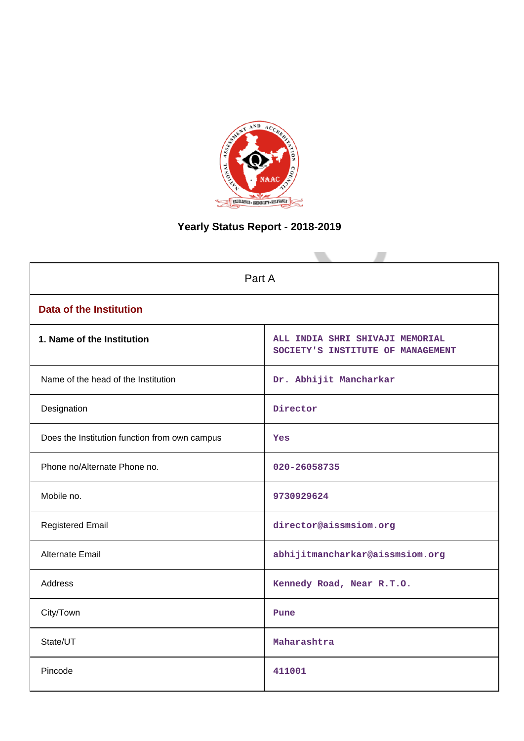

# **Yearly Status Report - 2018-2019**

| Part A                                        |                                                                      |
|-----------------------------------------------|----------------------------------------------------------------------|
| <b>Data of the Institution</b>                |                                                                      |
| 1. Name of the Institution                    | ALL INDIA SHRI SHIVAJI MEMORIAL<br>SOCIETY'S INSTITUTE OF MANAGEMENT |
| Name of the head of the Institution           | Dr. Abhijit Mancharkar                                               |
| Designation                                   | Director                                                             |
| Does the Institution function from own campus | Yes                                                                  |
| Phone no/Alternate Phone no.                  | 020-26058735                                                         |
| Mobile no.                                    | 9730929624                                                           |
| <b>Registered Email</b>                       | director@aissmsiom.org                                               |
| <b>Alternate Email</b>                        | abhijitmancharkar@aissmsiom.org                                      |
| <b>Address</b>                                | Kennedy Road, Near R.T.O.                                            |
| City/Town                                     | Pune                                                                 |
| State/UT                                      | Maharashtra                                                          |
| Pincode                                       | 411001                                                               |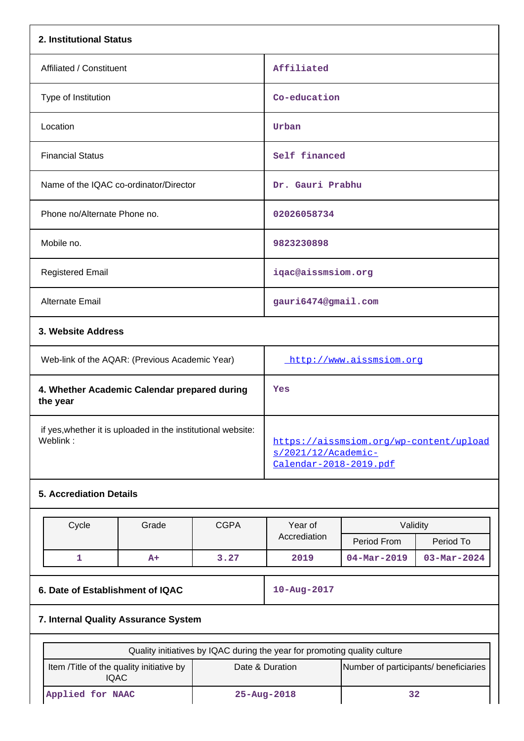| 2. Institutional Status                                                  |             |                                               |                                         |           |
|--------------------------------------------------------------------------|-------------|-----------------------------------------------|-----------------------------------------|-----------|
| Affiliated / Constituent                                                 |             | Affiliated                                    |                                         |           |
| Type of Institution                                                      |             | Co-education                                  |                                         |           |
| Location                                                                 |             | Urban                                         |                                         |           |
| <b>Financial Status</b>                                                  |             | Self financed                                 |                                         |           |
| Name of the IQAC co-ordinator/Director                                   |             | Dr. Gauri Prabhu                              |                                         |           |
| Phone no/Alternate Phone no.                                             |             | 02026058734                                   |                                         |           |
| Mobile no.                                                               |             | 9823230898                                    |                                         |           |
| <b>Registered Email</b>                                                  |             | iqac@aissmsiom.org                            |                                         |           |
| Alternate Email                                                          |             | gauri6474@gmail.com                           |                                         |           |
| 3. Website Address                                                       |             |                                               |                                         |           |
| Web-link of the AQAR: (Previous Academic Year)                           |             |                                               | http://www.aissmsiom.org                |           |
| 4. Whether Academic Calendar prepared during<br>the year                 |             | Yes                                           |                                         |           |
| if yes, whether it is uploaded in the institutional website:<br>Weblink: |             | s/2021/12/Academic-<br>Calendar-2018-2019.pdf | https://aissmsiom.org/wp-content/upload |           |
| <b>5. Accrediation Details</b>                                           |             |                                               |                                         |           |
| Cycle<br>Grade                                                           | <b>CGPA</b> | Year of<br>Accrediation                       | Validity<br>Period From                 | Period To |

|  |      |      | <b>ACCICUMBIOL</b> | Period From       | Period To                |
|--|------|------|--------------------|-------------------|--------------------------|
|  | $A+$ | 3.27 | 2019               | $04 - Mar - 2019$ | $03 - \text{Mar} - 2024$ |
|  |      |      |                    |                   |                          |
|  |      |      |                    |                   |                          |

**6. Date of Establishment of IQAC 10-Aug-2017**

## **7. Internal Quality Assurance System**

|                                                   | Quality initiatives by IQAC during the year for promoting quality culture |                                       |
|---------------------------------------------------|---------------------------------------------------------------------------|---------------------------------------|
| Item / Title of the quality initiative by<br>IQAC | Date & Duration                                                           | Number of participants/ beneficiaries |
| Applied for NAAC                                  | $25 - Aug - 2018$                                                         |                                       |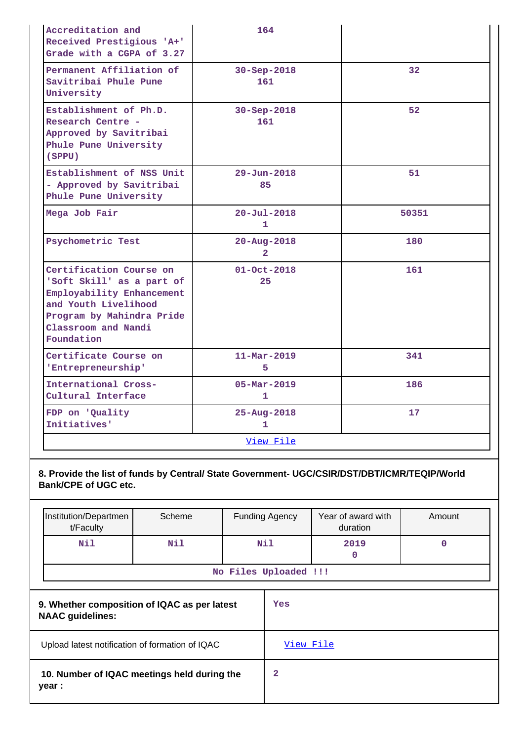| Accreditation and<br>Received Prestigious 'A+'<br>Grade with a CGPA of 3.27                                                                                                 |        | 164                                 |                                |             |
|-----------------------------------------------------------------------------------------------------------------------------------------------------------------------------|--------|-------------------------------------|--------------------------------|-------------|
| Permanent Affiliation of<br>Savitribai Phule Pune<br>University                                                                                                             |        | 30-Sep-2018<br>161                  |                                | 32          |
| Establishment of Ph.D.<br>Research Centre -<br>Approved by Savitribai<br>Phule Pune University<br>(SPPU)                                                                    |        | 30-Sep-2018<br>161                  |                                | 52          |
| Establishment of NSS Unit<br>- Approved by Savitribai<br>Phule Pune University                                                                                              |        | $29 - Jun - 2018$<br>85             |                                | 51          |
| Mega Job Fair                                                                                                                                                               |        | $20 - Ju1 - 2018$<br>1              |                                | 50351       |
| Psychometric Test                                                                                                                                                           |        | $20 - Aug - 2018$<br>$\overline{a}$ |                                | 180         |
| Certification Course on<br>'Soft Skill' as a part of<br>Employability Enhancement<br>and Youth Livelihood<br>Program by Mahindra Pride<br>Classroom and Nandi<br>Foundation |        | $01 - Oct - 2018$<br>25             |                                | 161         |
| Certificate Course on<br>'Entrepreneurship'                                                                                                                                 |        | $11 - \text{Mar} - 2019$<br>5       |                                | 341         |
| International Cross-<br>Cultural Interface                                                                                                                                  |        | $05 - \text{Mar} - 2019$<br>1       |                                | 186         |
| FDP on 'Quality<br>Initiatives'                                                                                                                                             |        | $25 - Aug - 2018$<br>1              |                                | 17          |
|                                                                                                                                                                             |        | View File                           |                                |             |
| 8. Provide the list of funds by Central/ State Government- UGC/CSIR/DST/DBT/ICMR/TEQIP/World<br><b>Bank/CPE of UGC etc.</b>                                                 |        |                                     |                                |             |
| Institution/Departmen<br>t/Faculty                                                                                                                                          | Scheme | <b>Funding Agency</b>               | Year of award with<br>duration | Amount      |
| Nil                                                                                                                                                                         | Nil    | Nil                                 | 2019                           | $\mathbf 0$ |

|  | No Files Uploaded !!! |  |
|--|-----------------------|--|
|  |                       |  |

**0**

| 9. Whether composition of IQAC as per latest<br><b>NAAC</b> guidelines: | Yes       |
|-------------------------------------------------------------------------|-----------|
| Upload latest notification of formation of IQAC                         | View File |
| 10. Number of IQAC meetings held during the<br>year :                   | 2         |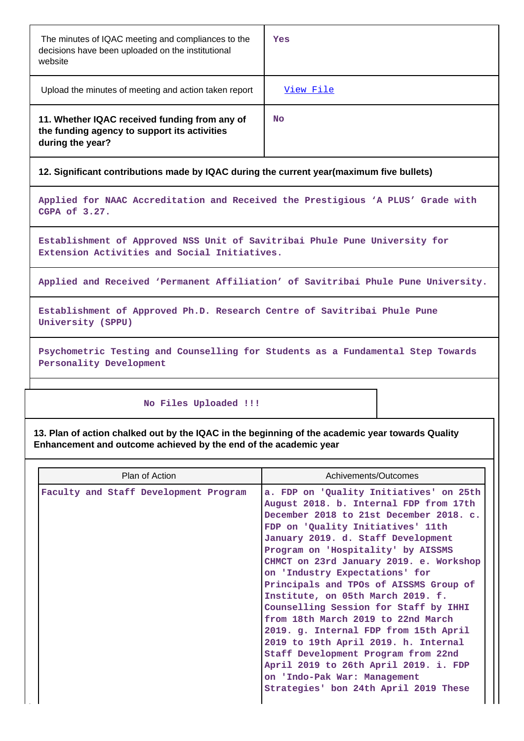| The minutes of IQAC meeting and compliances to the<br>decisions have been uploaded on the institutional<br>website | Yes       |
|--------------------------------------------------------------------------------------------------------------------|-----------|
| Upload the minutes of meeting and action taken report                                                              | View File |
| 11. Whether IQAC received funding from any of<br>the funding agency to support its activities<br>during the year?  | No        |

## **12. Significant contributions made by IQAC during the current year(maximum five bullets)**

**Applied for NAAC Accreditation and Received the Prestigious 'A PLUS' Grade with CGPA of 3.27.**

**Establishment of Approved NSS Unit of Savitribai Phule Pune University for Extension Activities and Social Initiatives.**

**Applied and Received 'Permanent Affiliation' of Savitribai Phule Pune University.**

**Establishment of Approved Ph.D. Research Centre of Savitribai Phule Pune University (SPPU)**

**Psychometric Testing and Counselling for Students as a Fundamental Step Towards Personality Development**

#### **No Files Uploaded !!!**

**13. Plan of action chalked out by the IQAC in the beginning of the academic year towards Quality Enhancement and outcome achieved by the end of the academic year**

| Plan of Action                        | Achivements/Outcomes                                                                                                                                                                                                                                                                                                                                                                                                                                                                                                                                                                                                                                                                                                               |
|---------------------------------------|------------------------------------------------------------------------------------------------------------------------------------------------------------------------------------------------------------------------------------------------------------------------------------------------------------------------------------------------------------------------------------------------------------------------------------------------------------------------------------------------------------------------------------------------------------------------------------------------------------------------------------------------------------------------------------------------------------------------------------|
| Faculty and Staff Development Program | a. FDP on 'Quality Initiatives' on 25th<br>August 2018. b. Internal FDP from 17th<br>December 2018 to 21st December 2018. c.<br>FDP on 'Quality Initiatives' 11th<br>January 2019. d. Staff Development<br>Program on 'Hospitality' by AISSMS<br>CHMCT on 23rd January 2019. e. Workshop<br>on 'Industry Expectations' for<br>Principals and TPOs of AISSMS Group of<br>Institute, on 05th March 2019. f.<br>Counselling Session for Staff by IHHI<br>from 18th March 2019 to 22nd March<br>2019. g. Internal FDP from 15th April<br>2019 to 19th April 2019. h. Internal<br>Staff Development Program from 22nd<br>April 2019 to 26th April 2019. i. FDP<br>on 'Indo-Pak War: Management<br>Strategies' bon 24th April 2019 These |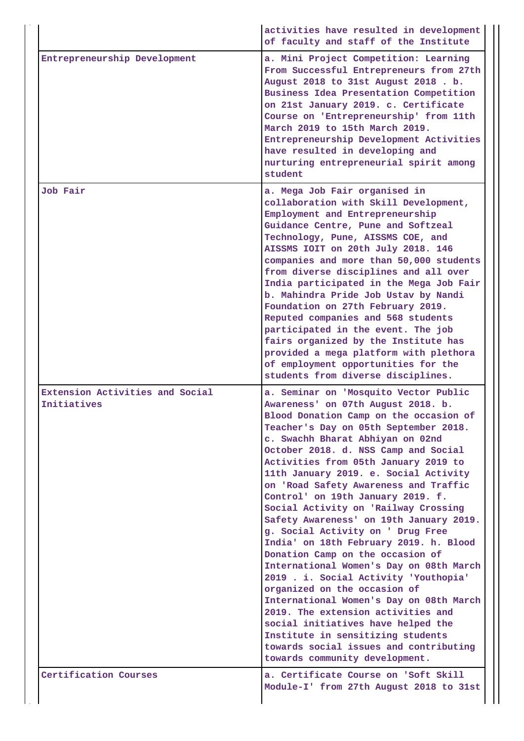|                                                | activities have resulted in development<br>of faculty and staff of the Institute                                                                                                                                                                                                                                                                                                                                                                                                                                                                                                                                                                                                                                                                                                                                                                                                                                                                                            |
|------------------------------------------------|-----------------------------------------------------------------------------------------------------------------------------------------------------------------------------------------------------------------------------------------------------------------------------------------------------------------------------------------------------------------------------------------------------------------------------------------------------------------------------------------------------------------------------------------------------------------------------------------------------------------------------------------------------------------------------------------------------------------------------------------------------------------------------------------------------------------------------------------------------------------------------------------------------------------------------------------------------------------------------|
| Entrepreneurship Development                   | a. Mini Project Competition: Learning<br>From Successful Entrepreneurs from 27th<br>August 2018 to 31st August 2018. b.<br>Business Idea Presentation Competition<br>on 21st January 2019. c. Certificate<br>Course on 'Entrepreneurship' from 11th<br>March 2019 to 15th March 2019.<br>Entrepreneurship Development Activities<br>have resulted in developing and<br>nurturing entrepreneurial spirit among<br>student                                                                                                                                                                                                                                                                                                                                                                                                                                                                                                                                                    |
| <b>Job Fair</b>                                | a. Mega Job Fair organised in<br>collaboration with Skill Development,<br>Employment and Entrepreneurship<br>Guidance Centre, Pune and Softzeal<br>Technology, Pune, AISSMS COE, and<br>AISSMS IOIT on 20th July 2018. 146<br>companies and more than 50,000 students<br>from diverse disciplines and all over<br>India participated in the Mega Job Fair<br>b. Mahindra Pride Job Ustav by Nandi<br>Foundation on 27th February 2019.<br>Reputed companies and 568 students<br>participated in the event. The job<br>fairs organized by the Institute has<br>provided a mega platform with plethora<br>of employment opportunities for the<br>students from diverse disciplines.                                                                                                                                                                                                                                                                                           |
| Extension Activities and Social<br>Initiatives | a. Seminar on 'Mosquito Vector Public<br>Awareness' on 07th August 2018. b.<br>Blood Donation Camp on the occasion of<br>Teacher's Day on 05th September 2018.<br>c. Swachh Bharat Abhiyan on 02nd<br>October 2018. d. NSS Camp and Social<br>Activities from 05th January 2019 to<br>11th January 2019. e. Social Activity<br>on 'Road Safety Awareness and Traffic<br>Control' on 19th January 2019. f.<br>Social Activity on 'Railway Crossing<br>Safety Awareness' on 19th January 2019.<br>g. Social Activity on ' Drug Free<br>India' on 18th February 2019. h. Blood<br>Donation Camp on the occasion of<br>International Women's Day on 08th March<br>2019 . i. Social Activity 'Youthopia'<br>organized on the occasion of<br>International Women's Day on 08th March<br>2019. The extension activities and<br>social initiatives have helped the<br>Institute in sensitizing students<br>towards social issues and contributing<br>towards community development. |
| Certification Courses                          | a. Certificate Course on 'Soft Skill<br>Module-I' from 27th August 2018 to 31st                                                                                                                                                                                                                                                                                                                                                                                                                                                                                                                                                                                                                                                                                                                                                                                                                                                                                             |

J.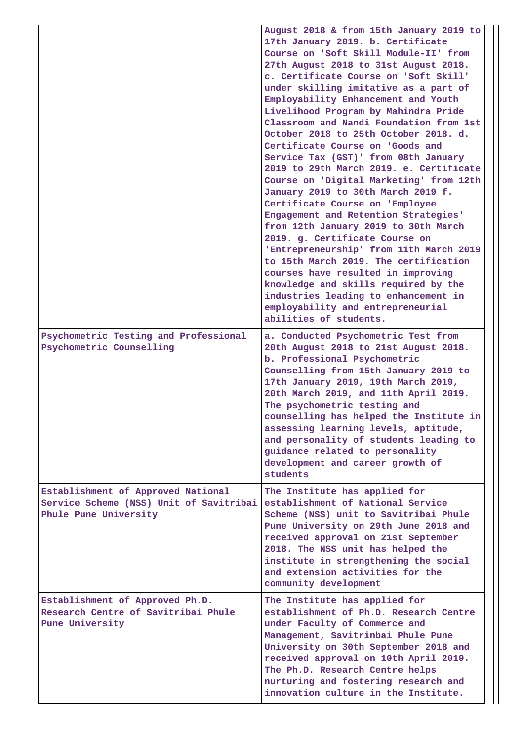|                                                                                                        | August 2018 & from 15th January 2019 to<br>17th January 2019. b. Certificate<br>Course on 'Soft Skill Module-II' from<br>27th August 2018 to 31st August 2018.<br>c. Certificate Course on 'Soft Skill'<br>under skilling imitative as a part of<br>Employability Enhancement and Youth<br>Livelihood Program by Mahindra Pride<br>Classroom and Nandi Foundation from 1st<br>October 2018 to 25th October 2018. d.<br>Certificate Course on 'Goods and<br>Service Tax (GST)' from 08th January<br>2019 to 29th March 2019. e. Certificate<br>Course on 'Digital Marketing' from 12th<br>January 2019 to 30th March 2019 f.<br>Certificate Course on 'Employee<br>Engagement and Retention Strategies'<br>from 12th January 2019 to 30th March<br>2019. g. Certificate Course on<br>'Entrepreneurship' from 11th March 2019<br>to 15th March 2019. The certification<br>courses have resulted in improving<br>knowledge and skills required by the<br>industries leading to enhancement in<br>employability and entrepreneurial<br>abilities of students. |
|--------------------------------------------------------------------------------------------------------|-----------------------------------------------------------------------------------------------------------------------------------------------------------------------------------------------------------------------------------------------------------------------------------------------------------------------------------------------------------------------------------------------------------------------------------------------------------------------------------------------------------------------------------------------------------------------------------------------------------------------------------------------------------------------------------------------------------------------------------------------------------------------------------------------------------------------------------------------------------------------------------------------------------------------------------------------------------------------------------------------------------------------------------------------------------|
| Psychometric Testing and Professional<br>Psychometric Counselling                                      | a. Conducted Psychometric Test from<br>20th August 2018 to 21st August 2018.<br>b. Professional Psychometric<br>Counselling from 15th January 2019 to<br>17th January 2019, 19th March 2019,<br>20th March 2019, and 11th April 2019.<br>The psychometric testing and<br>counselling has helped the Institute in<br>assessing learning levels, aptitude,<br>and personality of students leading to<br>guidance related to personality<br>development and career growth of<br>students                                                                                                                                                                                                                                                                                                                                                                                                                                                                                                                                                                     |
| Establishment of Approved National<br>Service Scheme (NSS) Unit of Savitribai<br>Phule Pune University | The Institute has applied for<br>establishment of National Service<br>Scheme (NSS) unit to Savitribai Phule<br>Pune University on 29th June 2018 and<br>received approval on 21st September<br>2018. The NSS unit has helped the<br>institute in strengthening the social<br>and extension activities for the<br>community development                                                                                                                                                                                                                                                                                                                                                                                                                                                                                                                                                                                                                                                                                                                    |
| Establishment of Approved Ph.D.<br>Research Centre of Savitribai Phule<br>Pune University              | The Institute has applied for<br>establishment of Ph.D. Research Centre<br>under Faculty of Commerce and<br>Management, Savitrinbai Phule Pune<br>University on 30th September 2018 and<br>received approval on 10th April 2019.<br>The Ph.D. Research Centre helps<br>nurturing and fostering research and<br>innovation culture in the Institute.                                                                                                                                                                                                                                                                                                                                                                                                                                                                                                                                                                                                                                                                                                       |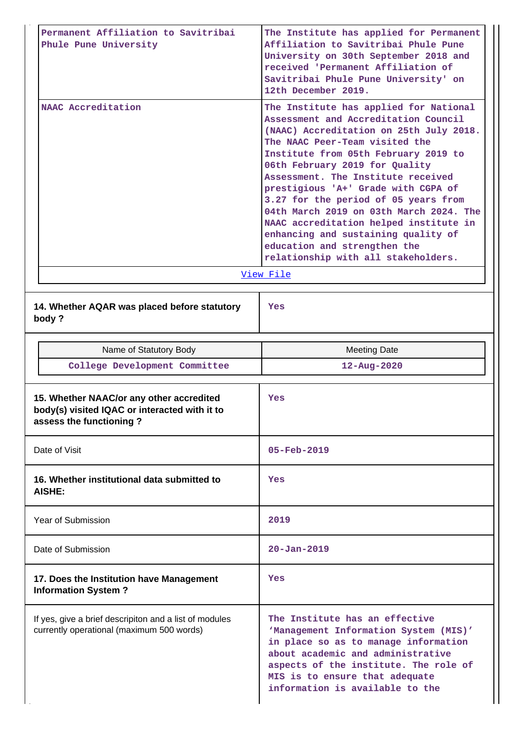| Permanent Affiliation to Savitribai<br>Phule Pune University                                                         | The Institute has applied for Permanent<br>Affiliation to Savitribai Phule Pune<br>University on 30th September 2018 and<br>received 'Permanent Affiliation of<br>Savitribai Phule Pune University' on<br>12th December 2019.                                                                                                                                                                                                                                                                                                                                              |
|----------------------------------------------------------------------------------------------------------------------|----------------------------------------------------------------------------------------------------------------------------------------------------------------------------------------------------------------------------------------------------------------------------------------------------------------------------------------------------------------------------------------------------------------------------------------------------------------------------------------------------------------------------------------------------------------------------|
| NAAC Accreditation                                                                                                   | The Institute has applied for National<br>Assessment and Accreditation Council<br>(NAAC) Accreditation on 25th July 2018.<br>The NAAC Peer-Team visited the<br>Institute from 05th February 2019 to<br>06th February 2019 for Quality<br>Assessment. The Institute received<br>prestigious 'A+' Grade with CGPA of<br>3.27 for the period of 05 years from<br>04th March 2019 on 03th March 2024. The<br>NAAC accreditation helped institute in<br>enhancing and sustaining quality of<br>education and strengthen the<br>relationship with all stakeholders.<br>View File |
| 14. Whether AQAR was placed before statutory<br>body?                                                                | Yes                                                                                                                                                                                                                                                                                                                                                                                                                                                                                                                                                                        |
| Name of Statutory Body                                                                                               | <b>Meeting Date</b>                                                                                                                                                                                                                                                                                                                                                                                                                                                                                                                                                        |
| College Development Committee                                                                                        | $12 - Aug - 2020$                                                                                                                                                                                                                                                                                                                                                                                                                                                                                                                                                          |
|                                                                                                                      |                                                                                                                                                                                                                                                                                                                                                                                                                                                                                                                                                                            |
| 15. Whether NAAC/or any other accredited<br>body(s) visited IQAC or interacted with it to<br>assess the functioning? | Yes                                                                                                                                                                                                                                                                                                                                                                                                                                                                                                                                                                        |
| Date of Visit                                                                                                        | $05 - Feb - 2019$                                                                                                                                                                                                                                                                                                                                                                                                                                                                                                                                                          |
| 16. Whether institutional data submitted to<br>AISHE:                                                                | Yes                                                                                                                                                                                                                                                                                                                                                                                                                                                                                                                                                                        |
| <b>Year of Submission</b>                                                                                            | 2019                                                                                                                                                                                                                                                                                                                                                                                                                                                                                                                                                                       |
| Date of Submission                                                                                                   | $20 - Jan - 2019$                                                                                                                                                                                                                                                                                                                                                                                                                                                                                                                                                          |
| 17. Does the Institution have Management<br><b>Information System?</b>                                               | Yes                                                                                                                                                                                                                                                                                                                                                                                                                                                                                                                                                                        |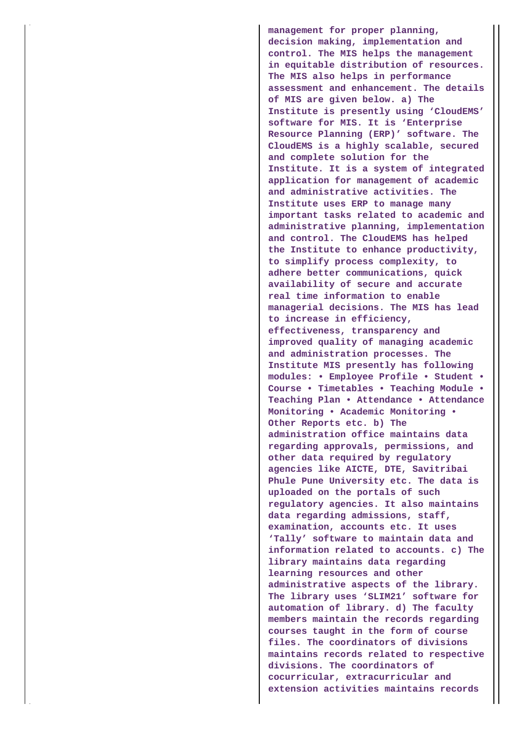**management for proper planning, decision making, implementation and control. The MIS helps the management in equitable distribution of resources. The MIS also helps in performance assessment and enhancement. The details of MIS are given below. a) The Institute is presently using 'CloudEMS' software for MIS. It is 'Enterprise Resource Planning (ERP)' software. The CloudEMS is a highly scalable, secured and complete solution for the Institute. It is a system of integrated application for management of academic and administrative activities. The Institute uses ERP to manage many important tasks related to academic and administrative planning, implementation and control. The CloudEMS has helped the Institute to enhance productivity, to simplify process complexity, to adhere better communications, quick availability of secure and accurate real time information to enable managerial decisions. The MIS has lead to increase in efficiency, effectiveness, transparency and improved quality of managing academic and administration processes. The Institute MIS presently has following modules: • Employee Profile • Student • Course • Timetables • Teaching Module • Teaching Plan • Attendance • Attendance Monitoring • Academic Monitoring • Other Reports etc. b) The administration office maintains data regarding approvals, permissions, and other data required by regulatory agencies like AICTE, DTE, Savitribai Phule Pune University etc. The data is uploaded on the portals of such regulatory agencies. It also maintains data regarding admissions, staff, examination, accounts etc. It uses 'Tally' software to maintain data and information related to accounts. c) The library maintains data regarding learning resources and other administrative aspects of the library. The library uses 'SLIM21' software for automation of library. d) The faculty members maintain the records regarding courses taught in the form of course files. The coordinators of divisions maintains records related to respective divisions. The coordinators of cocurricular, extracurricular and extension activities maintains records**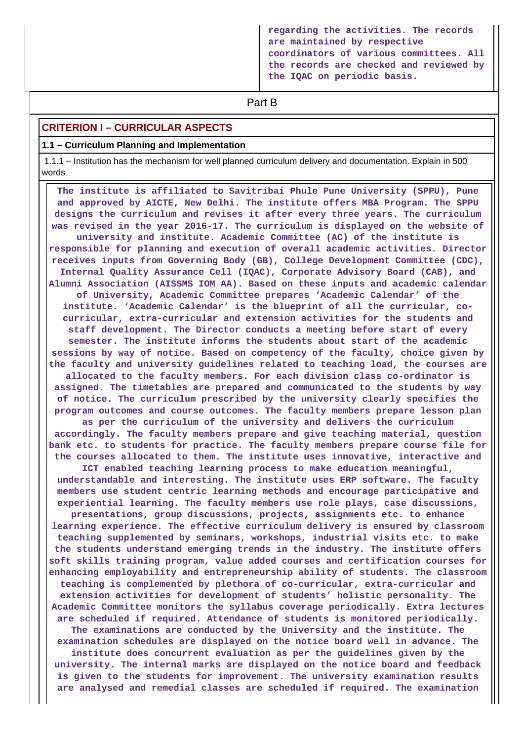**regarding the activities. The records are maintained by respective coordinators of various committees. All the records are checked and reviewed by the IQAC on periodic basis.**

# **Part B**

## **CRITERION I – CURRICULAR ASPECTS**

#### **1.1 – Curriculum Planning and Implementation**

 1.1.1 – Institution has the mechanism for well planned curriculum delivery and documentation. Explain in 500 words

 **The institute is affiliated to Savitribai Phule Pune University (SPPU), Pune and approved by AICTE, New Delhi. The institute offers MBA Program. The SPPU designs the curriculum and revises it after every three years. The curriculum was revised in the year 2016-17. The curriculum is displayed on the website of university and institute. Academic Committee (AC) of the institute is responsible for planning and execution of overall academic activities. Director receives inputs from Governing Body (GB), College Development Committee (CDC), Internal Quality Assurance Cell (IQAC), Corporate Advisory Board (CAB), and Alumni Association (AISSMS IOM AA). Based on these inputs and academic calendar of University, Academic Committee prepares 'Academic Calendar' of the institute. 'Academic Calendar' is the blueprint of all the curricular, cocurricular, extra-curricular and extension activities for the students and staff development. The Director conducts a meeting before start of every semester. The institute informs the students about start of the academic sessions by way of notice. Based on competency of the faculty, choice given by the faculty and university guidelines related to teaching load, the courses are allocated to the faculty members. For each division class co-ordinator is assigned. The timetables are prepared and communicated to the students by way of notice. The curriculum prescribed by the university clearly specifies the program outcomes and course outcomes. The faculty members prepare lesson plan as per the curriculum of the university and delivers the curriculum accordingly. The faculty members prepare and give teaching material, question bank etc. to students for practice. The faculty members prepare course file for the courses allocated to them. The institute uses innovative, interactive and ICT enabled teaching learning process to make education meaningful, understandable and interesting. The institute uses ERP software. The faculty members use student centric learning methods and encourage participative and experiential learning. The faculty members use role plays, case discussions, presentations, group discussions, projects, assignments etc. to enhance learning experience. The effective curriculum delivery is ensured by classroom teaching supplemented by seminars, workshops, industrial visits etc. to make the students understand emerging trends in the industry. The institute offers soft skills training program, value added courses and certification courses for enhancing employability and entrepreneurship ability of students. The classroom teaching is complemented by plethora of co-curricular, extra-curricular and extension activities for development of students' holistic personality. The Academic Committee monitors the syllabus coverage periodically. Extra lectures are scheduled if required. Attendance of students is monitored periodically. The examinations are conducted by the University and the institute. The examination schedules are displayed on the notice board well in advance. The institute does concurrent evaluation as per the guidelines given by the university. The internal marks are displayed on the notice board and feedback is given to the students for improvement. The university examination results are analysed and remedial classes are scheduled if required. The examination**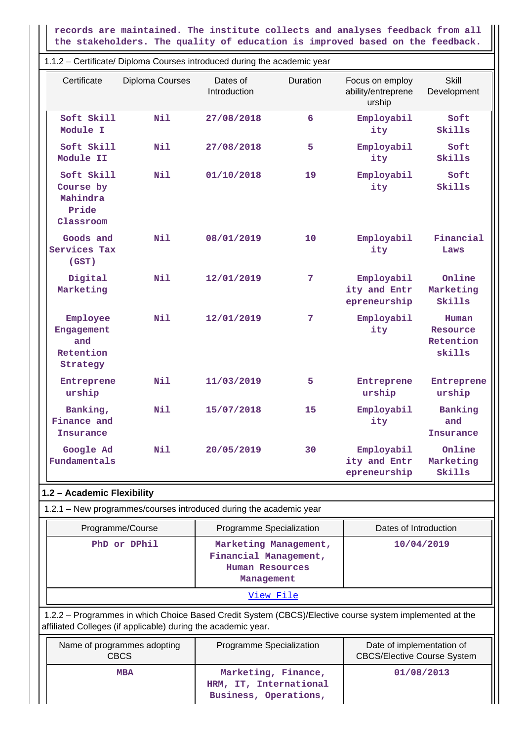**records are maintained. The institute collects and analyses feedback from all the stakeholders. The quality of education is improved based on the feedback.**

1.1.2 – Certificate/ Diploma Courses introduced during the academic year

| Certificate                                               | Diploma Courses                                                              | Dates of<br>Introduction | Duration | Focus on employ<br>ability/entreprene<br>urship | <b>Skill</b><br>Development              |  |
|-----------------------------------------------------------|------------------------------------------------------------------------------|--------------------------|----------|-------------------------------------------------|------------------------------------------|--|
| Soft Skill<br>Module I                                    | <b>Nil</b>                                                                   | 27/08/2018               | 6        | Employabil<br>ity                               | Soft<br>Skills                           |  |
| Soft Skill<br>Module II                                   | Nil                                                                          | 27/08/2018               | 5        | Employabil<br>ity                               | Soft<br>Skills                           |  |
| Soft Skill<br>Course by<br>Mahindra<br>Pride<br>Classroom | Nil                                                                          | 01/10/2018               | 19       | Employabil<br>ity                               | Soft<br>Skills                           |  |
| Goods and<br>Services Tax<br>(GST)                        | Nil                                                                          | 08/01/2019               | 10       | Employabil<br>ity                               | Financial<br>Laws                        |  |
| Digital<br>Marketing                                      | Nil                                                                          | 12/01/2019               | 7        | Employabil<br>ity and Entr<br>epreneurship      | Online<br>Marketing<br>Skills            |  |
| Employee<br>Engagement<br>and<br>Retention<br>Strategy    | Nil                                                                          | 12/01/2019               | 7        | Employabil<br>ity                               | Human<br>Resource<br>Retention<br>skills |  |
| Entreprene<br>urship                                      | Nil                                                                          | 11/03/2019               | 5        | Entreprene<br>urship                            | Entreprene<br>urship                     |  |
| Banking,<br>Finance and<br><b>Insurance</b>               | Nil                                                                          | 15/07/2018               | 15       | Employabil<br>ity                               | Banking<br>and<br>Insurance              |  |
| Google Ad<br>Fundamentals                                 | Nil                                                                          | 20/05/2019               | 30       | Employabil<br>ity and Entr<br>epreneurship      | Online<br>Marketing<br>Skills            |  |
| 1.2 - Academic Flexibility                                |                                                                              |                          |          |                                                 |                                          |  |
|                                                           | 1.2.1 - New programmes/courses introduced during the academic year           |                          |          |                                                 |                                          |  |
|                                                           | Pronramma/Courea<br><b>Drogrammo Specialization</b><br>Dates of Introduction |                          |          |                                                 |                                          |  |

| <b>Flogramme/Course</b> | <b>Programme opecialization</b>                                                 | Dales Of The OutChon |
|-------------------------|---------------------------------------------------------------------------------|----------------------|
| PhD or DPhil            | Marketing Management,<br>Financial Management,<br>Human Resources<br>Management | 10/04/2019           |
|                         |                                                                                 |                      |
|                         |                                                                                 |                      |

 1.2.2 – Programmes in which Choice Based Credit System (CBCS)/Elective course system implemented at the affiliated Colleges (if applicable) during the academic year.

| Name of programmes adopting<br><b>CBCS</b> | Programme Specialization                                               | Date of implementation of<br><b>CBCS/Elective Course System</b> |
|--------------------------------------------|------------------------------------------------------------------------|-----------------------------------------------------------------|
| <b>MBA</b>                                 | Marketing, Finance,<br>HRM, IT, International<br>Business, Operations, | 01/08/2013                                                      |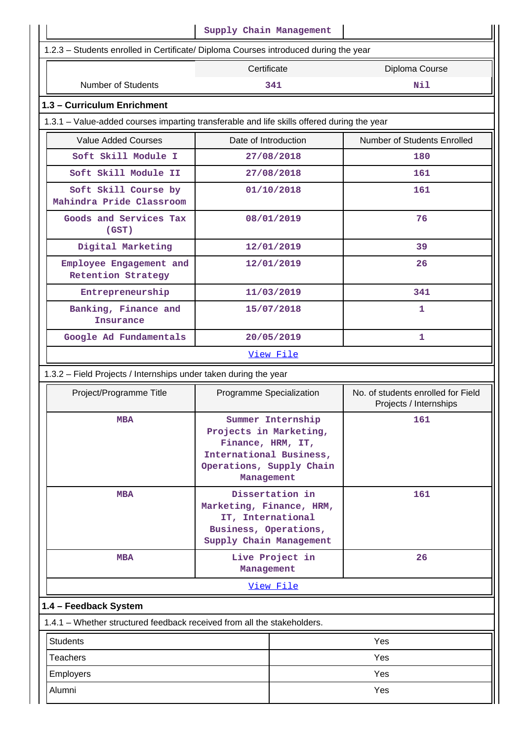|                                                                                                                     | Supply Chain Management                                                                                                            |  |                             |
|---------------------------------------------------------------------------------------------------------------------|------------------------------------------------------------------------------------------------------------------------------------|--|-----------------------------|
| 1.2.3 - Students enrolled in Certificate/ Diploma Courses introduced during the year                                |                                                                                                                                    |  |                             |
|                                                                                                                     | Certificate                                                                                                                        |  | Diploma Course              |
| <b>Number of Students</b>                                                                                           | 341                                                                                                                                |  | Nil                         |
| 1.3 - Curriculum Enrichment                                                                                         |                                                                                                                                    |  |                             |
| 1.3.1 – Value-added courses imparting transferable and life skills offered during the year                          |                                                                                                                                    |  |                             |
| <b>Value Added Courses</b>                                                                                          | Date of Introduction                                                                                                               |  | Number of Students Enrolled |
| Soft Skill Module I                                                                                                 | 27/08/2018                                                                                                                         |  | 180                         |
| Soft Skill Module II                                                                                                | 27/08/2018                                                                                                                         |  | 161                         |
| Soft Skill Course by<br>Mahindra Pride Classroom                                                                    | 01/10/2018                                                                                                                         |  | 161                         |
| Goods and Services Tax<br>(GST)                                                                                     | 08/01/2019                                                                                                                         |  | 76                          |
| Digital Marketing                                                                                                   | 12/01/2019                                                                                                                         |  | 39                          |
| Employee Engagement and<br><b>Retention Strategy</b>                                                                | 12/01/2019                                                                                                                         |  | 26                          |
| Entrepreneurship                                                                                                    | 11/03/2019                                                                                                                         |  | 341                         |
| Banking, Finance and<br>Insurance                                                                                   | 15/07/2018                                                                                                                         |  | 1                           |
| Google Ad Fundamentals                                                                                              | 20/05/2019                                                                                                                         |  | 1                           |
|                                                                                                                     | View File                                                                                                                          |  |                             |
| 1.3.2 - Field Projects / Internships under taken during the year                                                    |                                                                                                                                    |  |                             |
| Project/Programme Title<br>No. of students enrolled for Field<br>Programme Specialization<br>Projects / Internships |                                                                                                                                    |  |                             |
| <b>MBA</b>                                                                                                          | Summer Internship<br>Projects in Marketing,<br>Finance, HRM, IT,<br>International Business,<br>Operations, Supply Chain            |  | 161                         |
| <b>MBA</b>                                                                                                          | Management<br>Dissertation in<br>Marketing, Finance, HRM,<br>IT, International<br>Business, Operations,<br>Supply Chain Management |  | 161                         |
| <b>MBA</b>                                                                                                          | Live Project in<br>Management                                                                                                      |  | 26                          |
|                                                                                                                     | View File                                                                                                                          |  |                             |
| 1.4 - Feedback System                                                                                               |                                                                                                                                    |  |                             |
| 1.4.1 – Whether structured feedback received from all the stakeholders.                                             |                                                                                                                                    |  |                             |
| <b>Students</b><br>Yes                                                                                              |                                                                                                                                    |  |                             |
|                                                                                                                     |                                                                                                                                    |  |                             |
| <b>Teachers</b>                                                                                                     |                                                                                                                                    |  | Yes                         |
| Employers                                                                                                           |                                                                                                                                    |  | Yes                         |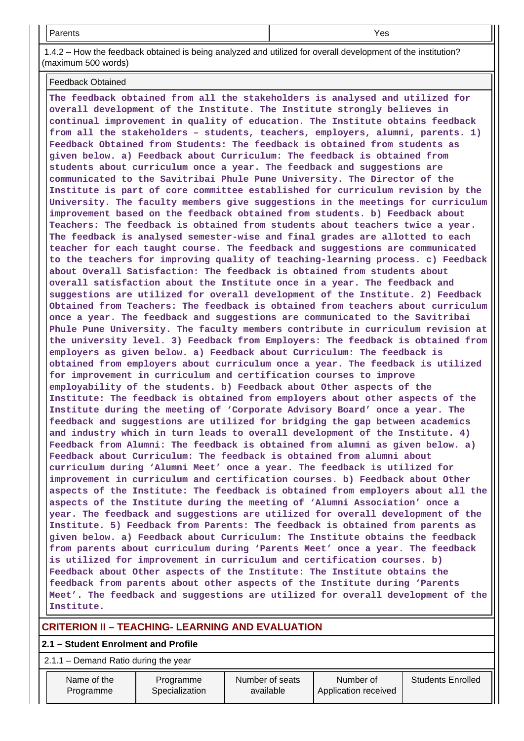| Parents | Yes |
|---------|-----|
|         |     |

 1.4.2 – How the feedback obtained is being analyzed and utilized for overall development of the institution? (maximum 500 words)

Feedback Obtained

**The feedback obtained from all the stakeholders is analysed and utilized for overall development of the Institute. The Institute strongly believes in continual improvement in quality of education. The Institute obtains feedback from all the stakeholders – students, teachers, employers, alumni, parents. 1) Feedback Obtained from Students: The feedback is obtained from students as given below. a) Feedback about Curriculum: The feedback is obtained from students about curriculum once a year. The feedback and suggestions are communicated to the Savitribai Phule Pune University. The Director of the Institute is part of core committee established for curriculum revision by the University. The faculty members give suggestions in the meetings for curriculum improvement based on the feedback obtained from students. b) Feedback about Teachers: The feedback is obtained from students about teachers twice a year. The feedback is analysed semester-wise and final grades are allotted to each teacher for each taught course. The feedback and suggestions are communicated to the teachers for improving quality of teaching-learning process. c) Feedback about Overall Satisfaction: The feedback is obtained from students about overall satisfaction about the Institute once in a year. The feedback and suggestions are utilized for overall development of the Institute. 2) Feedback Obtained from Teachers: The feedback is obtained from teachers about curriculum once a year. The feedback and suggestions are communicated to the Savitribai Phule Pune University. The faculty members contribute in curriculum revision at the university level. 3) Feedback from Employers: The feedback is obtained from employers as given below. a) Feedback about Curriculum: The feedback is obtained from employers about curriculum once a year. The feedback is utilized for improvement in curriculum and certification courses to improve employability of the students. b) Feedback about Other aspects of the Institute: The feedback is obtained from employers about other aspects of the Institute during the meeting of 'Corporate Advisory Board' once a year. The feedback and suggestions are utilized for bridging the gap between academics and industry which in turn leads to overall development of the Institute. 4) Feedback from Alumni: The feedback is obtained from alumni as given below. a) Feedback about Curriculum: The feedback is obtained from alumni about curriculum during 'Alumni Meet' once a year. The feedback is utilized for improvement in curriculum and certification courses. b) Feedback about Other aspects of the Institute: The feedback is obtained from employers about all the aspects of the Institute during the meeting of 'Alumni Association' once a year. The feedback and suggestions are utilized for overall development of the Institute. 5) Feedback from Parents: The feedback is obtained from parents as given below. a) Feedback about Curriculum: The Institute obtains the feedback from parents about curriculum during 'Parents Meet' once a year. The feedback is utilized for improvement in curriculum and certification courses. b) Feedback about Other aspects of the Institute: The Institute obtains the feedback from parents about other aspects of the Institute during 'Parents Meet'. The feedback and suggestions are utilized for overall development of the Institute.**

## **CRITERION II – TEACHING- LEARNING AND EVALUATION**

## **2.1 – Student Enrolment and Profile**

2.1.1 – Demand Ratio during the year

| Name of the<br>Programme | Programme<br>Specialization | Number of seats<br>available | Number of<br>Application received | <b>Students Enrolled</b> |
|--------------------------|-----------------------------|------------------------------|-----------------------------------|--------------------------|
|                          |                             |                              |                                   |                          |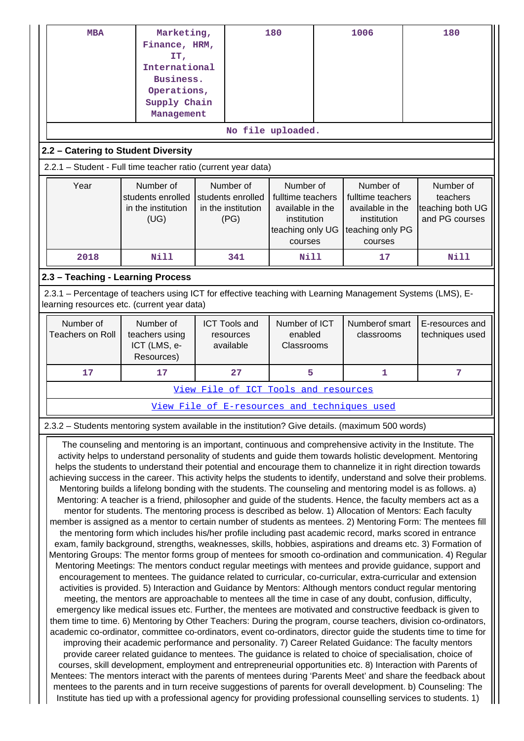|                         | <b>MBA</b>                                                                                                                                                                                                                 | Marketing,<br>Finance, HRM,<br>IT,                                                                |  |                                         | 180                                   |  | 1006                                         | 180                                                                                                                                                                                                                                                                                                                                           |  |  |  |  |  |  |
|-------------------------|----------------------------------------------------------------------------------------------------------------------------------------------------------------------------------------------------------------------------|---------------------------------------------------------------------------------------------------|--|-----------------------------------------|---------------------------------------|--|----------------------------------------------|-----------------------------------------------------------------------------------------------------------------------------------------------------------------------------------------------------------------------------------------------------------------------------------------------------------------------------------------------|--|--|--|--|--|--|
|                         |                                                                                                                                                                                                                            | International                                                                                     |  |                                         |                                       |  |                                              |                                                                                                                                                                                                                                                                                                                                               |  |  |  |  |  |  |
|                         |                                                                                                                                                                                                                            | Business.<br>Operations,                                                                          |  |                                         |                                       |  |                                              |                                                                                                                                                                                                                                                                                                                                               |  |  |  |  |  |  |
|                         |                                                                                                                                                                                                                            | Supply Chain                                                                                      |  |                                         |                                       |  |                                              |                                                                                                                                                                                                                                                                                                                                               |  |  |  |  |  |  |
|                         |                                                                                                                                                                                                                            | Management                                                                                        |  |                                         |                                       |  |                                              |                                                                                                                                                                                                                                                                                                                                               |  |  |  |  |  |  |
|                         |                                                                                                                                                                                                                            |                                                                                                   |  |                                         | No file uploaded.                     |  |                                              |                                                                                                                                                                                                                                                                                                                                               |  |  |  |  |  |  |
|                         |                                                                                                                                                                                                                            | 2.2 - Catering to Student Diversity                                                               |  |                                         |                                       |  |                                              |                                                                                                                                                                                                                                                                                                                                               |  |  |  |  |  |  |
|                         |                                                                                                                                                                                                                            | 2.2.1 - Student - Full time teacher ratio (current year data)                                     |  |                                         |                                       |  |                                              |                                                                                                                                                                                                                                                                                                                                               |  |  |  |  |  |  |
| Year                    |                                                                                                                                                                                                                            | Number of                                                                                         |  | Number of                               | Number of                             |  | Number of                                    | Number of                                                                                                                                                                                                                                                                                                                                     |  |  |  |  |  |  |
|                         |                                                                                                                                                                                                                            | students enrolled<br>in the institution                                                           |  | students enrolled<br>in the institution | fulltime teachers<br>available in the |  | fulltime teachers<br>available in the        | teachers<br>teaching both UG                                                                                                                                                                                                                                                                                                                  |  |  |  |  |  |  |
|                         |                                                                                                                                                                                                                            | (UG)                                                                                              |  | (PG)                                    | institution                           |  | institution                                  | and PG courses                                                                                                                                                                                                                                                                                                                                |  |  |  |  |  |  |
|                         |                                                                                                                                                                                                                            |                                                                                                   |  |                                         | teaching only UG<br>courses           |  | teaching only PG<br>courses                  |                                                                                                                                                                                                                                                                                                                                               |  |  |  |  |  |  |
| 2018                    |                                                                                                                                                                                                                            | Nill                                                                                              |  | 341                                     | Nill                                  |  | 17                                           | <b>Nill</b>                                                                                                                                                                                                                                                                                                                                   |  |  |  |  |  |  |
|                         |                                                                                                                                                                                                                            | 2.3 - Teaching - Learning Process                                                                 |  |                                         |                                       |  |                                              |                                                                                                                                                                                                                                                                                                                                               |  |  |  |  |  |  |
|                         |                                                                                                                                                                                                                            |                                                                                                   |  |                                         |                                       |  |                                              | 2.3.1 – Percentage of teachers using ICT for effective teaching with Learning Management Systems (LMS), E-                                                                                                                                                                                                                                    |  |  |  |  |  |  |
|                         |                                                                                                                                                                                                                            | learning resources etc. (current year data)                                                       |  |                                         |                                       |  |                                              |                                                                                                                                                                                                                                                                                                                                               |  |  |  |  |  |  |
| Number of               |                                                                                                                                                                                                                            | Number of                                                                                         |  | <b>ICT Tools and</b>                    | Number of ICT                         |  | Numberof smart                               | E-resources and                                                                                                                                                                                                                                                                                                                               |  |  |  |  |  |  |
| <b>Teachers on Roll</b> |                                                                                                                                                                                                                            | teachers using<br>ICT (LMS, e-                                                                    |  | resources<br>available                  | enabled<br>Classrooms                 |  | classrooms                                   | techniques used                                                                                                                                                                                                                                                                                                                               |  |  |  |  |  |  |
|                         |                                                                                                                                                                                                                            | Resources)                                                                                        |  |                                         |                                       |  |                                              |                                                                                                                                                                                                                                                                                                                                               |  |  |  |  |  |  |
| 17                      |                                                                                                                                                                                                                            | 17                                                                                                |  | 27                                      | 5                                     |  | 1                                            | 7                                                                                                                                                                                                                                                                                                                                             |  |  |  |  |  |  |
|                         |                                                                                                                                                                                                                            |                                                                                                   |  |                                         | View File of ICT Tools and resources  |  |                                              |                                                                                                                                                                                                                                                                                                                                               |  |  |  |  |  |  |
|                         |                                                                                                                                                                                                                            |                                                                                                   |  |                                         |                                       |  | View File of E-resources and techniques used |                                                                                                                                                                                                                                                                                                                                               |  |  |  |  |  |  |
|                         |                                                                                                                                                                                                                            | 2.3.2 - Students mentoring system available in the institution? Give details. (maximum 500 words) |  |                                         |                                       |  |                                              |                                                                                                                                                                                                                                                                                                                                               |  |  |  |  |  |  |
|                         |                                                                                                                                                                                                                            |                                                                                                   |  |                                         |                                       |  |                                              | The counseling and mentoring is an important, continuous and comprehensive activity in the Institute. The<br>activity helps to understand personality of students and guide them towards holistic development. Mentoring                                                                                                                      |  |  |  |  |  |  |
|                         |                                                                                                                                                                                                                            |                                                                                                   |  |                                         |                                       |  |                                              | helps the students to understand their potential and encourage them to channelize it in right direction towards                                                                                                                                                                                                                               |  |  |  |  |  |  |
|                         |                                                                                                                                                                                                                            |                                                                                                   |  |                                         |                                       |  |                                              | achieving success in the career. This activity helps the students to identify, understand and solve their problems.                                                                                                                                                                                                                           |  |  |  |  |  |  |
|                         |                                                                                                                                                                                                                            |                                                                                                   |  |                                         |                                       |  |                                              | Mentoring builds a lifelong bonding with the students. The counseling and mentoring model is as follows. a)<br>Mentoring: A teacher is a friend, philosopher and guide of the students. Hence, the faculty members act as a                                                                                                                   |  |  |  |  |  |  |
|                         |                                                                                                                                                                                                                            |                                                                                                   |  |                                         |                                       |  |                                              | mentor for students. The mentoring process is described as below. 1) Allocation of Mentors: Each faculty                                                                                                                                                                                                                                      |  |  |  |  |  |  |
|                         |                                                                                                                                                                                                                            |                                                                                                   |  |                                         |                                       |  |                                              | member is assigned as a mentor to certain number of students as mentees. 2) Mentoring Form: The mentees fill                                                                                                                                                                                                                                  |  |  |  |  |  |  |
|                         | the mentoring form which includes his/her profile including past academic record, marks scored in entrance<br>exam, family background, strengths, weaknesses, skills, hobbies, aspirations and dreams etc. 3) Formation of |                                                                                                   |  |                                         |                                       |  |                                              |                                                                                                                                                                                                                                                                                                                                               |  |  |  |  |  |  |
|                         |                                                                                                                                                                                                                            |                                                                                                   |  |                                         |                                       |  |                                              | Mentoring Groups: The mentor forms group of mentees for smooth co-ordination and communication. 4) Regular                                                                                                                                                                                                                                    |  |  |  |  |  |  |
|                         |                                                                                                                                                                                                                            |                                                                                                   |  |                                         |                                       |  |                                              | Mentoring Meetings: The mentors conduct regular meetings with mentees and provide guidance, support and                                                                                                                                                                                                                                       |  |  |  |  |  |  |
|                         |                                                                                                                                                                                                                            |                                                                                                   |  |                                         |                                       |  |                                              | encouragement to mentees. The guidance related to curricular, co-curricular, extra-curricular and extension                                                                                                                                                                                                                                   |  |  |  |  |  |  |
|                         | activities is provided. 5) Interaction and Guidance by Mentors: Although mentors conduct regular mentoring<br>meeting, the mentors are approachable to mentees all the time in case of any doubt, confusion, difficulty,   |                                                                                                   |  |                                         |                                       |  |                                              |                                                                                                                                                                                                                                                                                                                                               |  |  |  |  |  |  |
|                         |                                                                                                                                                                                                                            |                                                                                                   |  |                                         |                                       |  |                                              | emergency like medical issues etc. Further, the mentees are motivated and constructive feedback is given to                                                                                                                                                                                                                                   |  |  |  |  |  |  |
|                         |                                                                                                                                                                                                                            |                                                                                                   |  |                                         |                                       |  |                                              | them time to time. 6) Mentoring by Other Teachers: During the program, course teachers, division co-ordinators,<br>academic co-ordinator, committee co-ordinators, event co-ordinators, director guide the students time to time for                                                                                                          |  |  |  |  |  |  |
|                         |                                                                                                                                                                                                                            |                                                                                                   |  |                                         |                                       |  |                                              |                                                                                                                                                                                                                                                                                                                                               |  |  |  |  |  |  |
|                         |                                                                                                                                                                                                                            |                                                                                                   |  |                                         |                                       |  |                                              | improving their academic performance and personality. 7) Career Related Guidance: The faculty mentors                                                                                                                                                                                                                                         |  |  |  |  |  |  |
|                         |                                                                                                                                                                                                                            |                                                                                                   |  |                                         |                                       |  |                                              | provide career related guidance to mentees. The guidance is related to choice of specialisation, choice of                                                                                                                                                                                                                                    |  |  |  |  |  |  |
|                         |                                                                                                                                                                                                                            |                                                                                                   |  |                                         |                                       |  |                                              | courses, skill development, employment and entrepreneurial opportunities etc. 8) Interaction with Parents of<br>Mentees: The mentors interact with the parents of mentees during 'Parents Meet' and share the feedback about<br>mentees to the parents and in turn receive suggestions of parents for overall development. b) Counseling: The |  |  |  |  |  |  |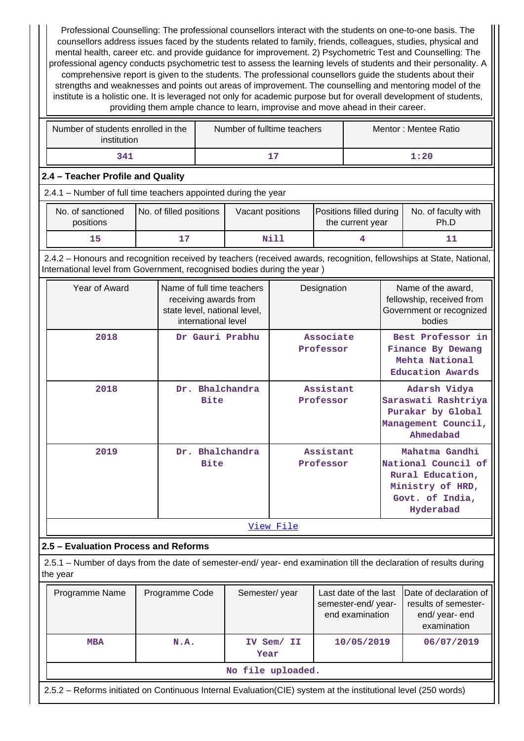Professional Counselling: The professional counsellors interact with the students on one-to-one basis. The counsellors address issues faced by the students related to family, friends, colleagues, studies, physical and mental health, career etc. and provide guidance for improvement. 2) Psychometric Test and Counselling: The professional agency conducts psychometric test to assess the learning levels of students and their personality. A comprehensive report is given to the students. The professional counsellors guide the students about their strengths and weaknesses and points out areas of improvement. The counselling and mentoring model of the institute is a holistic one. It is leveraged not only for academic purpose but for overall development of students, providing them ample chance to learn, improvise and move ahead in their career.

| Number of students enrolled in the<br>institution | Number of fulltime teachers | Mentor: Mentee Ratio |
|---------------------------------------------------|-----------------------------|----------------------|
| 341                                               | 15                          | 1:20                 |

## **2.4 – Teacher Profile and Quality**

| 2.4.1 - Number of full time teachers appointed during the year |  |  |  |  |
|----------------------------------------------------------------|--|--|--|--|
|----------------------------------------------------------------|--|--|--|--|

| No. of sanctioned<br>positions | No. of filled positions | Vacant positions | Positions filled during<br>the current year | No. of faculty with<br>Ph.D |
|--------------------------------|-------------------------|------------------|---------------------------------------------|-----------------------------|
|                                |                         | Nil]             |                                             |                             |

 2.4.2 – Honours and recognition received by teachers (received awards, recognition, fellowships at State, National, International level from Government, recognised bodies during the year )

| Year of Award | Name of full time teachers<br>receiving awards from<br>state level, national level,<br>international level | Designation            | Name of the award,<br>fellowship, received from<br>Government or recognized<br>bodies                         |  |  |  |  |
|---------------|------------------------------------------------------------------------------------------------------------|------------------------|---------------------------------------------------------------------------------------------------------------|--|--|--|--|
| 2018          | Dr Gauri Prabhu                                                                                            | Associate<br>Professor | Best Professor in<br>Finance By Dewang<br>Mehta National<br><b>Education Awards</b>                           |  |  |  |  |
| 2018          | Dr. Bhalchandra<br><b>Bite</b>                                                                             | Assistant<br>Professor | Adarsh Vidya<br>Saraswati Rashtriya<br>Purakar by Global<br>Management Council,<br>Ahmedabad                  |  |  |  |  |
| 2019          | Dr. Bhalchandra<br><b>Bite</b>                                                                             | Assistant<br>Professor | Mahatma Gandhi<br>National Council of<br>Rural Education,<br>Ministry of HRD,<br>Govt. of India,<br>Hyderabad |  |  |  |  |
|               | <u>View File</u>                                                                                           |                        |                                                                                                               |  |  |  |  |

## **2.5 – Evaluation Process and Reforms**

 2.5.1 – Number of days from the date of semester-end/ year- end examination till the declaration of results during the year

|                    | Programme Name                                                                                                  | Programme Code | Semester/year      | Last date of the last<br>semester-end/year-<br>end examination | Date of declaration of<br>results of semester-<br>end/year-end<br>examination |  |
|--------------------|-----------------------------------------------------------------------------------------------------------------|----------------|--------------------|----------------------------------------------------------------|-------------------------------------------------------------------------------|--|
| <b>MBA</b><br>N.A. |                                                                                                                 |                | IV Sem/ II<br>Year | 10/05/2019                                                     | 06/07/2019                                                                    |  |
|                    | No file uploaded.                                                                                               |                |                    |                                                                |                                                                               |  |
|                    | 2.5.2 – Reforms initiated on Continuous Internal Evaluation (CIE) system at the institutional level (250 words) |                |                    |                                                                |                                                                               |  |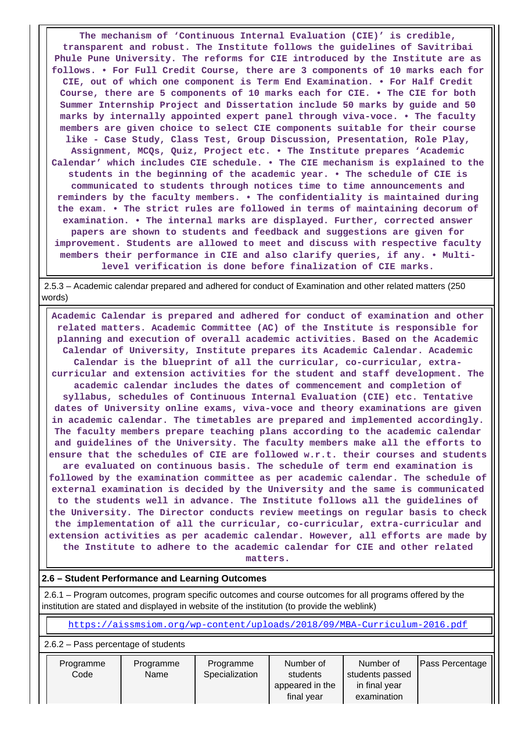**The mechanism of 'Continuous Internal Evaluation (CIE)' is credible, transparent and robust. The Institute follows the guidelines of Savitribai Phule Pune University. The reforms for CIE introduced by the Institute are as follows. • For Full Credit Course, there are 3 components of 10 marks each for CIE, out of which one component is Term End Examination. • For Half Credit Course, there are 5 components of 10 marks each for CIE. • The CIE for both Summer Internship Project and Dissertation include 50 marks by guide and 50 marks by internally appointed expert panel through viva-voce. • The faculty members are given choice to select CIE components suitable for their course like - Case Study, Class Test, Group Discussion, Presentation, Role Play, Assignment, MCQs, Quiz, Project etc. • The Institute prepares 'Academic Calendar' which includes CIE schedule. • The CIE mechanism is explained to the students in the beginning of the academic year. • The schedule of CIE is communicated to students through notices time to time announcements and reminders by the faculty members. • The confidentiality is maintained during the exam. • The strict rules are followed in terms of maintaining decorum of examination. • The internal marks are displayed. Further, corrected answer papers are shown to students and feedback and suggestions are given for improvement. Students are allowed to meet and discuss with respective faculty members their performance in CIE and also clarify queries, if any. • Multilevel verification is done before finalization of CIE marks.**

 2.5.3 – Academic calendar prepared and adhered for conduct of Examination and other related matters (250 words)

 **Academic Calendar is prepared and adhered for conduct of examination and other related matters. Academic Committee (AC) of the Institute is responsible for planning and execution of overall academic activities. Based on the Academic Calendar of University, Institute prepares its Academic Calendar. Academic Calendar is the blueprint of all the curricular, co-curricular, extracurricular and extension activities for the student and staff development. The academic calendar includes the dates of commencement and completion of syllabus, schedules of Continuous Internal Evaluation (CIE) etc. Tentative dates of University online exams, viva-voce and theory examinations are given in academic calendar. The timetables are prepared and implemented accordingly. The faculty members prepare teaching plans according to the academic calendar and guidelines of the University. The faculty members make all the efforts to ensure that the schedules of CIE are followed w.r.t. their courses and students are evaluated on continuous basis. The schedule of term end examination is followed by the examination committee as per academic calendar. The schedule of external examination is decided by the University and the same is communicated to the students well in advance. The Institute follows all the guidelines of the University. The Director conducts review meetings on regular basis to check the implementation of all the curricular, co-curricular, extra-curricular and extension activities as per academic calendar. However, all efforts are made by the Institute to adhere to the academic calendar for CIE and other related matters.**

## **2.6 – Student Performance and Learning Outcomes**

 2.6.1 – Program outcomes, program specific outcomes and course outcomes for all programs offered by the institution are stated and displayed in website of the institution (to provide the weblink)

<https://aissmsiom.org/wp-content/uploads/2018/09/MBA-Curriculum-2016.pdf>

#### 2.6.2 – Pass percentage of students

| Programme | Programme | Programme      | Number of       | Number of       | <b>Pass Percentage</b> |
|-----------|-----------|----------------|-----------------|-----------------|------------------------|
| Code      | Name      | Specialization | students        | students passed |                        |
|           |           |                | appeared in the | in final year   |                        |
|           |           |                | final vear      | examination     |                        |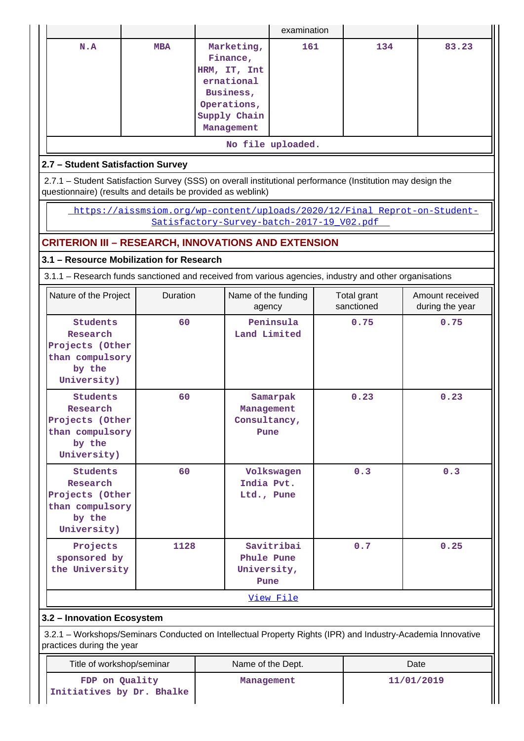|                                                                                            |            |                                                                                                                | examination       |                           |                                                                                                             |
|--------------------------------------------------------------------------------------------|------------|----------------------------------------------------------------------------------------------------------------|-------------------|---------------------------|-------------------------------------------------------------------------------------------------------------|
| N.A                                                                                        | <b>MBA</b> | Marketing,<br>Finance,<br>HRM, IT, Int<br>ernational<br>Business,<br>Operations,<br>Supply Chain<br>Management | 161               | 134                       | 83.23                                                                                                       |
|                                                                                            |            |                                                                                                                | No file uploaded. |                           |                                                                                                             |
| 2.7 - Student Satisfaction Survey                                                          |            |                                                                                                                |                   |                           |                                                                                                             |
|                                                                                            |            | 2.7.1 – Student Satisfaction Survey (SSS) on overall institutional performance (Institution may design the     |                   |                           |                                                                                                             |
|                                                                                            |            | questionnaire) (results and details be provided as weblink)                                                    |                   |                           |                                                                                                             |
|                                                                                            |            |                                                                                                                |                   |                           | https://aissmsiom.org/wp-content/uploads/2020/12/Final Reprot-on-Student-                                   |
|                                                                                            |            | Satisfactory-Survey-batch-2017-19 V02.pdf                                                                      |                   |                           |                                                                                                             |
|                                                                                            |            | <b>CRITERION III - RESEARCH, INNOVATIONS AND EXTENSION</b>                                                     |                   |                           |                                                                                                             |
| 3.1 - Resource Mobilization for Research                                                   |            |                                                                                                                |                   |                           |                                                                                                             |
|                                                                                            |            | 3.1.1 – Research funds sanctioned and received from various agencies, industry and other organisations         |                   |                           |                                                                                                             |
| Nature of the Project                                                                      | Duration   | Name of the funding<br>agency                                                                                  |                   | Total grant<br>sanctioned | Amount received<br>during the year                                                                          |
| Students<br>Research<br>Projects (Other<br>than compulsory<br>by the<br>University)        | 60         | Land Limited                                                                                                   | Peninsula         | 0.75                      | 0.75                                                                                                        |
| <b>Students</b><br>Research<br>Projects (Other<br>than compulsory<br>by the<br>University) | 60         | Management<br>Consultancy,<br>Pune                                                                             | Samarpak          | 0.23                      | 0.23                                                                                                        |
|                                                                                            |            |                                                                                                                |                   |                           |                                                                                                             |
| <b>Students</b><br>Research<br>Projects (Other<br>than compulsory<br>by the<br>University) | 60         | India Pvt.<br>Ltd., Pune                                                                                       | Volkswagen        | 0.3                       | 0.3                                                                                                         |
| Projects<br>sponsored by<br>the University                                                 | 1128       | Phule Pune<br>University,<br>Pune                                                                              | Savitribai        | 0.7                       | 0.25                                                                                                        |
|                                                                                            |            |                                                                                                                | View File         |                           |                                                                                                             |
|                                                                                            |            |                                                                                                                |                   |                           |                                                                                                             |
| 3.2 - Innovation Ecosystem<br>practices during the year                                    |            |                                                                                                                |                   |                           | 3.2.1 - Workshops/Seminars Conducted on Intellectual Property Rights (IPR) and Industry-Academia Innovative |
| Title of workshop/seminar                                                                  |            | Name of the Dept.                                                                                              |                   |                           | Date                                                                                                        |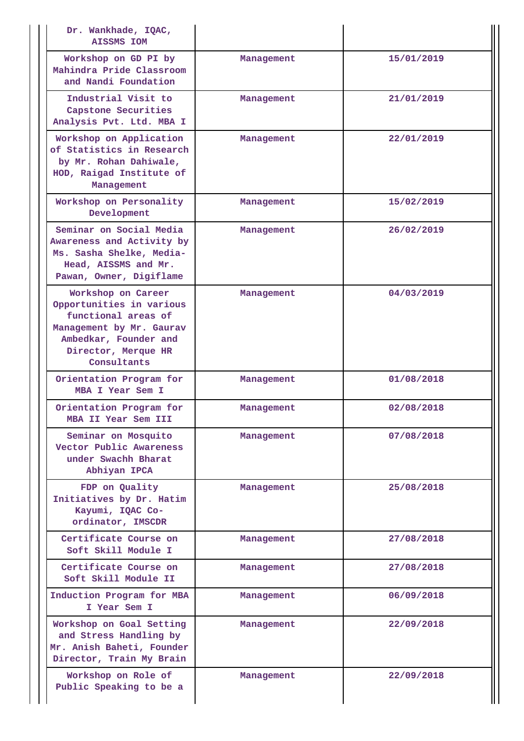| Dr. Wankhade, IQAC,<br><b>AISSMS IOM</b>                                                                                                                         |            |            |
|------------------------------------------------------------------------------------------------------------------------------------------------------------------|------------|------------|
| Workshop on GD PI by<br>Mahindra Pride Classroom<br>and Nandi Foundation                                                                                         | Management | 15/01/2019 |
| Industrial Visit to<br>Capstone Securities<br>Analysis Pvt. Ltd. MBA I                                                                                           | Management | 21/01/2019 |
| Workshop on Application<br>of Statistics in Research<br>by Mr. Rohan Dahiwale,<br>HOD, Raigad Institute of<br>Management                                         | Management | 22/01/2019 |
| Workshop on Personality<br>Development                                                                                                                           | Management | 15/02/2019 |
| Seminar on Social Media<br>Awareness and Activity by<br>Ms. Sasha Shelke, Media-<br>Head, AISSMS and Mr.<br>Pawan, Owner, Digiflame                              | Management | 26/02/2019 |
| Workshop on Career<br>Opportunities in various<br>functional areas of<br>Management by Mr. Gaurav<br>Ambedkar, Founder and<br>Director, Merque HR<br>Consultants | Management | 04/03/2019 |
| Orientation Program for<br>MBA I Year Sem I                                                                                                                      | Management | 01/08/2018 |
| Orientation Program for<br>MBA II Year Sem III                                                                                                                   | Management | 02/08/2018 |
| Seminar on Mosquito<br>Vector Public Awareness<br>under Swachh Bharat<br>Abhiyan IPCA                                                                            | Management | 07/08/2018 |
| FDP on Quality<br>Initiatives by Dr. Hatim<br>Kayumi, IQAC Co-<br>ordinator, IMSCDR                                                                              | Management | 25/08/2018 |
| Certificate Course on<br>Soft Skill Module I                                                                                                                     | Management | 27/08/2018 |
| Certificate Course on<br>Soft Skill Module II                                                                                                                    | Management | 27/08/2018 |
| Induction Program for MBA<br>I Year Sem I                                                                                                                        | Management | 06/09/2018 |
| Workshop on Goal Setting<br>and Stress Handling by<br>Mr. Anish Baheti, Founder<br>Director, Train My Brain                                                      | Management | 22/09/2018 |
| Workshop on Role of<br>Public Speaking to be a                                                                                                                   | Management | 22/09/2018 |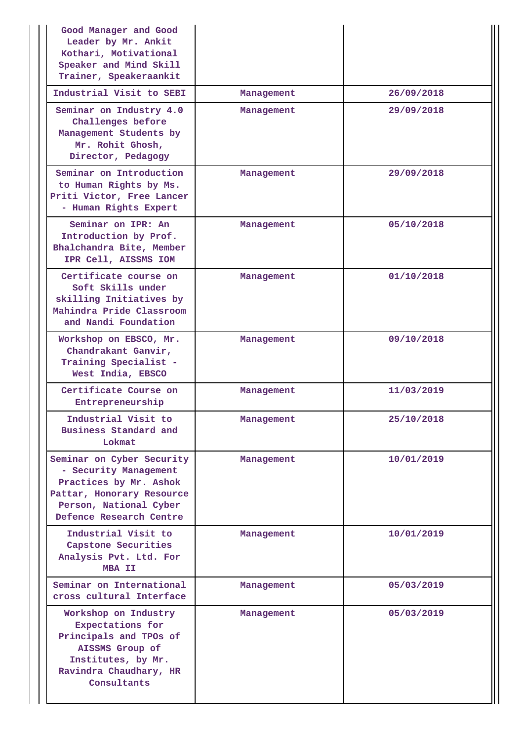| Good Manager and Good<br>Leader by Mr. Ankit<br>Kothari, Motivational<br>Speaker and Mind Skill<br>Trainer, Speakeraankit                                      |            |            |
|----------------------------------------------------------------------------------------------------------------------------------------------------------------|------------|------------|
| Industrial Visit to SEBI                                                                                                                                       | Management | 26/09/2018 |
| Seminar on Industry 4.0<br>Challenges before<br>Management Students by<br>Mr. Rohit Ghosh,<br>Director, Pedagogy                                               | Management | 29/09/2018 |
| Seminar on Introduction<br>to Human Rights by Ms.<br>Priti Victor, Free Lancer<br>- Human Rights Expert                                                        | Management | 29/09/2018 |
| Seminar on IPR: An<br>Introduction by Prof.<br>Bhalchandra Bite, Member<br>IPR Cell, AISSMS IOM                                                                | Management | 05/10/2018 |
| Certificate course on<br>Soft Skills under<br>skilling Initiatives by<br>Mahindra Pride Classroom<br>and Nandi Foundation                                      | Management | 01/10/2018 |
| Workshop on EBSCO, Mr.<br>Chandrakant Ganvir,<br>Training Specialist -<br>West India, EBSCO                                                                    | Management | 09/10/2018 |
| Certificate Course on<br>Entrepreneurship                                                                                                                      | Management | 11/03/2019 |
| Industrial Visit to<br>Business Standard and<br>Lokmat                                                                                                         | Management | 25/10/2018 |
| Seminar on Cyber Security<br>- Security Management<br>Practices by Mr. Ashok<br>Pattar, Honorary Resource<br>Person, National Cyber<br>Defence Research Centre | Management | 10/01/2019 |
| Industrial Visit to<br>Capstone Securities<br>Analysis Pvt. Ltd. For<br>MBA II                                                                                 | Management | 10/01/2019 |
| Seminar on International<br>cross cultural Interface                                                                                                           | Management | 05/03/2019 |
| Workshop on Industry<br>Expectations for<br>Principals and TPOs of<br>AISSMS Group of<br>Institutes, by Mr.<br>Ravindra Chaudhary, HR<br>Consultants           | Management | 05/03/2019 |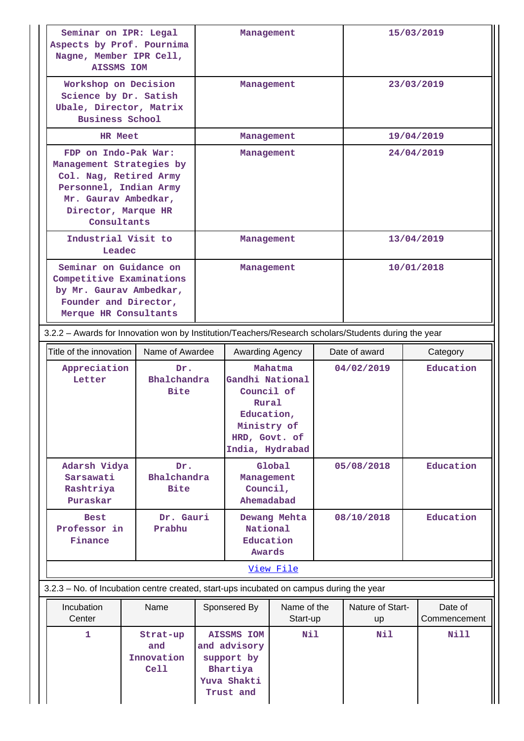| Seminar on IPR: Legal<br>Aspects by Prof. Pournima<br>Nagne, Member IPR Cell,<br><b>AISSMS IOM</b>                                                                 |                                                                                                                                 | Management                                                                                           |                                                                                                         |                         |  | 15/03/2019             |                         |
|--------------------------------------------------------------------------------------------------------------------------------------------------------------------|---------------------------------------------------------------------------------------------------------------------------------|------------------------------------------------------------------------------------------------------|---------------------------------------------------------------------------------------------------------|-------------------------|--|------------------------|-------------------------|
|                                                                                                                                                                    | Workshop on Decision<br>Science by Dr. Satish<br>Ubale, Director, Matrix<br><b>Business School</b>                              |                                                                                                      |                                                                                                         | Management              |  |                        | 23/03/2019              |
| <b>HR Meet</b>                                                                                                                                                     |                                                                                                                                 |                                                                                                      | Management                                                                                              |                         |  |                        | 19/04/2019              |
| FDP on Indo-Pak War:<br>Management Strategies by<br>Col. Nag, Retired Army<br>Personnel, Indian Army<br>Mr. Gaurav Ambedkar,<br>Director, Marque HR<br>Consultants |                                                                                                                                 | Management                                                                                           |                                                                                                         |                         |  | 24/04/2019             |                         |
| Industrial Visit to<br>Leadec                                                                                                                                      |                                                                                                                                 |                                                                                                      | Management                                                                                              |                         |  |                        | 13/04/2019              |
|                                                                                                                                                                    | Seminar on Guidance on<br>Competitive Examinations<br>by Mr. Gaurav Ambedkar,<br>Founder and Director,<br>Merque HR Consultants |                                                                                                      |                                                                                                         | Management              |  |                        | 10/01/2018              |
|                                                                                                                                                                    |                                                                                                                                 | 3.2.2 - Awards for Innovation won by Institution/Teachers/Research scholars/Students during the year |                                                                                                         |                         |  |                        |                         |
| Title of the innovation                                                                                                                                            | Name of Awardee                                                                                                                 |                                                                                                      | Awarding Agency                                                                                         |                         |  | Date of award          | Category                |
| Appreciation<br>Letter                                                                                                                                             | Dr.<br>Bhalchandra<br><b>Bite</b>                                                                                               |                                                                                                      | Gandhi National<br>Council of<br>Rural<br>Education,<br>Ministry of<br>HRD, Govt. of<br>India, Hydrabad | Mahatma                 |  | 04/02/2019             | Education               |
| Adarsh Vidya<br>Sarsawati<br>Rashtriya<br>Puraskar                                                                                                                 | Dr.<br>Bhalchandra<br><b>Bite</b>                                                                                               |                                                                                                      | Management<br>Council,<br>Ahemadabad                                                                    | Global                  |  | 05/08/2018             | Education               |
| <b>Best</b><br>Professor in<br>Finance                                                                                                                             | Dr. Gauri<br>Prabhu                                                                                                             |                                                                                                      | National<br>Education<br>Awards                                                                         | Dewang Mehta            |  | 08/10/2018             | Education               |
|                                                                                                                                                                    |                                                                                                                                 |                                                                                                      |                                                                                                         | View File               |  |                        |                         |
| 3.2.3 - No. of Incubation centre created, start-ups incubated on campus during the year                                                                            |                                                                                                                                 |                                                                                                      |                                                                                                         |                         |  |                        |                         |
| Incubation<br>Center                                                                                                                                               | Name                                                                                                                            |                                                                                                      | Sponsered By                                                                                            | Name of the<br>Start-up |  | Nature of Start-<br>up | Date of<br>Commencement |
| 1                                                                                                                                                                  | Strat-up<br>and<br>Innovation<br>Cell1                                                                                          |                                                                                                      | <b>AISSMS IOM</b><br>and advisory<br>support by<br>Bhartiya<br>Yuva Shakti<br>Trust and                 | Nil                     |  | Nil                    | Nill                    |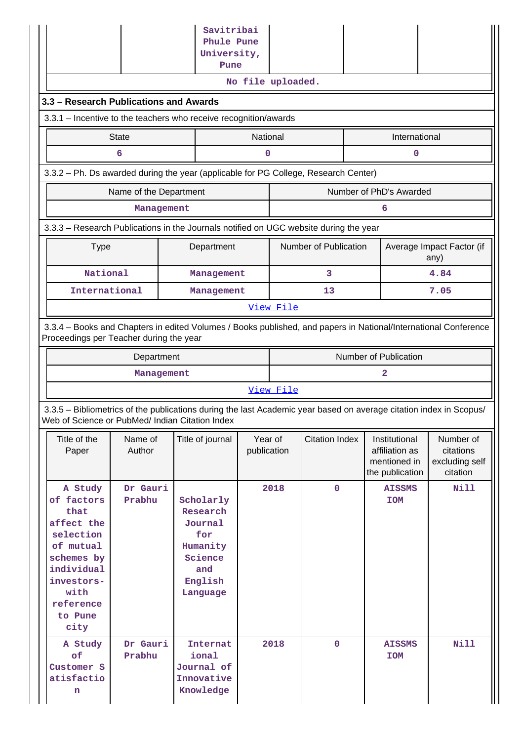|                                                                                                                                                                       |                                           |  | Savitribai<br>Phule Pune<br>University,<br>Pune                                              |                        |           |                       |  |                                                                    |                                                      |  |  |  |
|-----------------------------------------------------------------------------------------------------------------------------------------------------------------------|-------------------------------------------|--|----------------------------------------------------------------------------------------------|------------------------|-----------|-----------------------|--|--------------------------------------------------------------------|------------------------------------------------------|--|--|--|
| No file uploaded.<br>3.3 - Research Publications and Awards                                                                                                           |                                           |  |                                                                                              |                        |           |                       |  |                                                                    |                                                      |  |  |  |
| 3.3.1 - Incentive to the teachers who receive recognition/awards                                                                                                      |                                           |  |                                                                                              |                        |           |                       |  |                                                                    |                                                      |  |  |  |
|                                                                                                                                                                       | National<br><b>State</b><br>International |  |                                                                                              |                        |           |                       |  |                                                                    |                                                      |  |  |  |
| 6<br>0<br>0                                                                                                                                                           |                                           |  |                                                                                              |                        |           |                       |  |                                                                    |                                                      |  |  |  |
| 3.3.2 - Ph. Ds awarded during the year (applicable for PG College, Research Center)                                                                                   |                                           |  |                                                                                              |                        |           |                       |  |                                                                    |                                                      |  |  |  |
|                                                                                                                                                                       | Name of the Department                    |  |                                                                                              |                        |           |                       |  | Number of PhD's Awarded                                            |                                                      |  |  |  |
|                                                                                                                                                                       | Management                                |  |                                                                                              |                        |           |                       |  | 6                                                                  |                                                      |  |  |  |
| 3.3.3 - Research Publications in the Journals notified on UGC website during the year                                                                                 |                                           |  |                                                                                              |                        |           |                       |  |                                                                    |                                                      |  |  |  |
| <b>Type</b>                                                                                                                                                           |                                           |  | Department                                                                                   |                        |           | Number of Publication |  |                                                                    | Average Impact Factor (if<br>any)                    |  |  |  |
| National                                                                                                                                                              |                                           |  | Management                                                                                   |                        |           | 3                     |  |                                                                    | 4.84                                                 |  |  |  |
| International                                                                                                                                                         |                                           |  | Management                                                                                   |                        |           | 13                    |  |                                                                    | 7.05                                                 |  |  |  |
| 3.3.4 - Books and Chapters in edited Volumes / Books published, and papers in National/International Conference                                                       |                                           |  |                                                                                              |                        | View File |                       |  |                                                                    |                                                      |  |  |  |
| Proceedings per Teacher during the year                                                                                                                               |                                           |  |                                                                                              |                        |           |                       |  |                                                                    |                                                      |  |  |  |
|                                                                                                                                                                       | Department                                |  |                                                                                              |                        |           |                       |  | Number of Publication                                              |                                                      |  |  |  |
|                                                                                                                                                                       | Management                                |  |                                                                                              |                        |           |                       |  | 2                                                                  |                                                      |  |  |  |
|                                                                                                                                                                       |                                           |  |                                                                                              |                        | View File |                       |  |                                                                    |                                                      |  |  |  |
| 3.3.5 - Bibliometrics of the publications during the last Academic year based on average citation index in Scopus/<br>Web of Science or PubMed/ Indian Citation Index |                                           |  |                                                                                              |                        |           |                       |  |                                                                    |                                                      |  |  |  |
| Title of the<br>Paper                                                                                                                                                 | Name of<br>Author                         |  | Title of journal                                                                             | Year of<br>publication |           | <b>Citation Index</b> |  | Institutional<br>affiliation as<br>mentioned in<br>the publication | Number of<br>citations<br>excluding self<br>citation |  |  |  |
| A Study<br>of factors<br>that<br>affect the<br>selection<br>of mutual<br>schemes by<br>individual<br>investors-<br>with<br>reference<br>to Pune<br>city               | Dr Gauri<br>Prabhu                        |  | Scholarly<br>Research<br>Journal<br>for<br>Humanity<br>Science<br>and<br>English<br>Language |                        | 2018      | $\mathbf 0$           |  | <b>AISSMS</b><br><b>IOM</b>                                        | <b>Nill</b>                                          |  |  |  |
| A Study<br>of<br>Customer S<br>atisfactio<br>n                                                                                                                        | Dr Gauri<br>Prabhu                        |  | Internat<br>ional<br>Journal of<br>Innovative<br>Knowledge                                   |                        | 2018      | $\mathbf 0$           |  | <b>AISSMS</b><br><b>NOI</b>                                        | <b>Nill</b>                                          |  |  |  |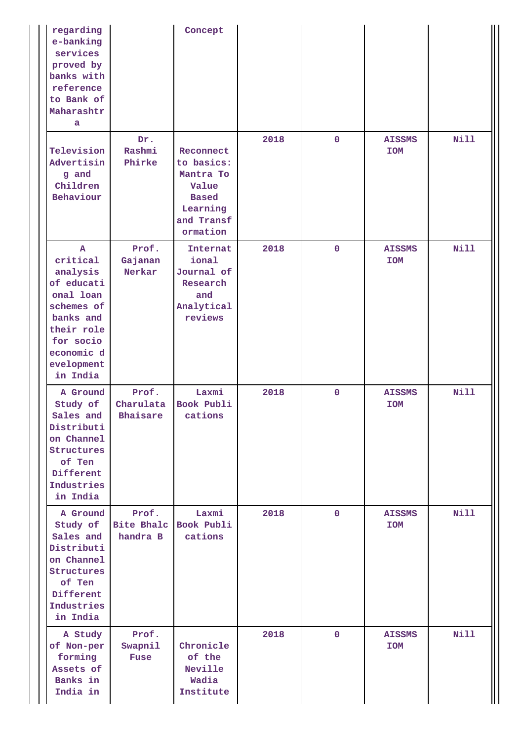| regarding<br>e-banking<br>services<br>proved by<br>banks with<br>reference<br>to Bank of<br>Maharashtr<br>a                                                   |                                        | Concept                                                                                             |      |             |                             |             |
|---------------------------------------------------------------------------------------------------------------------------------------------------------------|----------------------------------------|-----------------------------------------------------------------------------------------------------|------|-------------|-----------------------------|-------------|
| Television<br>Advertisin<br>g and<br>Children<br>Behaviour                                                                                                    | Dr.<br>Rashmi<br>Phirke                | Reconnect<br>to basics:<br>Mantra To<br>Value<br><b>Based</b><br>Learning<br>and Transf<br>ormation | 2018 | $\mathbf 0$ | <b>AISSMS</b><br><b>IOM</b> | <b>Nill</b> |
| $\mathbf{A}$<br>critical<br>analysis<br>of educati<br>onal loan<br>schemes of<br>banks and<br>their role<br>for socio<br>economic d<br>evelopment<br>in India | Prof.<br>Gajanan<br>Nerkar             | Internat<br>ional<br>Journal of<br>Research<br>and<br>Analytical<br>reviews                         | 2018 | $\mathbf 0$ | <b>AISSMS</b><br><b>IOM</b> | <b>Nill</b> |
| A Ground<br>Study of<br>Sales and<br>Distributi<br>on Channel<br>Structures<br>of Ten<br>Different<br>Industries<br>in India                                  | Prof.<br>Charulata<br>Bhaisare         | Laxmi<br>Book Publi<br>cations                                                                      | 2018 | $\mathbf 0$ | <b>AISSMS</b><br><b>IOM</b> | Nill        |
| A Ground<br>Study of<br>Sales and<br>Distributi<br>on Channel<br>Structures<br>of Ten<br>Different<br>Industries<br>in India                                  | Prof.<br><b>Bite Bhalc</b><br>handra B | Laxmi<br>Book Publi<br>cations                                                                      | 2018 | $\mathbf 0$ | <b>AISSMS</b><br><b>IOM</b> | Nill        |
| A Study<br>of Non-per<br>forming<br>Assets of<br>Banks in<br>India in                                                                                         | Prof.<br>Swapnil<br><b>Fuse</b>        | Chronicle<br>of the<br>Neville<br>Wadia<br>Institute                                                | 2018 | $\mathbf 0$ | <b>AISSMS</b><br><b>IOM</b> | <b>Nill</b> |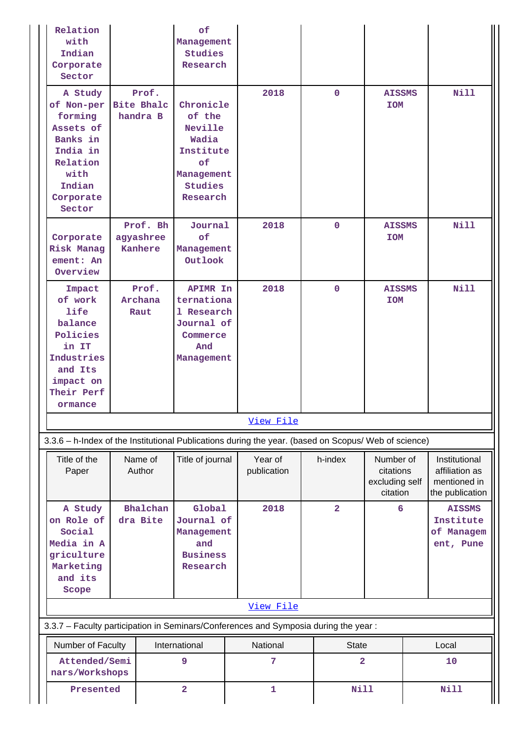| Relation<br>with<br>Indian<br>Corporate<br>Sector                                                                                     |                                  | of<br>Management<br>Studies<br>Research                                                                       |                                                                                                      |                |                                                      |                                                                    |
|---------------------------------------------------------------------------------------------------------------------------------------|----------------------------------|---------------------------------------------------------------------------------------------------------------|------------------------------------------------------------------------------------------------------|----------------|------------------------------------------------------|--------------------------------------------------------------------|
| A Study<br>of Non-per Bite Bhalc<br>forming<br>Assets of<br>Banks in<br>India in<br>Relation<br>with<br>Indian<br>Corporate<br>Sector | Prof.<br>handra B                | Chronicle<br>of the<br>Neville<br>Wadia<br>Institute<br>$\circ$ £<br>Management<br><b>Studies</b><br>Research | 2018                                                                                                 | $\mathbf{0}$   | <b>AISSMS</b><br><b>IOM</b>                          | <b>Nill</b>                                                        |
| Corporate<br>Risk Manag<br>ement: An<br>Overview                                                                                      | Prof. Bh<br>agyashree<br>Kanhere | Journal<br>of<br>Management<br>Outlook                                                                        | 2018                                                                                                 | $\mathbf{0}$   | <b>AISSMS</b><br><b>NOI</b>                          | <b>Nill</b>                                                        |
| Impact<br>of work<br><b>life</b><br>balance<br>Policies<br>in IT<br>Industries<br>and Its<br>impact on<br>Their Perf<br>ormance       | Prof.<br>Archana<br>Raut         | APIMR In<br>ternationa<br>1 Research<br>Journal of<br>Commerce<br>And<br>Management                           | 2018                                                                                                 | $\mathbf{0}$   | <b>AISSMS</b><br><b>IOM</b>                          | <b>Nill</b>                                                        |
|                                                                                                                                       |                                  |                                                                                                               | View File                                                                                            |                |                                                      |                                                                    |
|                                                                                                                                       |                                  |                                                                                                               | 3.3.6 - h-Index of the Institutional Publications during the year. (based on Scopus/ Web of science) |                |                                                      |                                                                    |
| Title of the<br>Paper                                                                                                                 | Name of<br>Author                | Title of journal                                                                                              | Year of<br>publication                                                                               | h-index        | Number of<br>citations<br>excluding self<br>citation | Institutional<br>affiliation as<br>mentioned in<br>the publication |
| A Study<br>on Role of<br>Social<br>Media in A<br>griculture<br>Marketing<br>and its<br>Scope                                          | Bhalchan<br>dra Bite             | Global<br>Journal of<br>Management<br>and<br><b>Business</b><br>Research                                      | 2018                                                                                                 | $\overline{2}$ | 6                                                    | <b>AISSMS</b><br>Institute<br>of Managem<br>ent, Pune              |
|                                                                                                                                       |                                  |                                                                                                               | View File                                                                                            |                |                                                      |                                                                    |
|                                                                                                                                       |                                  |                                                                                                               | 3.3.7 - Faculty participation in Seminars/Conferences and Symposia during the year:                  |                |                                                      |                                                                    |
| Number of Faculty                                                                                                                     |                                  | International                                                                                                 | National                                                                                             | <b>State</b>   |                                                      | Local                                                              |
| Attended/Semi<br>nars/Workshops                                                                                                       |                                  | 9                                                                                                             | 7                                                                                                    | $\overline{a}$ |                                                      | 10                                                                 |
| Presented                                                                                                                             |                                  | $\overline{\mathbf{2}}$                                                                                       | 1                                                                                                    | <b>Nill</b>    |                                                      | <b>Nill</b>                                                        |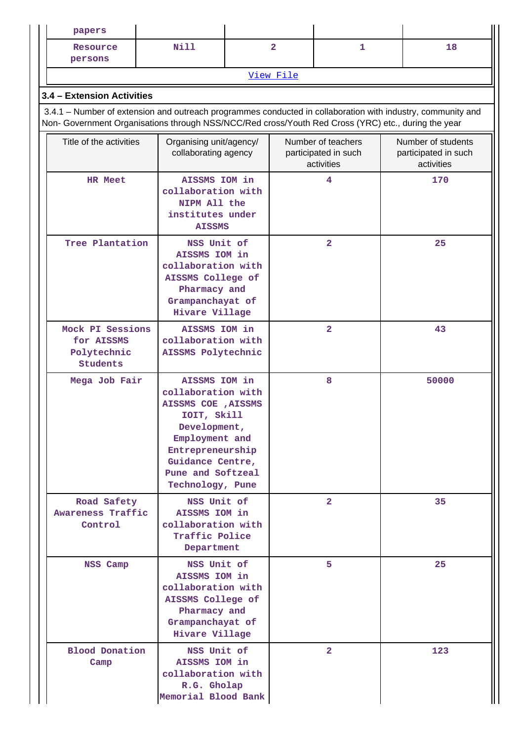| papers                                                                                                                                                                                                             |                                                                                                                                                                                              |                |                                                          |                         |  |                                                          |  |  |  |  |
|--------------------------------------------------------------------------------------------------------------------------------------------------------------------------------------------------------------------|----------------------------------------------------------------------------------------------------------------------------------------------------------------------------------------------|----------------|----------------------------------------------------------|-------------------------|--|----------------------------------------------------------|--|--|--|--|
| Resource<br>persons                                                                                                                                                                                                | <b>Nill</b>                                                                                                                                                                                  | $\overline{2}$ |                                                          | 1                       |  | 18                                                       |  |  |  |  |
|                                                                                                                                                                                                                    |                                                                                                                                                                                              | View File      |                                                          |                         |  |                                                          |  |  |  |  |
| 3.4 - Extension Activities                                                                                                                                                                                         |                                                                                                                                                                                              |                |                                                          |                         |  |                                                          |  |  |  |  |
| 3.4.1 – Number of extension and outreach programmes conducted in collaboration with industry, community and<br>Non- Government Organisations through NSS/NCC/Red cross/Youth Red Cross (YRC) etc., during the year |                                                                                                                                                                                              |                |                                                          |                         |  |                                                          |  |  |  |  |
| Title of the activities                                                                                                                                                                                            | Organising unit/agency/<br>collaborating agency                                                                                                                                              |                | Number of teachers<br>participated in such<br>activities |                         |  | Number of students<br>participated in such<br>activities |  |  |  |  |
| <b>HR Meet</b>                                                                                                                                                                                                     | AISSMS IOM in<br>collaboration with<br>NIPM All the<br>institutes under<br><b>AISSMS</b>                                                                                                     |                |                                                          | 4                       |  | 170                                                      |  |  |  |  |
|                                                                                                                                                                                                                    | Tree Plantation<br>NSS Unit of<br>AISSMS IOM in<br>collaboration with<br>AISSMS College of<br>Pharmacy and<br>Grampanchayat of<br>Hivare Village                                             |                |                                                          | $\overline{\mathbf{2}}$ |  | 25                                                       |  |  |  |  |
| Mock PI Sessions<br>AISSMS IOM in<br>collaboration with<br>for AISSMS<br>Polytechnic<br>AISSMS Polytechnic<br><b>Students</b>                                                                                      |                                                                                                                                                                                              |                |                                                          | $\overline{\mathbf{2}}$ |  | 43                                                       |  |  |  |  |
| Mega Job Fair                                                                                                                                                                                                      | AISSMS IOM in<br>collaboration with<br>AISSMS COE , AISSMS<br>IOIT, Skill<br>Development,<br>Employment and<br>Entrepreneurship<br>Guidance Centre,<br>Pune and Softzeal<br>Technology, Pune |                |                                                          | 8                       |  | 50000                                                    |  |  |  |  |
| Road Safety<br><b>Awareness Traffic</b><br>Control                                                                                                                                                                 | NSS Unit of<br>AISSMS IOM in<br>collaboration with<br>Traffic Police<br>Department                                                                                                           |                |                                                          | $\overline{2}$          |  | 35                                                       |  |  |  |  |
| NSS Camp                                                                                                                                                                                                           | NSS Unit of<br>AISSMS IOM in<br>collaboration with<br>AISSMS College of<br>Pharmacy and<br>Grampanchayat of<br>Hivare Village                                                                |                |                                                          | 5                       |  | 25                                                       |  |  |  |  |
| Camp                                                                                                                                                                                                               | <b>Blood Donation</b><br>NSS Unit of<br>AISSMS IOM in<br>collaboration with<br>R.G. Gholap<br>Memorial Blood Bank                                                                            |                |                                                          | $\overline{2}$          |  | 123                                                      |  |  |  |  |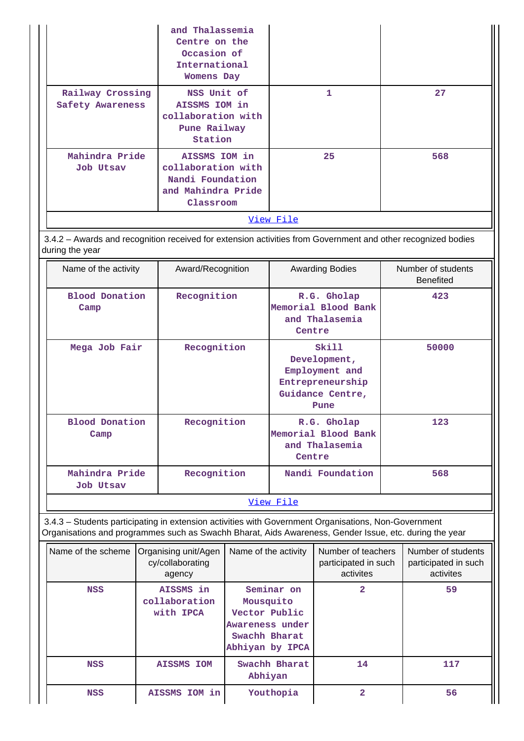|                                      | and Thalassemia<br>Centre on the<br>Occasion of<br>International<br><b>Womens Day</b>      |           |     |
|--------------------------------------|--------------------------------------------------------------------------------------------|-----------|-----|
| Railway Crossing<br>Safety Awareness | NSS Unit of<br>AISSMS IOM in<br>collaboration with<br>Pune Railway<br>Station              | 1         | 27  |
| Mahindra Pride<br><b>Job Utsav</b>   | AISSMS IOM in<br>collaboration with<br>Nandi Foundation<br>and Mahindra Pride<br>Classroom | 25        | 568 |
|                                      |                                                                                            | View File |     |

 3.4.2 – Awards and recognition received for extension activities from Government and other recognized bodies during the year

| Name of the activity               | Award/Recognition | <b>Awarding Bodies</b>                                                                  | Number of students<br><b>Benefited</b> |
|------------------------------------|-------------------|-----------------------------------------------------------------------------------------|----------------------------------------|
| <b>Blood Donation</b><br>Camp      | Recognition       | R.G. Gholap<br>Memorial Blood Bank<br>and Thalasemia<br>Centre                          | 423                                    |
| Mega Job Fair                      | Recognition       | Skill<br>Development,<br>Employment and<br>Entrepreneurship<br>Guidance Centre,<br>Pune | 50000                                  |
| <b>Blood Donation</b><br>Camp      | Recognition       | R.G. Gholap<br>Memorial Blood Bank<br>and Thalasemia<br>Centre                          | 123                                    |
| Mahindra Pride<br><b>Job Utsav</b> | Recognition       | Nandi Foundation                                                                        | 568                                    |
|                                    |                   | <u>View File</u>                                                                        |                                        |

 3.4.3 – Students participating in extension activities with Government Organisations, Non-Government Organisations and programmes such as Swachh Bharat, Aids Awareness, Gender Issue, etc. during the year

| Name of the scheme | Organising unit/Agen<br>cy/collaborating<br>agency | Name of the activity                                                                            | Number of teachers<br>participated in such<br>activites | Number of students<br>participated in such<br>activites |
|--------------------|----------------------------------------------------|-------------------------------------------------------------------------------------------------|---------------------------------------------------------|---------------------------------------------------------|
| <b>NSS</b>         | AISSMS in<br>collaboration<br>with IPCA            | Seminar on<br>Mousquito<br>Vector Public<br>Awareness under<br>Swachh Bharat<br>Abhiyan by IPCA | 2                                                       | 59                                                      |
| <b>NSS</b>         | <b>AISSMS IOM</b>                                  | Swachh Bharat<br>Abhiyan                                                                        | 14                                                      | 117                                                     |
| <b>NSS</b>         | AISSMS IOM in                                      | Youthopia                                                                                       |                                                         | 56                                                      |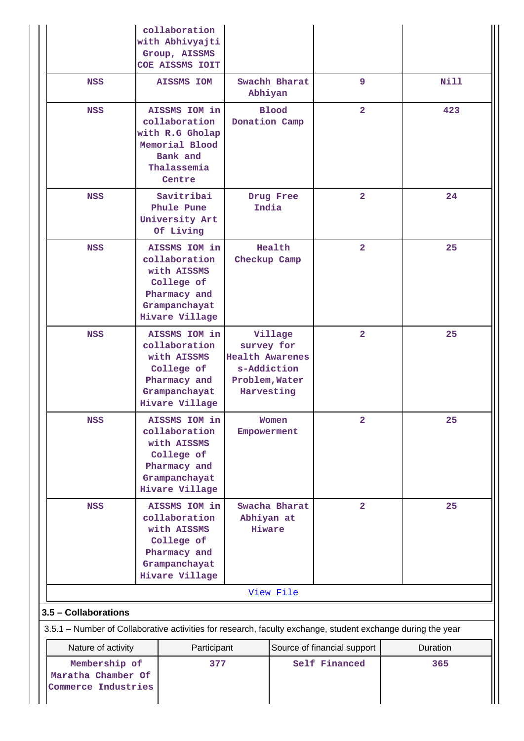|                                                                                                             | collaboration<br>with Abhivyajti<br>Group, AISSMS<br>COE AISSMS IOIT                                           |                                                                                     |               |                                              |                 |
|-------------------------------------------------------------------------------------------------------------|----------------------------------------------------------------------------------------------------------------|-------------------------------------------------------------------------------------|---------------|----------------------------------------------|-----------------|
| <b>NSS</b>                                                                                                  | <b>AISSMS IOM</b>                                                                                              | Abhiyan                                                                             | Swachh Bharat | 9                                            | <b>Nill</b>     |
| <b>NSS</b>                                                                                                  | AISSMS IOM in<br>collaboration<br>with R.G Gholap<br>Memorial Blood<br>Bank and<br>Thalassemia<br>Centre       | Donation Camp                                                                       | <b>Blood</b>  | $\overline{\mathbf{2}}$                      | 423             |
| <b>NSS</b>                                                                                                  | Savitribai<br>Phule Pune<br>University Art<br>Of Living                                                        | India                                                                               | Drug Free     | $\overline{\mathbf{2}}$                      | 24              |
| <b>NSS</b>                                                                                                  | AISSMS IOM in<br>collaboration<br>with AISSMS<br>College of<br>Pharmacy and<br>Grampanchayat<br>Hivare Village | Health<br>Checkup Camp                                                              |               | $\overline{2}$                               | 25              |
| <b>NSS</b>                                                                                                  | AISSMS IOM in<br>collaboration<br>with AISSMS<br>College of<br>Pharmacy and<br>Grampanchayat<br>Hivare Village | survey for<br><b>Health Awarenes</b><br>s-Addiction<br>Problem, Water<br>Harvesting | Village       | $\overline{2}$                               | 25              |
| <b>NSS</b>                                                                                                  | AISSMS IOM in<br>collaboration<br>with AISSMS<br>College of<br>Pharmacy and<br>Grampanchayat<br>Hivare Village | Empowerment                                                                         | Women         | $\mathbf{2}$                                 | 25              |
| <b>NSS</b>                                                                                                  | AISSMS IOM in<br>collaboration<br>with AISSMS<br>College of<br>Pharmacy and<br>Grampanchayat<br>Hivare Village | Swacha Bharat<br>Abhiyan at<br>Hiware                                               |               | $\overline{\mathbf{2}}$                      | 25              |
|                                                                                                             |                                                                                                                |                                                                                     | View File     |                                              |                 |
| 3.5 - Collaborations                                                                                        |                                                                                                                |                                                                                     |               |                                              |                 |
| 3.5.1 – Number of Collaborative activities for research, faculty exchange, student exchange during the year |                                                                                                                |                                                                                     |               |                                              |                 |
| Nature of activity<br>Membership of<br>Maratha Chamber Of<br>Commerce Industries                            | Participant<br>377                                                                                             |                                                                                     |               | Source of financial support<br>Self Financed | Duration<br>365 |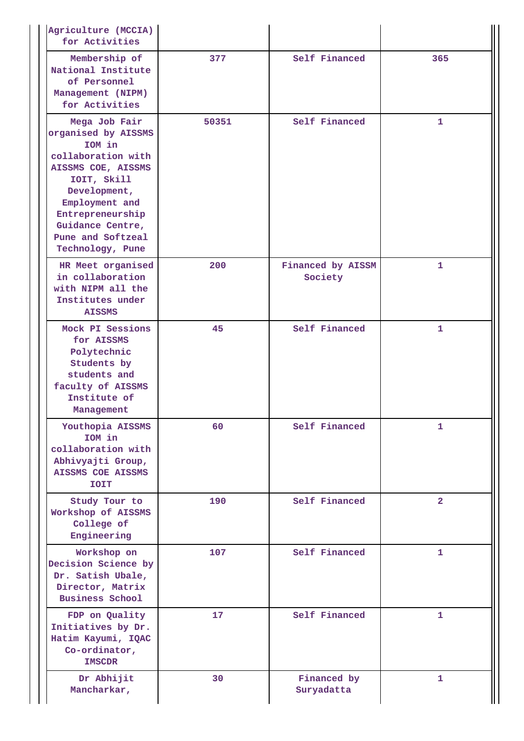| Agriculture (MCCIA)<br>for Activities                                                                                                                                                                                        |       |                              |                |
|------------------------------------------------------------------------------------------------------------------------------------------------------------------------------------------------------------------------------|-------|------------------------------|----------------|
| Membership of<br>National Institute<br>of Personnel<br>Management (NIPM)<br>for Activities                                                                                                                                   | 377   | Self Financed                | 365            |
| Mega Job Fair<br>organised by AISSMS<br>IOM in<br>collaboration with<br>AISSMS COE, AISSMS<br>IOIT, Skill<br>Development,<br>Employment and<br>Entrepreneurship<br>Guidance Centre,<br>Pune and Softzeal<br>Technology, Pune | 50351 | Self Financed                | $\mathbf{1}$   |
| HR Meet organised<br>in collaboration<br>with NIPM all the<br>Institutes under<br><b>AISSMS</b>                                                                                                                              | 200   | Financed by AISSM<br>Society | $\mathbf{1}$   |
| Mock PI Sessions<br>for AISSMS<br>Polytechnic<br>Students by<br>students and<br>faculty of AISSMS<br>Institute of<br>Management                                                                                              | 45    | Self Financed                | 1              |
| Youthopia AISSMS<br>IOM in<br>collaboration with<br>Abhivyajti Group,<br><b>AISSMS COE AISSMS</b><br><b>TOIT</b>                                                                                                             | 60    | Self Financed                | 1              |
| Study Tour to<br>Workshop of AISSMS<br>College of<br>Engineering                                                                                                                                                             | 190   | Self Financed                | $\overline{2}$ |
| Workshop on<br>Decision Science by<br>Dr. Satish Ubale,<br>Director, Matrix<br><b>Business School</b>                                                                                                                        | 107   | Self Financed                | 1              |
| FDP on Quality<br>Initiatives by Dr.<br>Hatim Kayumi, IQAC<br>Co-ordinator,<br><b>IMSCDR</b>                                                                                                                                 | 17    | Self Financed                | 1              |
| Dr Abhijit<br>Mancharkar,                                                                                                                                                                                                    | 30    | Financed by<br>Suryadatta    | $\mathbf{1}$   |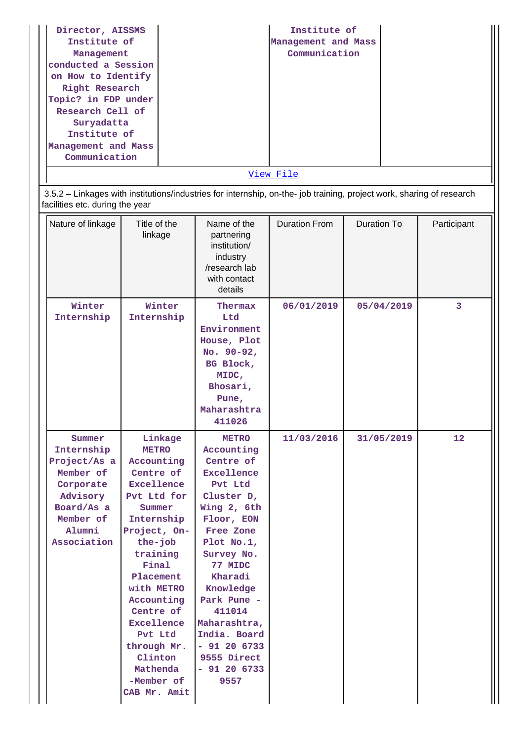| Director, AISSMS    | Institute of        |  |
|---------------------|---------------------|--|
| Institute of        | Management and Mass |  |
| Management          | Communication       |  |
| conducted a Session |                     |  |
| on How to Identify  |                     |  |
| Right Research      |                     |  |
| Topic? in FDP under |                     |  |
| Research Cell of    |                     |  |
| Suryadatta          |                     |  |
| Institute of        |                     |  |
| Management and Mass |                     |  |
| Communication       |                     |  |
|                     | View File           |  |

 3.5.2 – Linkages with institutions/industries for internship, on-the- job training, project work, sharing of research facilities etc. during the year

| Nature of linkage                                                                                                              | Title of the<br>linkage                                                                                                                                                                                                                                                                                           | Name of the<br>partnering<br>institution/<br>industry<br>/research lab<br>with contact<br>details                                                                                                                                                                                                     | <b>Duration From</b> | <b>Duration To</b> | Participant |
|--------------------------------------------------------------------------------------------------------------------------------|-------------------------------------------------------------------------------------------------------------------------------------------------------------------------------------------------------------------------------------------------------------------------------------------------------------------|-------------------------------------------------------------------------------------------------------------------------------------------------------------------------------------------------------------------------------------------------------------------------------------------------------|----------------------|--------------------|-------------|
| Winter<br>Internship                                                                                                           | Winter<br>Internship                                                                                                                                                                                                                                                                                              | Thermax<br>Ltd<br>Environment<br>House, Plot<br>No. $90-92$ ,<br>BG Block,<br>MIDC,<br>Bhosari,<br>Pune,<br>Maharashtra<br>411026                                                                                                                                                                     | 06/01/2019           | 05/04/2019         | 3           |
| Summer<br>Internship<br>Project/As a<br>Member of<br>Corporate<br>Advisory<br>Board/As a<br>Member of<br>Alumni<br>Association | Linkage<br><b>METRO</b><br>Accounting<br>Centre of<br><b>Excellence</b><br>Pvt Ltd for<br>Summer<br>Internship<br>Project, On-<br>the-job<br>training<br>Final<br>Placement<br>with METRO<br>Accounting<br>Centre of<br>Excellence<br>Pvt Ltd<br>through Mr.<br>Clinton<br>Mathenda<br>-Member of<br>CAB Mr. Amit | <b>METRO</b><br>Accounting<br>Centre of<br>Excellence<br>Pvt Ltd<br>Cluster D,<br>Wing 2, 6th<br>Floor, EON<br>Free Zone<br>Plot No.1,<br>Survey No.<br>77 MIDC<br>Kharadi<br>Knowledge<br>Park Pune -<br>411014<br>Maharashtra,<br>India. Board<br>$-91206733$<br>9555 Direct<br>$-91206733$<br>9557 | 11/03/2016           | 31/05/2019         | 12          |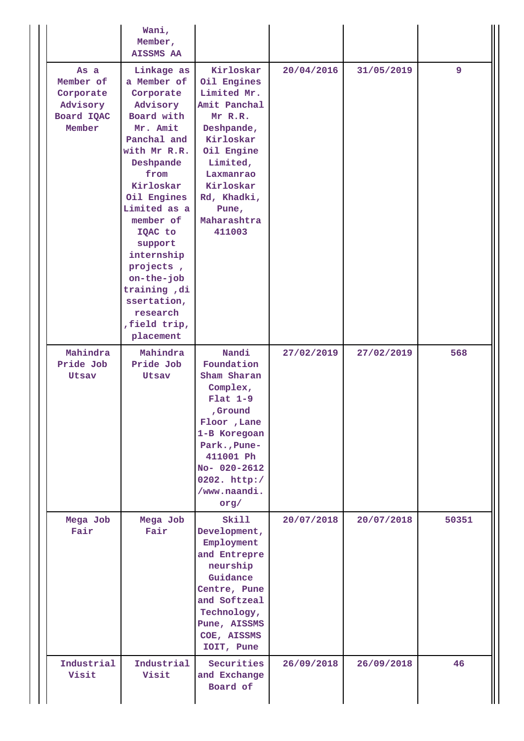|                                                                    | Wani,<br>Member,<br><b>AISSMS AA</b>                                                                                                                                                                                                                                                                                              |                                                                                                                                                                                                    |            |            |       |
|--------------------------------------------------------------------|-----------------------------------------------------------------------------------------------------------------------------------------------------------------------------------------------------------------------------------------------------------------------------------------------------------------------------------|----------------------------------------------------------------------------------------------------------------------------------------------------------------------------------------------------|------------|------------|-------|
| As a<br>Member of<br>Corporate<br>Advisory<br>Board IQAC<br>Member | Linkage as<br>a Member of<br>Corporate<br>Advisory<br>Board with<br>Mr. Amit<br>Panchal and<br>with Mr R.R.<br>Deshpande<br>from<br>Kirloskar<br>Oil Engines<br>Limited as a<br>member of<br>IQAC to<br>support<br>internship<br>projects,<br>on-the-job<br>training, di<br>ssertation,<br>research<br>, field trip,<br>placement | Kirloskar<br>Oil Engines<br>Limited Mr.<br>Amit Panchal<br>Mr R.R.<br>Deshpande,<br>Kirloskar<br>Oil Engine<br>Limited,<br>Laxmanrao<br>Kirloskar<br>Rd, Khadki,<br>Pune,<br>Maharashtra<br>411003 | 20/04/2016 | 31/05/2019 | 9     |
| Mahindra<br>Pride Job<br>Utsav                                     | Mahindra<br>Pride Job<br>Utsav                                                                                                                                                                                                                                                                                                    | Nandi<br>Foundation<br>Sham Sharan<br>Complex,<br>$Flat 1-9$<br>,Ground<br>Floor , Lane<br>1-B Koregoan<br>Park., Pune-<br>411001 Ph<br>No- 020-2612<br>0202. http:/<br>/www.naandi.<br>org/       | 27/02/2019 | 27/02/2019 | 568   |
| Mega Job<br>Fair                                                   | Mega Job<br>Fair                                                                                                                                                                                                                                                                                                                  | Skill<br>Development,<br>Employment<br>and Entrepre<br>neurship<br>Guidance<br>Centre, Pune<br>and Softzeal<br>Technology,<br>Pune, AISSMS<br>COE, AISSMS<br>IOIT, Pune                            | 20/07/2018 | 20/07/2018 | 50351 |
| Industrial<br>Visit                                                | Industrial<br>Visit                                                                                                                                                                                                                                                                                                               | Securities<br>and Exchange<br>Board of                                                                                                                                                             | 26/09/2018 | 26/09/2018 | 46    |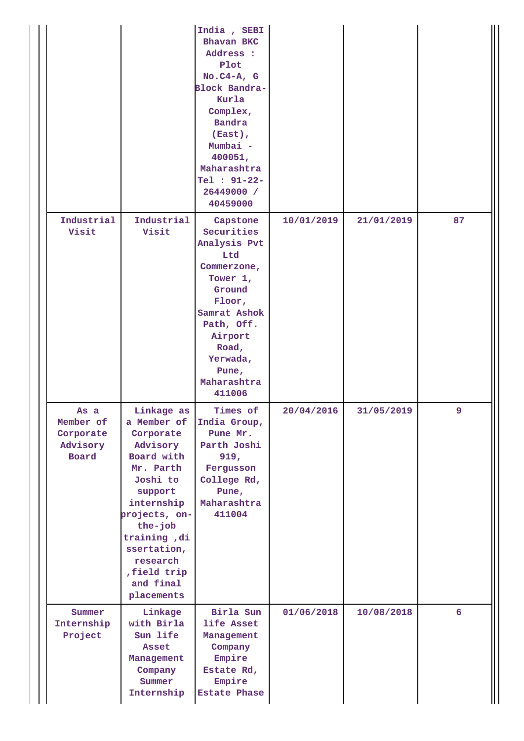|                                                            |                                                                                                                                                                                                                                     | India, SEBI<br>Bhavan BKC<br>Address :<br>Plot<br>$No.C4-A, G$<br>Block Bandra-<br>Kurla<br>Complex,<br><b>Bandra</b><br>(East),<br>Mumbai -<br>400051,<br>Maharashtra<br>Tel : 91-22-<br>26449000 /<br>40459000 |            |            |    |
|------------------------------------------------------------|-------------------------------------------------------------------------------------------------------------------------------------------------------------------------------------------------------------------------------------|------------------------------------------------------------------------------------------------------------------------------------------------------------------------------------------------------------------|------------|------------|----|
| Industrial<br>Visit                                        | Industrial<br>Visit                                                                                                                                                                                                                 | Capstone<br>Securities<br>Analysis Pvt<br>Ltd<br>Commerzone,<br>Tower 1,<br>Ground<br>Floor,<br>Samrat Ashok<br>Path, Off.<br>Airport<br>Road,<br>Yerwada,<br>Pune,<br>Maharashtra<br>411006                     | 10/01/2019 | 21/01/2019 | 87 |
| As a<br>Member of<br>Corporate<br>Advisory<br><b>Board</b> | Linkage as<br>a Member of<br>Corporate<br>Advisory<br>Board with<br>Mr. Parth<br>Joshi to<br>support<br>internship<br>projects, on-<br>the-job<br>training, di<br>ssertation,<br>research<br>field trip.<br>and final<br>placements | Times of<br>India Group,<br>Pune Mr.<br>Parth Joshi<br>919,<br>Fergusson<br>College Rd,<br>Pune,<br>Maharashtra<br>411004                                                                                        | 20/04/2016 | 31/05/2019 | 9  |
| Summer<br>Internship<br>Project                            | Linkage<br>with Birla<br>Sun life<br>Asset<br>Management<br>Company<br>Summer<br>Internship                                                                                                                                         | Birla Sun<br>life Asset<br>Management<br>Company<br>Empire<br>Estate Rd,<br>Empire<br><b>Estate Phase</b>                                                                                                        | 01/06/2018 | 10/08/2018 | 6  |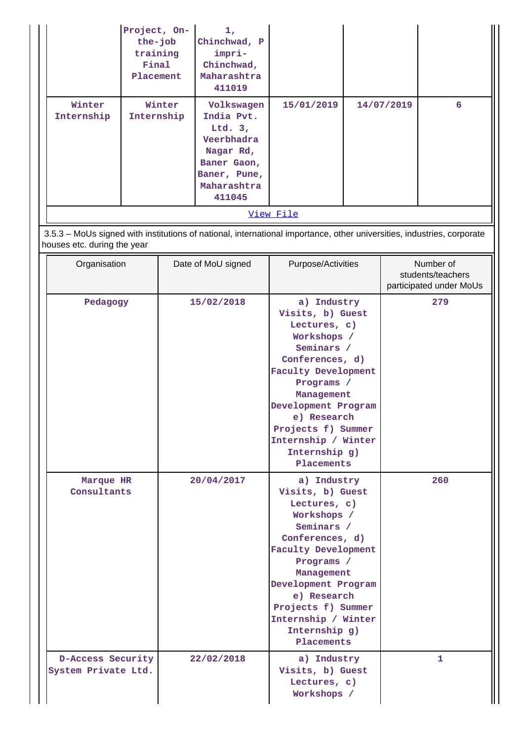|                      | Project, On-<br>the-job<br>training<br>Final<br>Placement | 1,<br>Chinchwad, P<br>impri-<br>Chinchwad,<br>Maharashtra<br>411019                                                      |            |            |   |
|----------------------|-----------------------------------------------------------|--------------------------------------------------------------------------------------------------------------------------|------------|------------|---|
| Winter<br>Internship | Winter<br>Internship                                      | Volkswagen<br>India Pvt.<br>Ltd. $3,$<br>Veerbhadra<br>Nagar Rd,<br>Baner Gaon,<br>Baner, Pune,<br>Maharashtra<br>411045 | 15/01/2019 | 14/07/2019 | 6 |
|                      |                                                           |                                                                                                                          | View File  |            |   |

 3.5.3 – MoUs signed with institutions of national, international importance, other universities, industries, corporate houses etc. during the year

| Organisation                             | Date of MoU signed | Purpose/Activities                                                                                                                                                                                                                                                          | Number of<br>students/teachers<br>participated under MoUs |
|------------------------------------------|--------------------|-----------------------------------------------------------------------------------------------------------------------------------------------------------------------------------------------------------------------------------------------------------------------------|-----------------------------------------------------------|
| Pedagogy                                 | 15/02/2018         | a) Industry<br>Visits, b) Guest<br>Lectures, c)<br>Workshops /<br>Seminars /<br>Conferences, d)<br><b>Faculty Development</b><br>Programs /<br>Management<br>Development Program<br>e) Research<br>Projects f) Summer<br>Internship / Winter<br>Internship g)<br>Placements | 279                                                       |
| Marque HR<br>Consultants                 | 20/04/2017         | a) Industry<br>Visits, b) Guest<br>Lectures, c)<br>Workshops /<br>Seminars /<br>Conferences, d)<br><b>Faculty Development</b><br>Programs /<br>Management<br>Development Program<br>e) Research<br>Projects f) Summer<br>Internship / Winter<br>Internship g)<br>Placements | 260                                                       |
| D-Access Security<br>System Private Ltd. | 22/02/2018         | a) Industry<br>Visits, b) Guest<br>Lectures, c)<br>Workshops /                                                                                                                                                                                                              | 1                                                         |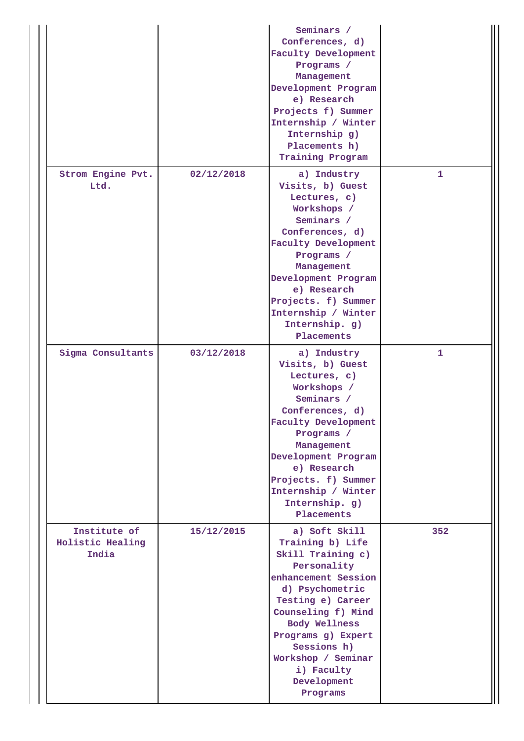|                                           |            | Seminars /<br>Conferences, d)<br><b>Faculty Development</b><br>Programs /<br>Management<br>Development Program<br>e) Research<br>Projects f) Summer<br>Internship / Winter<br>Internship g)<br>Placements h)<br>Training Program                                                       |     |
|-------------------------------------------|------------|----------------------------------------------------------------------------------------------------------------------------------------------------------------------------------------------------------------------------------------------------------------------------------------|-----|
| Strom Engine Pvt.<br>Ltd.                 | 02/12/2018 | a) Industry<br>Visits, b) Guest<br>Lectures, c)<br>Workshops /<br>Seminars /<br>Conferences, d)<br><b>Faculty Development</b><br>Programs /<br>Management<br>Development Program<br>e) Research<br>Projects. f) Summer<br>Internship / Winter<br>Internship. g)<br>Placements          | 1   |
| Sigma Consultants                         | 03/12/2018 | a) Industry<br>Visits, b) Guest<br>Lectures, c)<br>Workshops /<br>Seminars /<br>Conferences, d)<br><b>Faculty Development</b><br>Programs /<br>Management<br>Development Program<br>e) Research<br>Projects. f) Summer<br>Internship / Winter<br>Internship. g)<br>Placements          | 1   |
| Institute of<br>Holistic Healing<br>India | 15/12/2015 | a) Soft Skill<br>Training b) Life<br>Skill Training c)<br>Personality<br>enhancement Session<br>d) Psychometric<br>Testing e) Career<br>Counseling f) Mind<br><b>Body Wellness</b><br>Programs g) Expert<br>Sessions h)<br>Workshop / Seminar<br>i) Faculty<br>Development<br>Programs | 352 |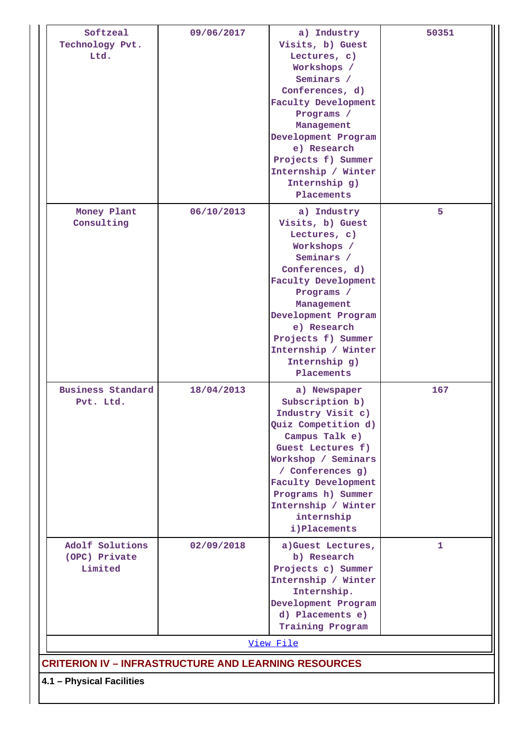| Softzeal<br>Technology Pvt.<br>Ltd.                         | 09/06/2017 | a) Industry<br>Visits, b) Guest<br>Lectures, c)<br>Workshops /<br>Seminars /<br>Conferences, d)<br><b>Faculty Development</b><br>Programs /<br>Management<br>Development Program<br>e) Research<br>Projects f) Summer<br>Internship / Winter<br>Internship g)<br>Placements | 50351 |
|-------------------------------------------------------------|------------|-----------------------------------------------------------------------------------------------------------------------------------------------------------------------------------------------------------------------------------------------------------------------------|-------|
| Money Plant<br>Consulting                                   | 06/10/2013 | a) Industry<br>Visits, b) Guest<br>Lectures, c)<br>Workshops /<br>Seminars /<br>Conferences, d)<br><b>Faculty Development</b><br>Programs /<br>Management<br>Development Program<br>e) Research<br>Projects f) Summer<br>Internship / Winter<br>Internship g)<br>Placements | 5     |
| <b>Business Standard</b><br>Pvt. Ltd.                       | 18/04/2013 | a) Newspaper<br>Subscription b)<br>Industry Visit c)<br>Quiz Competition d)<br>Campus Talk e)<br>Guest Lectures f)<br>Workshop / Seminars<br>/ Conferences g)<br><b>Faculty Development</b><br>Programs h) Summer<br>Internship / Winter<br>internship<br>i) Placements     | 167   |
| Adolf Solutions<br>(OPC) Private<br>Limited                 | 02/09/2018 | a)Guest Lectures,<br>b) Research<br>Projects c) Summer<br>Internship / Winter<br>Internship.<br>Development Program<br>d) Placements e)<br>Training Program                                                                                                                 | 1     |
|                                                             |            | View File                                                                                                                                                                                                                                                                   |       |
| <b>CRITERION IV – INFRASTRUCTURE AND LEARNING RESOURCES</b> |            |                                                                                                                                                                                                                                                                             |       |
| 4.1 - Physical Facilities                                   |            |                                                                                                                                                                                                                                                                             |       |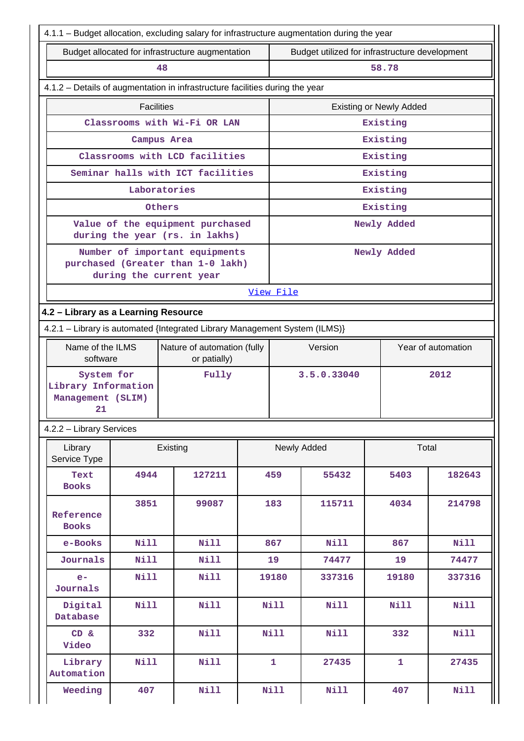| 4.1.1 - Budget allocation, excluding salary for infrastructure augmentation during the year |                                      |                                                                    |                                                |              |             |                                |                    |
|---------------------------------------------------------------------------------------------|--------------------------------------|--------------------------------------------------------------------|------------------------------------------------|--------------|-------------|--------------------------------|--------------------|
|                                                                                             |                                      | Budget allocated for infrastructure augmentation                   | Budget utilized for infrastructure development |              |             |                                |                    |
| 48                                                                                          |                                      |                                                                    |                                                |              |             | 58.78                          |                    |
| 4.1.2 - Details of augmentation in infrastructure facilities during the year                |                                      |                                                                    |                                                |              |             |                                |                    |
|                                                                                             | <b>Facilities</b>                    |                                                                    |                                                |              |             | <b>Existing or Newly Added</b> |                    |
|                                                                                             |                                      | Classrooms with Wi-Fi OR LAN                                       |                                                |              |             | Existing                       |                    |
|                                                                                             |                                      | Campus Area                                                        |                                                |              |             | Existing                       |                    |
|                                                                                             |                                      | Classrooms with LCD facilities                                     |                                                |              |             | Existing                       |                    |
|                                                                                             |                                      | Seminar halls with ICT facilities                                  |                                                |              |             | Existing                       |                    |
|                                                                                             |                                      | Laboratories                                                       |                                                |              |             | Existing                       |                    |
|                                                                                             |                                      | Others                                                             |                                                |              |             | Existing                       |                    |
|                                                                                             |                                      | Value of the equipment purchased<br>during the year (rs. in lakhs) |                                                |              |             | Newly Added                    |                    |
|                                                                                             |                                      | Number of important equipments                                     |                                                |              |             | Newly Added                    |                    |
|                                                                                             |                                      | purchased (Greater than 1-0 lakh)<br>during the current year       |                                                |              |             |                                |                    |
|                                                                                             |                                      |                                                                    |                                                | View File    |             |                                |                    |
|                                                                                             | 4.2 - Library as a Learning Resource |                                                                    |                                                |              |             |                                |                    |
| 4.2.1 - Library is automated {Integrated Library Management System (ILMS)}                  |                                      |                                                                    |                                                |              |             |                                |                    |
| Name of the ILMS                                                                            |                                      | Nature of automation (fully                                        |                                                |              | Version     |                                | Year of automation |
| software                                                                                    |                                      | or patially)                                                       |                                                |              |             |                                |                    |
| System for                                                                                  |                                      | Fully                                                              |                                                |              | 3.5.0.33040 |                                | 2012               |
| Library Information<br>Management (SLIM)                                                    |                                      |                                                                    |                                                |              |             |                                |                    |
| 21                                                                                          |                                      |                                                                    |                                                |              |             |                                |                    |
| 4.2.2 - Library Services                                                                    |                                      |                                                                    |                                                |              |             |                                |                    |
| Library<br>Service Type                                                                     |                                      | Existing                                                           |                                                |              | Newly Added | Total                          |                    |
| Text<br><b>Books</b>                                                                        | 4944                                 | 127211                                                             |                                                | 459          | 55432       | 5403                           | 182643             |
|                                                                                             | 3851                                 | 99087                                                              |                                                | 183          | 115711      | 4034                           | 214798             |
| Reference<br><b>Books</b>                                                                   |                                      |                                                                    |                                                |              |             |                                |                    |
| e-Books                                                                                     | <b>Nill</b>                          | <b>Nill</b>                                                        |                                                | 867          | <b>Nill</b> | 867                            | <b>Nill</b>        |
| Journals                                                                                    | <b>Nill</b>                          | Nill                                                               |                                                | 19           | 74477       | 19                             | 74477              |
| $e-$<br>Journals                                                                            | <b>Nill</b>                          | <b>Nill</b>                                                        |                                                | 19180        | 337316      | 19180                          | 337316             |
| Digital<br>Database                                                                         | <b>Nill</b>                          | <b>Nill</b>                                                        |                                                | <b>Nill</b>  | <b>Nill</b> | Nill                           | <b>Nill</b>        |
| CD &<br>Video                                                                               | 332                                  | <b>Nill</b>                                                        |                                                | <b>Nill</b>  | Nill        | 332                            | <b>Nill</b>        |
| Library<br>Automation                                                                       | <b>Nill</b>                          | <b>Nill</b>                                                        |                                                | $\mathbf{1}$ | 27435       | $\mathbf{1}$                   | 27435              |
| Weeding                                                                                     | 407                                  | <b>Nill</b>                                                        |                                                | <b>Nill</b>  | Nill        | 407                            | Nill               |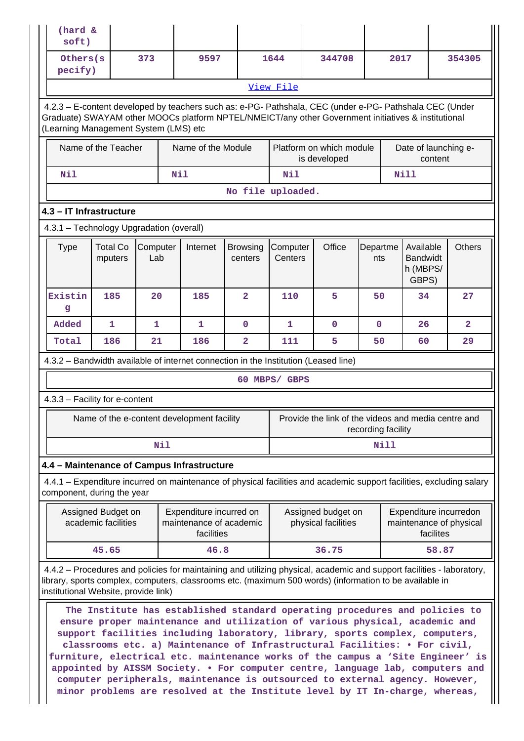| (hard &<br>soft)                                                                                                                                                                                                                                                         |                                           |                 |     |                                                                  |                            |                     |                                                                                                                                                                                                                                                                                                                                                                                                                                                                                                                                                                                                                                                               |                    |             |                                                                |               |                |
|--------------------------------------------------------------------------------------------------------------------------------------------------------------------------------------------------------------------------------------------------------------------------|-------------------------------------------|-----------------|-----|------------------------------------------------------------------|----------------------------|---------------------|---------------------------------------------------------------------------------------------------------------------------------------------------------------------------------------------------------------------------------------------------------------------------------------------------------------------------------------------------------------------------------------------------------------------------------------------------------------------------------------------------------------------------------------------------------------------------------------------------------------------------------------------------------------|--------------------|-------------|----------------------------------------------------------------|---------------|----------------|
| Others (s)<br>pecify)                                                                                                                                                                                                                                                    |                                           | 373             |     | 9597                                                             |                            | 1644                | 344708                                                                                                                                                                                                                                                                                                                                                                                                                                                                                                                                                                                                                                                        |                    | 2017        |                                                                | 354305        |                |
|                                                                                                                                                                                                                                                                          |                                           |                 |     |                                                                  |                            | View File           |                                                                                                                                                                                                                                                                                                                                                                                                                                                                                                                                                                                                                                                               |                    |             |                                                                |               |                |
| 4.2.3 - E-content developed by teachers such as: e-PG- Pathshala, CEC (under e-PG- Pathshala CEC (Under<br>Graduate) SWAYAM other MOOCs platform NPTEL/NMEICT/any other Government initiatives & institutional<br>(Learning Management System (LMS) etc                  |                                           |                 |     |                                                                  |                            |                     |                                                                                                                                                                                                                                                                                                                                                                                                                                                                                                                                                                                                                                                               |                    |             |                                                                |               |                |
|                                                                                                                                                                                                                                                                          | Name of the Teacher                       |                 |     | Name of the Module                                               |                            |                     | Platform on which module<br>is developed                                                                                                                                                                                                                                                                                                                                                                                                                                                                                                                                                                                                                      |                    |             | Date of launching e-<br>content                                |               |                |
| Nil                                                                                                                                                                                                                                                                      |                                           |                 | Nil |                                                                  |                            | Nil                 |                                                                                                                                                                                                                                                                                                                                                                                                                                                                                                                                                                                                                                                               |                    |             | <b>Nill</b>                                                    |               |                |
|                                                                                                                                                                                                                                                                          |                                           |                 |     |                                                                  | No file uploaded.          |                     |                                                                                                                                                                                                                                                                                                                                                                                                                                                                                                                                                                                                                                                               |                    |             |                                                                |               |                |
| 4.3 - IT Infrastructure                                                                                                                                                                                                                                                  |                                           |                 |     |                                                                  |                            |                     |                                                                                                                                                                                                                                                                                                                                                                                                                                                                                                                                                                                                                                                               |                    |             |                                                                |               |                |
| 4.3.1 - Technology Upgradation (overall)                                                                                                                                                                                                                                 |                                           |                 |     |                                                                  |                            |                     |                                                                                                                                                                                                                                                                                                                                                                                                                                                                                                                                                                                                                                                               |                    |             |                                                                |               |                |
| <b>Type</b>                                                                                                                                                                                                                                                              | <b>Total Co</b><br>mputers                | Computer<br>Lab |     | Internet                                                         | <b>Browsing</b><br>centers | Computer<br>Centers | Office                                                                                                                                                                                                                                                                                                                                                                                                                                                                                                                                                                                                                                                        | Departme<br>nts    |             | Available<br><b>Bandwidt</b><br>h (MBPS/<br>GBPS)              | <b>Others</b> |                |
| Existin<br>g                                                                                                                                                                                                                                                             | 185                                       | 20              |     | 185                                                              | $\overline{2}$             | 110                 | 5                                                                                                                                                                                                                                                                                                                                                                                                                                                                                                                                                                                                                                                             | 50                 |             | 34                                                             | 27            |                |
| Added                                                                                                                                                                                                                                                                    | $\mathbf{1}$                              | 1               |     | 1                                                                | $\mathbf{0}$               | $\mathbf{1}$        | $\mathbf 0$                                                                                                                                                                                                                                                                                                                                                                                                                                                                                                                                                                                                                                                   | $\mathbf 0$        |             | 26                                                             |               | $\overline{2}$ |
| Total                                                                                                                                                                                                                                                                    | 186                                       | 21              |     | 186                                                              | $\overline{2}$             | 111                 | 5                                                                                                                                                                                                                                                                                                                                                                                                                                                                                                                                                                                                                                                             | 50                 |             | 60                                                             | 29            |                |
| 4.3.2 - Bandwidth available of internet connection in the Institution (Leased line)                                                                                                                                                                                      |                                           |                 |     |                                                                  |                            |                     |                                                                                                                                                                                                                                                                                                                                                                                                                                                                                                                                                                                                                                                               |                    |             |                                                                |               |                |
|                                                                                                                                                                                                                                                                          |                                           |                 |     |                                                                  |                            | 60 MBPS/ GBPS       |                                                                                                                                                                                                                                                                                                                                                                                                                                                                                                                                                                                                                                                               |                    |             |                                                                |               |                |
| 4.3.3 - Facility for e-content                                                                                                                                                                                                                                           |                                           |                 |     |                                                                  |                            |                     |                                                                                                                                                                                                                                                                                                                                                                                                                                                                                                                                                                                                                                                               |                    |             |                                                                |               |                |
|                                                                                                                                                                                                                                                                          |                                           |                 |     | Name of the e-content development facility                       |                            |                     | Provide the link of the videos and media centre and                                                                                                                                                                                                                                                                                                                                                                                                                                                                                                                                                                                                           | recording facility |             |                                                                |               |                |
|                                                                                                                                                                                                                                                                          |                                           |                 | Nil |                                                                  |                            |                     |                                                                                                                                                                                                                                                                                                                                                                                                                                                                                                                                                                                                                                                               |                    | <b>Nill</b> |                                                                |               |                |
| 4.4 - Maintenance of Campus Infrastructure                                                                                                                                                                                                                               |                                           |                 |     |                                                                  |                            |                     |                                                                                                                                                                                                                                                                                                                                                                                                                                                                                                                                                                                                                                                               |                    |             |                                                                |               |                |
| 4.4.1 - Expenditure incurred on maintenance of physical facilities and academic support facilities, excluding salary<br>component, during the year                                                                                                                       |                                           |                 |     |                                                                  |                            |                     |                                                                                                                                                                                                                                                                                                                                                                                                                                                                                                                                                                                                                                                               |                    |             |                                                                |               |                |
|                                                                                                                                                                                                                                                                          | Assigned Budget on<br>academic facilities |                 |     | Expenditure incurred on<br>maintenance of academic<br>facilities |                            |                     | Assigned budget on<br>physical facilities                                                                                                                                                                                                                                                                                                                                                                                                                                                                                                                                                                                                                     |                    |             | Expenditure incurredon<br>maintenance of physical<br>facilites |               |                |
|                                                                                                                                                                                                                                                                          | 45.65                                     |                 |     | 46.8                                                             |                            |                     | 36.75                                                                                                                                                                                                                                                                                                                                                                                                                                                                                                                                                                                                                                                         |                    |             |                                                                | 58.87         |                |
| 4.4.2 – Procedures and policies for maintaining and utilizing physical, academic and support facilities - laboratory,<br>library, sports complex, computers, classrooms etc. (maximum 500 words) (information to be available in<br>institutional Website, provide link) |                                           |                 |     |                                                                  |                            |                     |                                                                                                                                                                                                                                                                                                                                                                                                                                                                                                                                                                                                                                                               |                    |             |                                                                |               |                |
|                                                                                                                                                                                                                                                                          |                                           |                 |     |                                                                  |                            |                     | The Institute has established standard operating procedures and policies to<br>ensure proper maintenance and utilization of various physical, academic and<br>support facilities including laboratory, library, sports complex, computers,<br>classrooms etc. a) Maintenance of Infrastructural Facilities: • For civil,<br>furniture, electrical etc. maintenance works of the campus a 'Site Engineer' is<br>appointed by AISSM Society. . For computer centre, language lab, computers and<br>computer peripherals, maintenance is outsourced to external agency. However,<br>minor problems are resolved at the Institute level by IT In-charge, whereas, |                    |             |                                                                |               |                |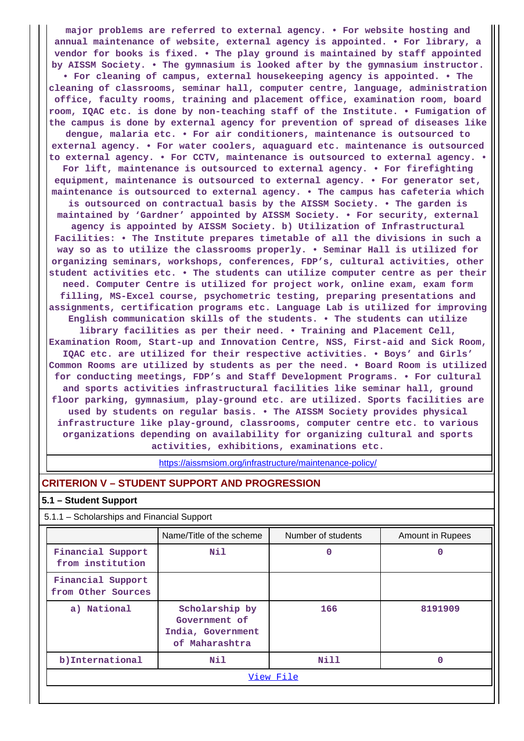**major problems are referred to external agency. • For website hosting and annual maintenance of website, external agency is appointed. • For library, a vendor for books is fixed. • The play ground is maintained by staff appointed by AISSM Society. • The gymnasium is looked after by the gymnasium instructor. • For cleaning of campus, external housekeeping agency is appointed. • The cleaning of classrooms, seminar hall, computer centre, language, administration office, faculty rooms, training and placement office, examination room, board room, IQAC etc. is done by non-teaching staff of the Institute. • Fumigation of the campus is done by external agency for prevention of spread of diseases like dengue, malaria etc. • For air conditioners, maintenance is outsourced to external agency. • For water coolers, aquaguard etc. maintenance is outsourced to external agency. • For CCTV, maintenance is outsourced to external agency. • For lift, maintenance is outsourced to external agency. • For firefighting equipment, maintenance is outsourced to external agency. • For generator set, maintenance is outsourced to external agency. • The campus has cafeteria which is outsourced on contractual basis by the AISSM Society. • The garden is maintained by 'Gardner' appointed by AISSM Society. • For security, external agency is appointed by AISSM Society. b) Utilization of Infrastructural Facilities: • The Institute prepares timetable of all the divisions in such a way so as to utilize the classrooms properly. • Seminar Hall is utilized for organizing seminars, workshops, conferences, FDP's, cultural activities, other student activities etc. • The students can utilize computer centre as per their need. Computer Centre is utilized for project work, online exam, exam form filling, MS-Excel course, psychometric testing, preparing presentations and assignments, certification programs etc. Language Lab is utilized for improving English communication skills of the students. • The students can utilize library facilities as per their need. • Training and Placement Cell, Examination Room, Start-up and Innovation Centre, NSS, First-aid and Sick Room, IQAC etc. are utilized for their respective activities. • Boys' and Girls' Common Rooms are utilized by students as per the need. • Board Room is utilized for conducting meetings, FDP's and Staff Development Programs. • For cultural and sports activities infrastructural facilities like seminar hall, ground floor parking, gymnasium, play-ground etc. are utilized. Sports facilities are used by students on regular basis. • The AISSM Society provides physical infrastructure like play-ground, classrooms, computer centre etc. to various**

> **activities, exhibitions, examinations etc.** <https://aissmsiom.org/infrastructure/maintenance-policy/>

**organizations depending on availability for organizing cultural and sports**

## **CRITERION V – STUDENT SUPPORT AND PROGRESSION**

#### **5.1 – Student Support**

5.1.1 – Scholarships and Financial Support

|                                         | Name/Title of the scheme                                               | Number of students | Amount in Rupees |  |  |
|-----------------------------------------|------------------------------------------------------------------------|--------------------|------------------|--|--|
| Financial Support<br>from institution   | Nil                                                                    | 0                  | 0                |  |  |
| Financial Support<br>from Other Sources |                                                                        |                    |                  |  |  |
| a) National                             | Scholarship by<br>Government of<br>India, Government<br>of Maharashtra | 166                | 8191909          |  |  |
| b) International                        | Nil                                                                    | Nill               | 0                |  |  |
|                                         | View File                                                              |                    |                  |  |  |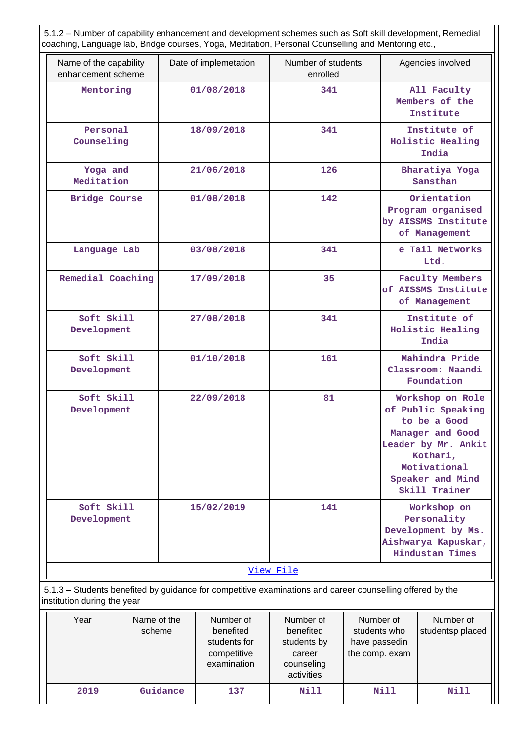5.1.2 – Number of capability enhancement and development schemes such as Soft skill development, Remedial coaching, Language lab, Bridge courses, Yoga, Meditation, Personal Counselling and Mentoring etc.,

| Name of the capability                                                                                                                   |                       | Date of implemetation  | Number of students     |                           |                                                                                                                                                                                                                                                                         | Agencies involved                                                        |
|------------------------------------------------------------------------------------------------------------------------------------------|-----------------------|------------------------|------------------------|---------------------------|-------------------------------------------------------------------------------------------------------------------------------------------------------------------------------------------------------------------------------------------------------------------------|--------------------------------------------------------------------------|
| enhancement scheme                                                                                                                       |                       |                        | enrolled               |                           |                                                                                                                                                                                                                                                                         |                                                                          |
| Mentoring                                                                                                                                |                       | 01/08/2018             | 341                    |                           |                                                                                                                                                                                                                                                                         | All Faculty<br>Members of the<br>Institute                               |
| Personal<br>Counseling                                                                                                                   |                       | 18/09/2018             | 341                    |                           |                                                                                                                                                                                                                                                                         | Institute of<br>Holistic Healing<br>India                                |
| Yoga and<br>Meditation                                                                                                                   |                       | 21/06/2018             | 126                    |                           |                                                                                                                                                                                                                                                                         | Bharatiya Yoga<br>Sansthan                                               |
| <b>Bridge Course</b>                                                                                                                     |                       | 01/08/2018             | 142                    |                           |                                                                                                                                                                                                                                                                         | Orientation<br>Program organised<br>by AISSMS Institute<br>of Management |
| Language Lab                                                                                                                             |                       | 03/08/2018             | 341                    |                           |                                                                                                                                                                                                                                                                         | e Tail Networks<br>Ltd.                                                  |
| Remedial Coaching                                                                                                                        |                       | 17/09/2018             | 35                     |                           |                                                                                                                                                                                                                                                                         | <b>Faculty Members</b><br>of AISSMS Institute<br>of Management           |
| Soft Skill<br>Development                                                                                                                |                       | 27/08/2018             | 341                    |                           | Institute of<br>Holistic Healing<br>India                                                                                                                                                                                                                               |                                                                          |
| Soft Skill<br>Development                                                                                                                |                       | 01/10/2018             | 161                    |                           |                                                                                                                                                                                                                                                                         | Mahindra Pride<br>Classroom: Naandi<br>Foundation                        |
| Soft Skill<br>Development                                                                                                                |                       | 22/09/2018             | 81                     |                           | Workshop on Role<br>of Public Speaking<br>to be a Good<br>Manager and Good<br>Leader by Mr. Ankit<br>Kothari,<br>Motivational<br>Speaker and Mind<br>Skill Trainer<br>Workshop on<br>Personality<br>Development by Ms.<br>Aishwarya Kapuskar,<br><b>Hindustan Times</b> |                                                                          |
| Soft Skill<br>Development                                                                                                                |                       | 15/02/2019             | 141                    |                           |                                                                                                                                                                                                                                                                         |                                                                          |
|                                                                                                                                          |                       |                        | View File              |                           |                                                                                                                                                                                                                                                                         |                                                                          |
| 5.1.3 - Students benefited by guidance for competitive examinations and career counselling offered by the<br>institution during the year |                       |                        |                        |                           |                                                                                                                                                                                                                                                                         |                                                                          |
| Year                                                                                                                                     | Name of the<br>schama | Number of<br>hanafitad | Number of<br>henefited | Number of<br>students who |                                                                                                                                                                                                                                                                         | Number of<br>studenten niaced                                            |

| Year | Name of the<br>scheme | Number of<br>benefited<br>students for<br>competitive<br>examination | Number of<br>benefited<br>students by<br>career<br>counseling<br>activities | Number of<br>students who<br>have passedin<br>the comp. exam | Number of<br>studentsp placed |
|------|-----------------------|----------------------------------------------------------------------|-----------------------------------------------------------------------------|--------------------------------------------------------------|-------------------------------|
| 2019 | Guidance              | 137                                                                  | Nill                                                                        | Nill                                                         | Nill                          |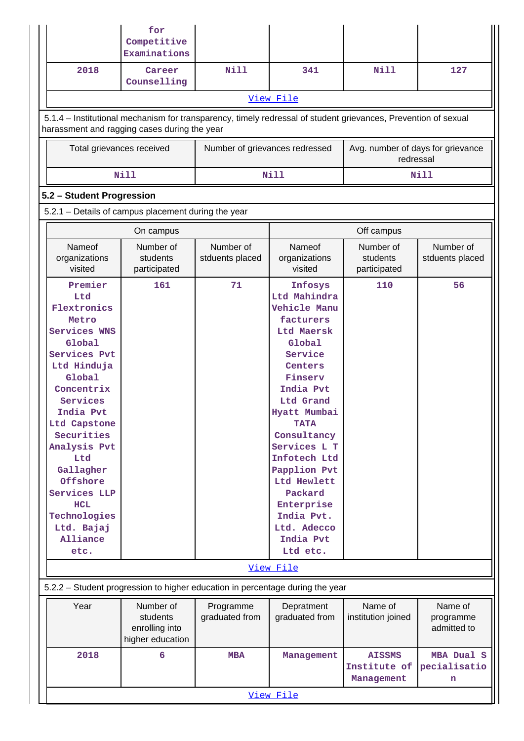|                                                                                                                                                                                                                                                                                                                | for<br>Competitive<br>Examinations                                                                                                                             |                                |                                                                                                                                                                                                                                                                                                                                     |                                                |                                     |  |  |  |
|----------------------------------------------------------------------------------------------------------------------------------------------------------------------------------------------------------------------------------------------------------------------------------------------------------------|----------------------------------------------------------------------------------------------------------------------------------------------------------------|--------------------------------|-------------------------------------------------------------------------------------------------------------------------------------------------------------------------------------------------------------------------------------------------------------------------------------------------------------------------------------|------------------------------------------------|-------------------------------------|--|--|--|
| 2018                                                                                                                                                                                                                                                                                                           | Career<br>Counselling                                                                                                                                          | Nill                           | 341                                                                                                                                                                                                                                                                                                                                 | Nill                                           | 127                                 |  |  |  |
|                                                                                                                                                                                                                                                                                                                |                                                                                                                                                                |                                | View File                                                                                                                                                                                                                                                                                                                           |                                                |                                     |  |  |  |
|                                                                                                                                                                                                                                                                                                                | 5.1.4 – Institutional mechanism for transparency, timely redressal of student grievances, Prevention of sexual<br>harassment and ragging cases during the year |                                |                                                                                                                                                                                                                                                                                                                                     |                                                |                                     |  |  |  |
| Total grievances received                                                                                                                                                                                                                                                                                      |                                                                                                                                                                | Number of grievances redressed |                                                                                                                                                                                                                                                                                                                                     | Avg. number of days for grievance<br>redressal |                                     |  |  |  |
|                                                                                                                                                                                                                                                                                                                | <b>Nill</b>                                                                                                                                                    |                                | <b>Nill</b>                                                                                                                                                                                                                                                                                                                         |                                                | Nill                                |  |  |  |
| 5.2 - Student Progression                                                                                                                                                                                                                                                                                      |                                                                                                                                                                |                                |                                                                                                                                                                                                                                                                                                                                     |                                                |                                     |  |  |  |
| 5.2.1 - Details of campus placement during the year                                                                                                                                                                                                                                                            |                                                                                                                                                                |                                |                                                                                                                                                                                                                                                                                                                                     |                                                |                                     |  |  |  |
|                                                                                                                                                                                                                                                                                                                | On campus                                                                                                                                                      |                                |                                                                                                                                                                                                                                                                                                                                     | Off campus                                     |                                     |  |  |  |
| Nameof<br>organizations<br>visited                                                                                                                                                                                                                                                                             | Number of<br>students<br>participated                                                                                                                          | Number of<br>stduents placed   | Nameof<br>organizations<br>visited                                                                                                                                                                                                                                                                                                  | Number of<br>students<br>participated          | Number of<br>stduents placed        |  |  |  |
| Premier<br>Ltd<br>Flextronics<br>Metro<br>Services WNS<br>Global<br>Services Pvt<br>Ltd Hinduja<br>Global<br>Concentrix<br>Services<br>India Pvt<br>Ltd Capstone<br>Securities<br>Analysis Pvt<br>Ltd<br>Gallagher<br>Offshore<br>Services LLP<br><b>HCL</b><br>Technologies<br>Ltd. Bajaj<br>Alliance<br>etc. | 161                                                                                                                                                            | 71                             | Infosys<br>Ltd Mahindra<br>Vehicle Manu<br>facturers<br>Ltd Maersk<br>Global<br>Service<br>Centers<br>Finserv<br>India Pvt<br>Ltd Grand<br>Hyatt Mumbai<br><b>TATA</b><br>Consultancy<br>Services L T<br>Infotech Ltd<br>Papplion Pvt<br>Ltd Hewlett<br>Packard<br>Enterprise<br>India Pvt.<br>Ltd. Adecco<br>India Pvt<br>Ltd etc. | 110                                            | 56                                  |  |  |  |
|                                                                                                                                                                                                                                                                                                                |                                                                                                                                                                |                                | View File                                                                                                                                                                                                                                                                                                                           |                                                |                                     |  |  |  |
|                                                                                                                                                                                                                                                                                                                | 5.2.2 - Student progression to higher education in percentage during the year                                                                                  |                                |                                                                                                                                                                                                                                                                                                                                     |                                                |                                     |  |  |  |
| Year                                                                                                                                                                                                                                                                                                           | Number of<br>students<br>enrolling into<br>higher education                                                                                                    | Programme<br>graduated from    | Depratment<br>graduated from                                                                                                                                                                                                                                                                                                        | Name of<br>institution joined                  | Name of<br>programme<br>admitted to |  |  |  |
| 2018                                                                                                                                                                                                                                                                                                           | 6                                                                                                                                                              | <b>MBA</b>                     | Management                                                                                                                                                                                                                                                                                                                          | <b>AISSMS</b><br>Institute of<br>Management    | MBA Dual S<br>pecialisatio<br>n     |  |  |  |
| View File                                                                                                                                                                                                                                                                                                      |                                                                                                                                                                |                                |                                                                                                                                                                                                                                                                                                                                     |                                                |                                     |  |  |  |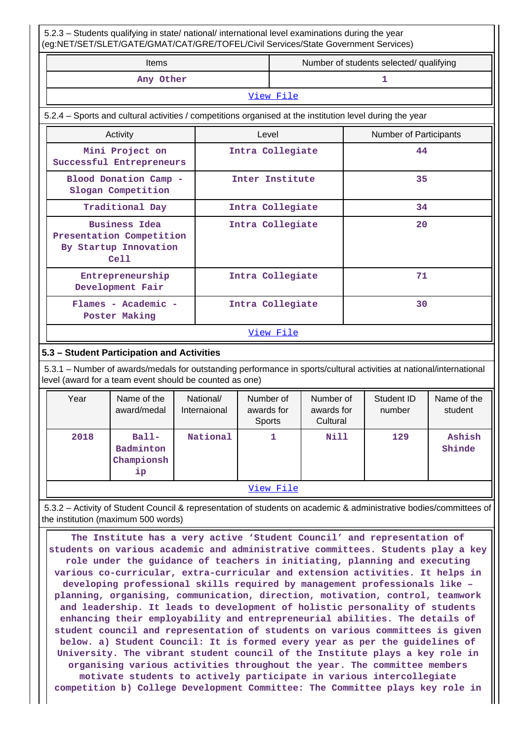5.2.3 – Students qualifying in state/ national/ international level examinations during the year (eg:NET/SET/SLET/GATE/GMAT/CAT/GRE/TOFEL/Civil Services/State Government Services)

| (eq.inc T/SET/SLET/GATE/GIVIAT/CAT/GRE/TOFEL/CIVII SENICES/SIdie GOVERNMENT SENICES)                     |       |                                         |                        |  |  |  |
|----------------------------------------------------------------------------------------------------------|-------|-----------------------------------------|------------------------|--|--|--|
| <b>Items</b>                                                                                             |       | Number of students selected/ qualifying |                        |  |  |  |
| Any Other                                                                                                |       |                                         | 1                      |  |  |  |
|                                                                                                          |       | View File                               |                        |  |  |  |
| 5.2.4 – Sports and cultural activities / competitions organised at the institution level during the year |       |                                         |                        |  |  |  |
| Activity                                                                                                 | Level |                                         | Number of Participants |  |  |  |
| Mini Project on<br>Successful Entrepreneurs                                                              |       | Intra Collegiate                        | 44                     |  |  |  |
| Blood Donation Camp -<br>Slogan Competition                                                              |       | Inter Institute                         | 35                     |  |  |  |
| Traditional Day                                                                                          |       | Intra Collegiate                        | 34                     |  |  |  |
| <b>Business Idea</b><br>Presentation Competition<br>By Startup Innovation<br>Ce11                        |       | Intra Collegiate                        | 20                     |  |  |  |
| Entrepreneurship<br>Development Fair                                                                     |       | Intra Collegiate                        | 71                     |  |  |  |
| Flames - Academic -<br>Poster Making                                                                     |       | Intra Collegiate                        | 30                     |  |  |  |

[View File](https://assessmentonline.naac.gov.in/public/Postacc/Activities_Organised/7802_Activities_Organised_1639392870.xlsx)

## **5.3 – Student Participation and Activities**

 5.3.1 – Number of awards/medals for outstanding performance in sports/cultural activities at national/international level (award for a team event should be counted as one)

| Year |           | Name of the<br>award/medal               | National/<br>Internaional | Number of<br>awards for<br>Sports | Number of<br>awards for<br>Cultural | Student ID<br>number | Name of the<br>student |
|------|-----------|------------------------------------------|---------------------------|-----------------------------------|-------------------------------------|----------------------|------------------------|
| 2018 |           | $Ball-$<br>Badminton<br>Championsh<br>ip | National                  | 1                                 | Nill                                | 129                  | Ashish<br>Shinde       |
|      | View File |                                          |                           |                                   |                                     |                      |                        |

 5.3.2 – Activity of Student Council & representation of students on academic & administrative bodies/committees of the institution (maximum 500 words)

 **The Institute has a very active 'Student Council' and representation of students on various academic and administrative committees. Students play a key role under the guidance of teachers in initiating, planning and executing various co-curricular, extra-curricular and extension activities. It helps in developing professional skills required by management professionals like – planning, organising, communication, direction, motivation, control, teamwork and leadership. It leads to development of holistic personality of students enhancing their employability and entrepreneurial abilities. The details of student council and representation of students on various committees is given below. a) Student Council: It is formed every year as per the guidelines of University. The vibrant student council of the Institute plays a key role in organising various activities throughout the year. The committee members motivate students to actively participate in various intercollegiate competition b) College Development Committee: The Committee plays key role in**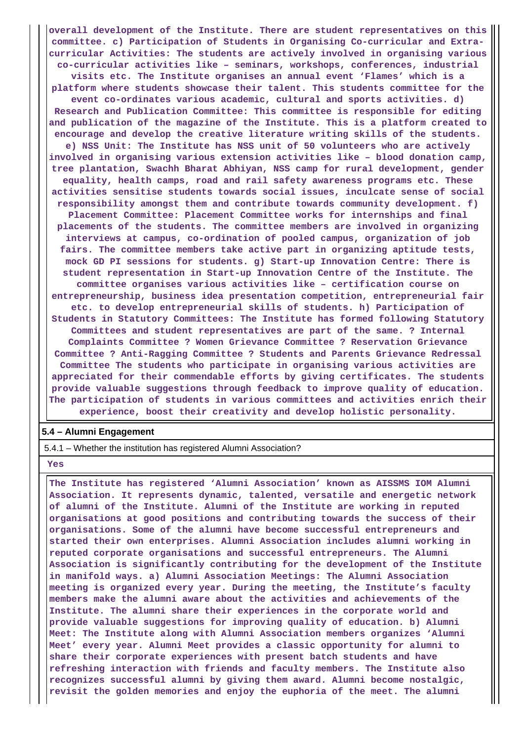**overall development of the Institute. There are student representatives on this committee. c) Participation of Students in Organising Co-curricular and Extracurricular Activities: The students are actively involved in organising various co-curricular activities like – seminars, workshops, conferences, industrial visits etc. The Institute organises an annual event 'Flames' which is a platform where students showcase their talent. This students committee for the event co-ordinates various academic, cultural and sports activities. d) Research and Publication Committee: This committee is responsible for editing and publication of the magazine of the Institute. This is a platform created to encourage and develop the creative literature writing skills of the students. e) NSS Unit: The Institute has NSS unit of 50 volunteers who are actively involved in organising various extension activities like – blood donation camp, tree plantation, Swachh Bharat Abhiyan, NSS camp for rural development, gender equality, health camps, road and rail safety awareness programs etc. These activities sensitise students towards social issues, inculcate sense of social responsibility amongst them and contribute towards community development. f) Placement Committee: Placement Committee works for internships and final placements of the students. The committee members are involved in organizing interviews at campus, co-ordination of pooled campus, organization of job fairs. The committee members take active part in organizing aptitude tests, mock GD PI sessions for students. g) Start-up Innovation Centre: There is student representation in Start-up Innovation Centre of the Institute. The committee organises various activities like – certification course on entrepreneurship, business idea presentation competition, entrepreneurial fair etc. to develop entrepreneurial skills of students. h) Participation of Students in Statutory Committees: The Institute has formed following Statutory Committees and student representatives are part of the same. ? Internal Complaints Committee ? Women Grievance Committee ? Reservation Grievance Committee ? Anti-Ragging Committee ? Students and Parents Grievance Redressal Committee The students who participate in organising various activities are appreciated for their commendable efforts by giving certificates. The students provide valuable suggestions through feedback to improve quality of education. The participation of students in various committees and activities enrich their experience, boost their creativity and develop holistic personality.**

#### **5.4 – Alumni Engagement**

5.4.1 – Whether the institution has registered Alumni Association?

 **Yes**

 **The Institute has registered 'Alumni Association' known as AISSMS IOM Alumni Association. It represents dynamic, talented, versatile and energetic network of alumni of the Institute. Alumni of the Institute are working in reputed organisations at good positions and contributing towards the success of their organisations. Some of the alumni have become successful entrepreneurs and started their own enterprises. Alumni Association includes alumni working in reputed corporate organisations and successful entrepreneurs. The Alumni Association is significantly contributing for the development of the Institute in manifold ways. a) Alumni Association Meetings: The Alumni Association meeting is organized every year. During the meeting, the Institute's faculty members make the alumni aware about the activities and achievements of the Institute. The alumni share their experiences in the corporate world and provide valuable suggestions for improving quality of education. b) Alumni Meet: The Institute along with Alumni Association members organizes 'Alumni Meet' every year. Alumni Meet provides a classic opportunity for alumni to share their corporate experiences with present batch students and have refreshing interaction with friends and faculty members. The Institute also recognizes successful alumni by giving them award. Alumni become nostalgic, revisit the golden memories and enjoy the euphoria of the meet. The alumni**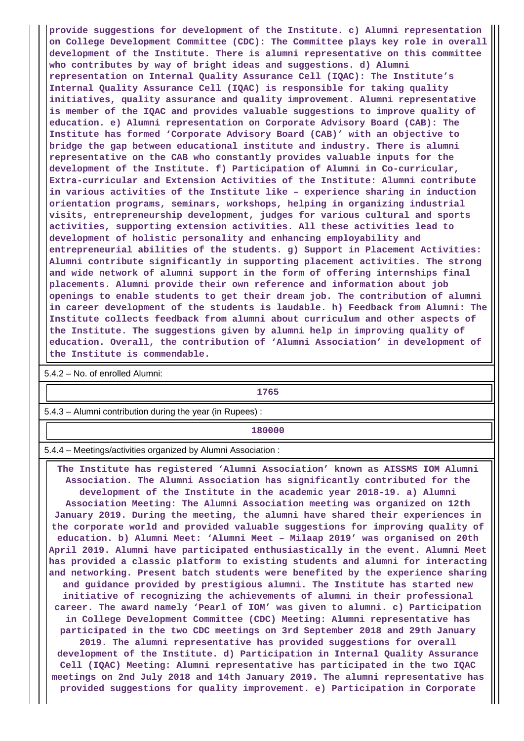**provide suggestions for development of the Institute. c) Alumni representation on College Development Committee (CDC): The Committee plays key role in overall development of the Institute. There is alumni representative on this committee who contributes by way of bright ideas and suggestions. d) Alumni representation on Internal Quality Assurance Cell (IQAC): The Institute's Internal Quality Assurance Cell (IQAC) is responsible for taking quality initiatives, quality assurance and quality improvement. Alumni representative is member of the IQAC and provides valuable suggestions to improve quality of education. e) Alumni representation on Corporate Advisory Board (CAB): The Institute has formed 'Corporate Advisory Board (CAB)' with an objective to bridge the gap between educational institute and industry. There is alumni representative on the CAB who constantly provides valuable inputs for the development of the Institute. f) Participation of Alumni in Co-curricular, Extra-curricular and Extension Activities of the Institute: Alumni contribute in various activities of the Institute like – experience sharing in induction orientation programs, seminars, workshops, helping in organizing industrial visits, entrepreneurship development, judges for various cultural and sports activities, supporting extension activities. All these activities lead to development of holistic personality and enhancing employability and entrepreneurial abilities of the students. g) Support in Placement Activities: Alumni contribute significantly in supporting placement activities. The strong and wide network of alumni support in the form of offering internships final placements. Alumni provide their own reference and information about job openings to enable students to get their dream job. The contribution of alumni in career development of the students is laudable. h) Feedback from Alumni: The Institute collects feedback from alumni about curriculum and other aspects of the Institute. The suggestions given by alumni help in improving quality of education. Overall, the contribution of 'Alumni Association' in development of the Institute is commendable.**

5.4.2 – No. of enrolled Alumni:

**1765**

5.4.3 – Alumni contribution during the year (in Rupees) :

**180000**

5.4.4 – Meetings/activities organized by Alumni Association :

 **The Institute has registered 'Alumni Association' known as AISSMS IOM Alumni Association. The Alumni Association has significantly contributed for the development of the Institute in the academic year 2018-19. a) Alumni Association Meeting: The Alumni Association meeting was organized on 12th January 2019. During the meeting, the alumni have shared their experiences in the corporate world and provided valuable suggestions for improving quality of education. b) Alumni Meet: 'Alumni Meet – Milaap 2019' was organised on 20th April 2019. Alumni have participated enthusiastically in the event. Alumni Meet has provided a classic platform to existing students and alumni for interacting and networking. Present batch students were benefited by the experience sharing and guidance provided by prestigious alumni. The Institute has started new initiative of recognizing the achievements of alumni in their professional career. The award namely 'Pearl of IOM' was given to alumni. c) Participation in College Development Committee (CDC) Meeting: Alumni representative has participated in the two CDC meetings on 3rd September 2018 and 29th January 2019. The alumni representative has provided suggestions for overall development of the Institute. d) Participation in Internal Quality Assurance Cell (IQAC) Meeting: Alumni representative has participated in the two IQAC**

**meetings on 2nd July 2018 and 14th January 2019. The alumni representative has provided suggestions for quality improvement. e) Participation in Corporate**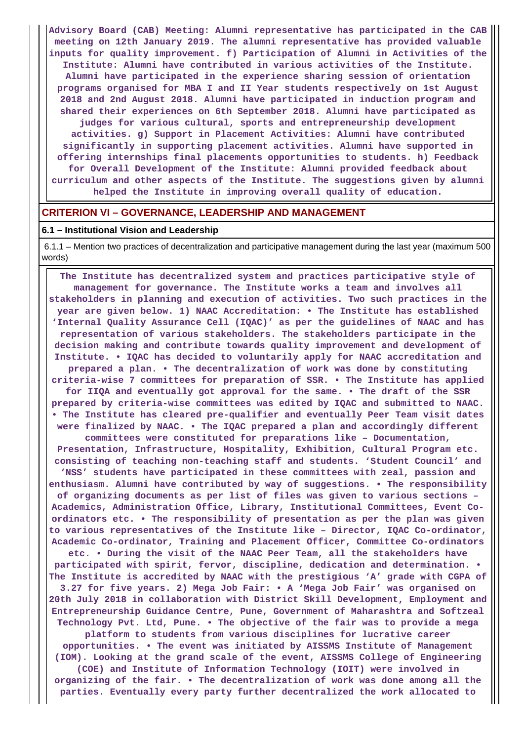**Advisory Board (CAB) Meeting: Alumni representative has participated in the CAB meeting on 12th January 2019. The alumni representative has provided valuable inputs for quality improvement. f) Participation of Alumni in Activities of the Institute: Alumni have contributed in various activities of the Institute. Alumni have participated in the experience sharing session of orientation programs organised for MBA I and II Year students respectively on 1st August 2018 and 2nd August 2018. Alumni have participated in induction program and shared their experiences on 6th September 2018. Alumni have participated as judges for various cultural, sports and entrepreneurship development activities. g) Support in Placement Activities: Alumni have contributed significantly in supporting placement activities. Alumni have supported in offering internships final placements opportunities to students. h) Feedback for Overall Development of the Institute: Alumni provided feedback about curriculum and other aspects of the Institute. The suggestions given by alumni helped the Institute in improving overall quality of education.**

#### **CRITERION VI – GOVERNANCE, LEADERSHIP AND MANAGEMENT**

#### **6.1 – Institutional Vision and Leadership**

 6.1.1 – Mention two practices of decentralization and participative management during the last year (maximum 500 words)

 **The Institute has decentralized system and practices participative style of management for governance. The Institute works a team and involves all stakeholders in planning and execution of activities. Two such practices in the year are given below. 1) NAAC Accreditation: • The Institute has established 'Internal Quality Assurance Cell (IQAC)' as per the guidelines of NAAC and has representation of various stakeholders. The stakeholders participate in the decision making and contribute towards quality improvement and development of Institute. • IQAC has decided to voluntarily apply for NAAC accreditation and prepared a plan. • The decentralization of work was done by constituting criteria-wise 7 committees for preparation of SSR. • The Institute has applied for IIQA and eventually got approval for the same. • The draft of the SSR prepared by criteria-wise committees was edited by IQAC and submitted to NAAC. • The Institute has cleared pre-qualifier and eventually Peer Team visit dates were finalized by NAAC. • The IQAC prepared a plan and accordingly different committees were constituted for preparations like – Documentation, Presentation, Infrastructure, Hospitality, Exhibition, Cultural Program etc. consisting of teaching non-teaching staff and students. 'Student Council' and 'NSS' students have participated in these committees with zeal, passion and enthusiasm. Alumni have contributed by way of suggestions. • The responsibility of organizing documents as per list of files was given to various sections – Academics, Administration Office, Library, Institutional Committees, Event Coordinators etc. • The responsibility of presentation as per the plan was given to various representatives of the Institute like – Director, IQAC Co-ordinator, Academic Co-ordinator, Training and Placement Officer, Committee Co-ordinators etc. • During the visit of the NAAC Peer Team, all the stakeholders have participated with spirit, fervor, discipline, dedication and determination. • The Institute is accredited by NAAC with the prestigious 'A' grade with CGPA of 3.27 for five years. 2) Mega Job Fair: • A 'Mega Job Fair' was organised on 20th July 2018 in collaboration with District Skill Development, Employment and Entrepreneurship Guidance Centre, Pune, Government of Maharashtra and Softzeal Technology Pvt. Ltd, Pune. • The objective of the fair was to provide a mega platform to students from various disciplines for lucrative career opportunities. • The event was initiated by AISSMS Institute of Management**

**(IOM). Looking at the grand scale of the event, AISSMS College of Engineering (COE) and Institute of Information Technology (IOIT) were involved in organizing of the fair. • The decentralization of work was done among all the parties. Eventually every party further decentralized the work allocated to**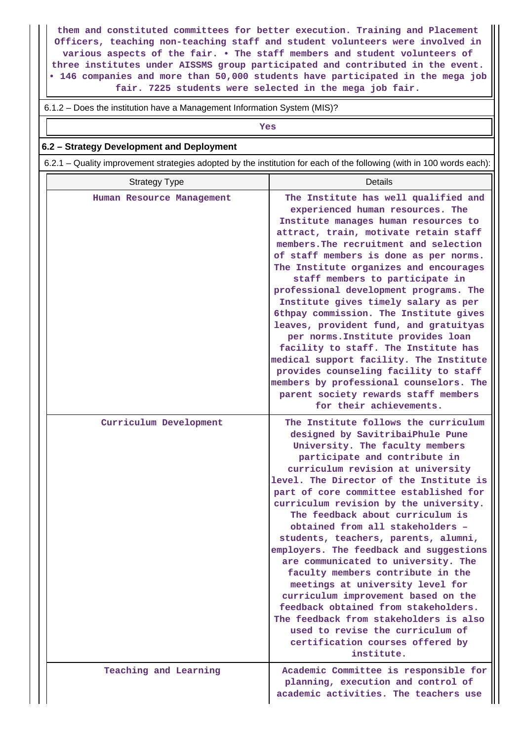**them and constituted committees for better execution. Training and Placement Officers, teaching non-teaching staff and student volunteers were involved in various aspects of the fair. • The staff members and student volunteers of three institutes under AISSMS group participated and contributed in the event. • 146 companies and more than 50,000 students have participated in the mega job fair. 7225 students were selected in the mega job fair.**

6.1.2 – Does the institution have a Management Information System (MIS)?

*Yes* 

## **6.2 – Strategy Development and Deployment**

6.2.1 – Quality improvement strategies adopted by the institution for each of the following (with in 100 words each):

| <b>Strategy Type</b>      | <b>Details</b>                                                                                                                                                                                                                                                                                                                                                                                                                                                                                                                                                                                                                                                                                                                                                                                             |
|---------------------------|------------------------------------------------------------------------------------------------------------------------------------------------------------------------------------------------------------------------------------------------------------------------------------------------------------------------------------------------------------------------------------------------------------------------------------------------------------------------------------------------------------------------------------------------------------------------------------------------------------------------------------------------------------------------------------------------------------------------------------------------------------------------------------------------------------|
| Human Resource Management | The Institute has well qualified and<br>experienced human resources. The<br>Institute manages human resources to<br>attract, train, motivate retain staff<br>members. The recruitment and selection<br>of staff members is done as per norms.<br>The Institute organizes and encourages<br>staff members to participate in<br>professional development programs. The<br>Institute gives timely salary as per<br>6thpay commission. The Institute gives<br>leaves, provident fund, and gratuityas<br>per norms. Institute provides loan<br>facility to staff. The Institute has<br>medical support facility. The Institute<br>provides counseling facility to staff<br>members by professional counselors. The<br>parent society rewards staff members<br>for their achievements.                           |
| Curriculum Development    | The Institute follows the curriculum<br>designed by SavitribaiPhule Pune<br>University. The faculty members<br>participate and contribute in<br>curriculum revision at university<br>level. The Director of the Institute is<br>part of core committee established for<br>curriculum revision by the university.<br>The feedback about curriculum is<br>obtained from all stakeholders -<br>students, teachers, parents, alumni,<br>employers. The feedback and suggestions<br>are communicated to university. The<br>faculty members contribute in the<br>meetings at university level for<br>curriculum improvement based on the<br>feedback obtained from stakeholders.<br>The feedback from stakeholders is also<br>used to revise the curriculum of<br>certification courses offered by<br>institute. |
| Teaching and Learning     | Academic Committee is responsible for<br>planning, execution and control of<br>academic activities. The teachers use                                                                                                                                                                                                                                                                                                                                                                                                                                                                                                                                                                                                                                                                                       |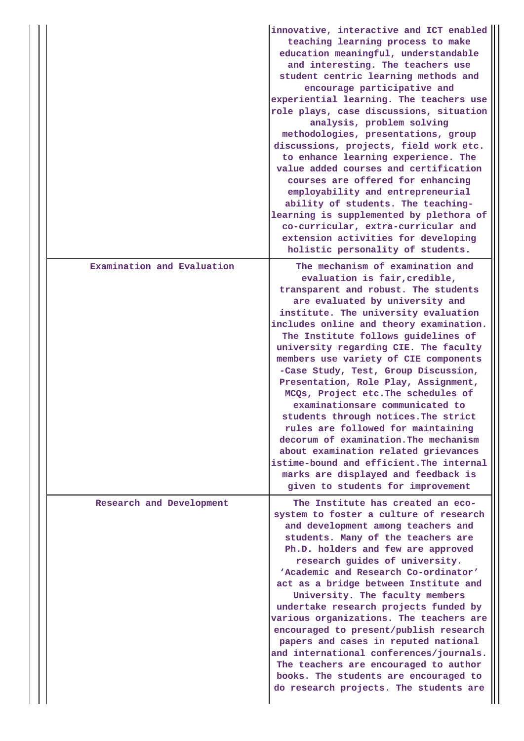|                            | innovative, interactive and ICT enabled<br>teaching learning process to make<br>education meaningful, understandable<br>and interesting. The teachers use<br>student centric learning methods and<br>encourage participative and<br>experiential learning. The teachers use<br>role plays, case discussions, situation<br>analysis, problem solving<br>methodologies, presentations, group<br>discussions, projects, field work etc.<br>to enhance learning experience. The<br>value added courses and certification<br>courses are offered for enhancing<br>employability and entrepreneurial<br>ability of students. The teaching-<br>learning is supplemented by plethora of<br>co-curricular, extra-curricular and<br>extension activities for developing<br>holistic personality of students.        |
|----------------------------|-----------------------------------------------------------------------------------------------------------------------------------------------------------------------------------------------------------------------------------------------------------------------------------------------------------------------------------------------------------------------------------------------------------------------------------------------------------------------------------------------------------------------------------------------------------------------------------------------------------------------------------------------------------------------------------------------------------------------------------------------------------------------------------------------------------|
| Examination and Evaluation | The mechanism of examination and<br>evaluation is fair, credible,<br>transparent and robust. The students<br>are evaluated by university and<br>institute. The university evaluation<br>includes online and theory examination.<br>The Institute follows guidelines of<br>university regarding CIE. The faculty<br>members use variety of CIE components<br>-Case Study, Test, Group Discussion,<br>Presentation, Role Play, Assignment,<br>MCQs, Project etc. The schedules of<br>examinationsare communicated to<br>students through notices. The strict<br>rules are followed for maintaining<br>decorum of examination. The mechanism<br>about examination related grievances<br>istime-bound and efficient. The internal<br>marks are displayed and feedback is<br>given to students for improvement |
| Research and Development   | The Institute has created an eco-<br>system to foster a culture of research<br>and development among teachers and<br>students. Many of the teachers are<br>Ph.D. holders and few are approved<br>research guides of university.<br>'Academic and Research Co-ordinator'<br>act as a bridge between Institute and<br>University. The faculty members<br>undertake research projects funded by<br>various organizations. The teachers are<br>encouraged to present/publish research<br>papers and cases in reputed national<br>and international conferences/journals.<br>The teachers are encouraged to author<br>books. The students are encouraged to<br>do research projects. The students are                                                                                                          |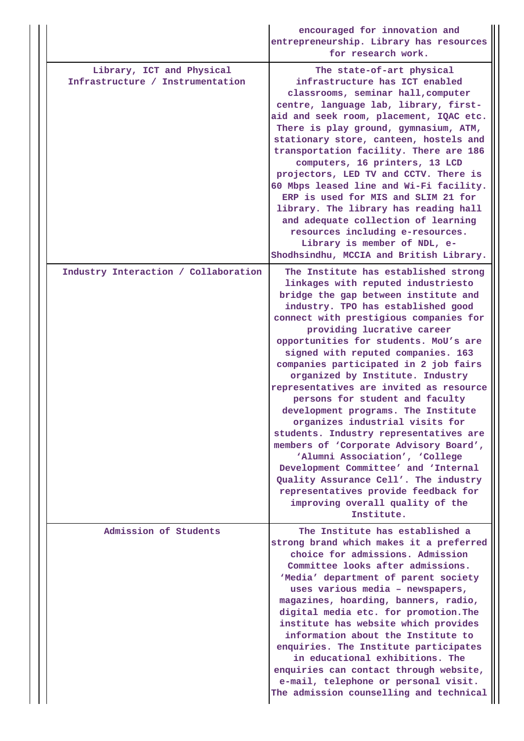|  |                                                               | encouraged for innovation and<br>entrepreneurship. Library has resources<br>for research work.                                                                                                                                                                                                                                                                                                                                                                                                                                                                                                                                                                                                                                                                                                                                                        |
|--|---------------------------------------------------------------|-------------------------------------------------------------------------------------------------------------------------------------------------------------------------------------------------------------------------------------------------------------------------------------------------------------------------------------------------------------------------------------------------------------------------------------------------------------------------------------------------------------------------------------------------------------------------------------------------------------------------------------------------------------------------------------------------------------------------------------------------------------------------------------------------------------------------------------------------------|
|  | Library, ICT and Physical<br>Infrastructure / Instrumentation | The state-of-art physical<br>infrastructure has ICT enabled<br>classrooms, seminar hall, computer<br>centre, language lab, library, first-<br>aid and seek room, placement, IQAC etc.<br>There is play ground, gymnasium, ATM,<br>stationary store, canteen, hostels and<br>transportation facility. There are 186<br>computers, 16 printers, 13 LCD<br>projectors, LED TV and CCTV. There is<br>60 Mbps leased line and Wi-Fi facility.<br>ERP is used for MIS and SLIM 21 for<br>library. The library has reading hall<br>and adequate collection of learning<br>resources including e-resources.<br>Library is member of NDL, e-<br>Shodhsindhu, MCCIA and British Library.                                                                                                                                                                        |
|  | Industry Interaction / Collaboration                          | The Institute has established strong<br>linkages with reputed industriesto<br>bridge the gap between institute and<br>industry. TPO has established good<br>connect with prestigious companies for<br>providing lucrative career<br>opportunities for students. MoU's are<br>signed with reputed companies. 163<br>companies participated in 2 job fairs<br>organized by Institute. Industry<br>representatives are invited as resource<br>persons for student and faculty<br>development programs. The Institute<br>organizes industrial visits for<br>students. Industry representatives are<br>members of 'Corporate Advisory Board',<br>'Alumni Association', 'College<br>Development Committee' and 'Internal<br>Quality Assurance Cell'. The industry<br>representatives provide feedback for<br>improving overall quality of the<br>Institute. |
|  | Admission of Students                                         | The Institute has established a<br>strong brand which makes it a preferred<br>choice for admissions. Admission<br>Committee looks after admissions.<br>'Media' department of parent society<br>uses various media - newspapers,<br>magazines, hoarding, banners, radio,<br>digital media etc. for promotion. The<br>institute has website which provides<br>information about the Institute to<br>enquiries. The Institute participates<br>in educational exhibitions. The<br>enquiries can contact through website,<br>e-mail, telephone or personal visit.<br>The admission counselling and technical                                                                                                                                                                                                                                               |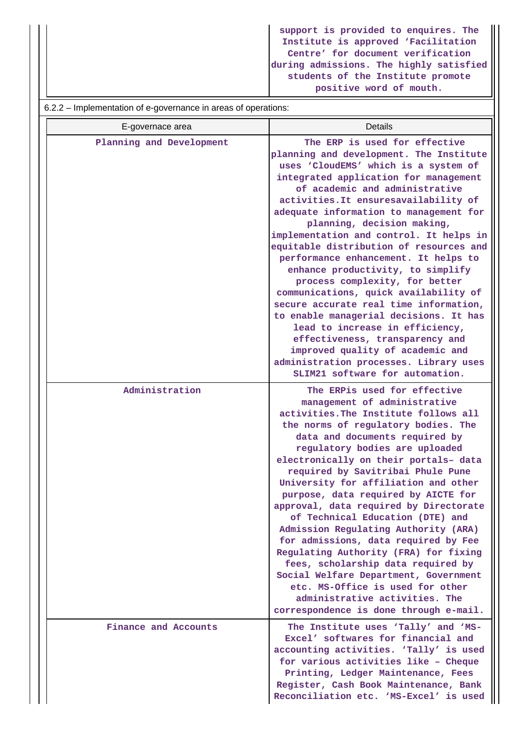**support is provided to enquires. The Institute is approved 'Facilitation Centre' for document verification during admissions. The highly satisfied students of the Institute promote positive word of mouth.**

#### 6.2.2 – Implementation of e-governance in areas of operations:

| E-governace area         | <b>Details</b>                                                                                                                                                                                                                                                                                                                                                                                                                                                                                                                                                                                                                                                                                                                                                                                                                        |
|--------------------------|---------------------------------------------------------------------------------------------------------------------------------------------------------------------------------------------------------------------------------------------------------------------------------------------------------------------------------------------------------------------------------------------------------------------------------------------------------------------------------------------------------------------------------------------------------------------------------------------------------------------------------------------------------------------------------------------------------------------------------------------------------------------------------------------------------------------------------------|
| Planning and Development | The ERP is used for effective<br>planning and development. The Institute<br>uses 'CloudEMS' which is a system of<br>integrated application for management<br>of academic and administrative<br>activities. It ensuresavailability of<br>adequate information to management for<br>planning, decision making,<br>implementation and control. It helps in<br>equitable distribution of resources and<br>performance enhancement. It helps to<br>enhance productivity, to simplify<br>process complexity, for better<br>communications, quick availability of<br>secure accurate real time information,<br>to enable managerial decisions. It has<br>lead to increase in efficiency,<br>effectiveness, transparency and<br>improved quality of academic and<br>administration processes. Library uses<br>SLIM21 software for automation. |
| Administration           | The ERPis used for effective<br>management of administrative<br>activities. The Institute follows all<br>the norms of regulatory bodies. The<br>data and documents required by<br>regulatory bodies are uploaded<br>electronically on their portals- data<br>required by Savitribai Phule Pune<br>University for affiliation and other<br>purpose, data required by AICTE for<br>approval, data required by Directorate<br>of Technical Education (DTE) and<br>Admission Regulating Authority (ARA)<br>for admissions, data required by Fee<br>Regulating Authority (FRA) for fixing<br>fees, scholarship data required by<br>Social Welfare Department, Government<br>etc. MS-Office is used for other<br>administrative activities. The<br>correspondence is done through e-mail.                                                   |
| Finance and Accounts     | The Institute uses 'Tally' and 'MS-<br>Excel' softwares for financial and<br>accounting activities. 'Tally' is used<br>for various activities like - Cheque<br>Printing, Ledger Maintenance, Fees<br>Register, Cash Book Maintenance, Bank<br>Reconciliation etc. 'MS-Excel' is used                                                                                                                                                                                                                                                                                                                                                                                                                                                                                                                                                  |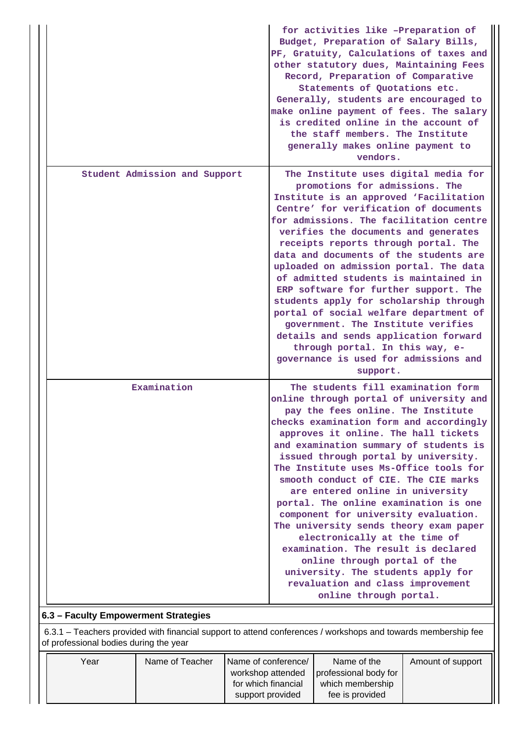|                                                     | for activities like -Preparation of<br>Budget, Preparation of Salary Bills,<br>PF, Gratuity, Calculations of taxes and<br>other statutory dues, Maintaining Fees<br>Record, Preparation of Comparative<br>Statements of Quotations etc.<br>Generally, students are encouraged to<br>make online payment of fees. The salary<br>is credited online in the account of<br>the staff members. The Institute<br>generally makes online payment to<br>vendors.                                                                                                                                                                                                                                                                                               |
|-----------------------------------------------------|--------------------------------------------------------------------------------------------------------------------------------------------------------------------------------------------------------------------------------------------------------------------------------------------------------------------------------------------------------------------------------------------------------------------------------------------------------------------------------------------------------------------------------------------------------------------------------------------------------------------------------------------------------------------------------------------------------------------------------------------------------|
| Student Admission and Support                       | The Institute uses digital media for<br>promotions for admissions. The<br>Institute is an approved 'Facilitation<br>Centre' for verification of documents<br>for admissions. The facilitation centre<br>verifies the documents and generates<br>receipts reports through portal. The<br>data and documents of the students are<br>uploaded on admission portal. The data<br>of admitted students is maintained in<br>ERP software for further support. The<br>students apply for scholarship through<br>portal of social welfare department of<br>government. The Institute verifies<br>details and sends application forward<br>through portal. In this way, e-<br>governance is used for admissions and<br>support.                                  |
| Examination<br>6.3 - Faculty Emnowerment Strategies | The students fill examination form<br>online through portal of university and<br>pay the fees online. The Institute<br>checks examination form and accordingly<br>approves it online. The hall tickets<br>and examination summary of students is<br>issued through portal by university.<br>The Institute uses Ms-Office tools for<br>smooth conduct of CIE. The CIE marks<br>are entered online in university<br>portal. The online examination is one<br>component for university evaluation.<br>The university sends theory exam paper<br>electronically at the time of<br>examination. The result is declared<br>online through portal of the<br>university. The students apply for<br>revaluation and class improvement<br>online through portal. |

**6.3 – Faculty Empowerment Strategies**

 6.3.1 – Teachers provided with financial support to attend conferences / workshops and towards membership fee of professional bodies during the year

| Year | Name of Teacher | Name of conference/ | Name of the           | Amount of support |
|------|-----------------|---------------------|-----------------------|-------------------|
|      |                 | workshop attended   | professional body for |                   |
|      |                 | for which financial | which membership      |                   |
|      |                 | support provided    | fee is provided       |                   |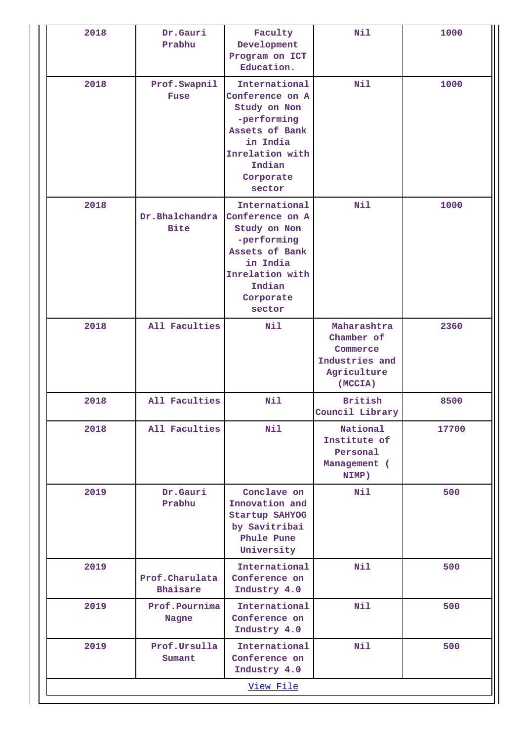| 2018 | Dr.Gauri<br>Prabhu                                                                                                                                                                 | Faculty<br>Development<br>Program on ICT<br>Education.                                                                                            | Nil                                                                               | 1000  |
|------|------------------------------------------------------------------------------------------------------------------------------------------------------------------------------------|---------------------------------------------------------------------------------------------------------------------------------------------------|-----------------------------------------------------------------------------------|-------|
| 2018 | Prof.Swapnil<br>Fuse                                                                                                                                                               | International<br>Conference on A<br>Study on Non<br>-performing<br>Assets of Bank<br>in India<br>Inrelation with<br>Indian<br>Corporate<br>sector | Nil                                                                               | 1000  |
| 2018 | International<br>Dr.Bhalchandra<br>Conference on A<br><b>Bite</b><br>Study on Non<br>-performing<br>Assets of Bank<br>in India<br>Inrelation with<br>Indian<br>Corporate<br>sector |                                                                                                                                                   | Nil                                                                               | 1000  |
| 2018 | All Faculties                                                                                                                                                                      | Nil                                                                                                                                               | Maharashtra<br>Chamber of<br>Commerce<br>Industries and<br>Agriculture<br>(MCCIA) | 2360  |
| 2018 | All Faculties                                                                                                                                                                      | Nil                                                                                                                                               | <b>British</b><br>Council Library                                                 | 8500  |
| 2018 | Nil<br>All Faculties<br>2019<br>Dr.Gauri<br>Conclave on<br>Prabhu<br>Innovation and<br>Startup SAHYOG<br>by Savitribai<br>Phule Pune<br>University                                 |                                                                                                                                                   | National<br>Institute of<br>Personal<br>Management (<br>NIMP)                     | 17700 |
|      |                                                                                                                                                                                    |                                                                                                                                                   | Nil                                                                               | 500   |
| 2019 | Prof.Charulata<br>Bhaisare                                                                                                                                                         | International<br>Conference on<br>Industry 4.0                                                                                                    | Nil                                                                               | 500   |
| 2019 | Prof.Pournima<br>Nagne                                                                                                                                                             | International<br>Conference on<br>Industry 4.0                                                                                                    | Nil                                                                               | 500   |
| 2019 | Prof.Ursulla<br>Sumant                                                                                                                                                             | International<br>Conference on<br>Industry 4.0                                                                                                    | Nil                                                                               | 500   |
|      |                                                                                                                                                                                    | View File                                                                                                                                         |                                                                                   |       |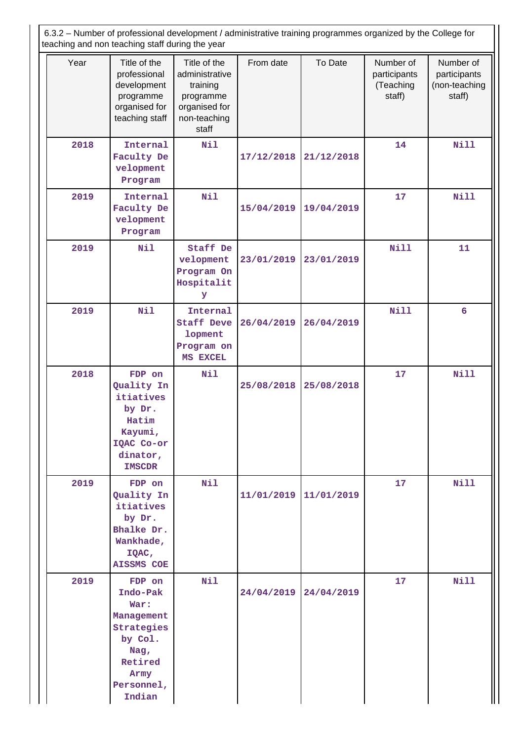6.3.2 – Number of professional development / administrative training programmes organized by the College for teaching and non teaching staff during the year

|      | teaching and non teaching staff during the year                                                                      |                                                                                                   |            |            |                                                  |                                                      |
|------|----------------------------------------------------------------------------------------------------------------------|---------------------------------------------------------------------------------------------------|------------|------------|--------------------------------------------------|------------------------------------------------------|
| Year | Title of the<br>professional<br>development<br>programme<br>organised for<br>teaching staff                          | Title of the<br>administrative<br>training<br>programme<br>organised for<br>non-teaching<br>staff | From date  | To Date    | Number of<br>participants<br>(Teaching<br>staff) | Number of<br>participants<br>(non-teaching<br>staff) |
| 2018 | Internal<br>Faculty De<br>velopment<br>Program                                                                       | Nil                                                                                               | 17/12/2018 | 21/12/2018 | 14                                               | <b>Nill</b>                                          |
| 2019 | Internal<br>Faculty De<br>velopment<br>Program                                                                       | Nil                                                                                               | 15/04/2019 | 19/04/2019 | 17                                               | Nill                                                 |
| 2019 | Nil                                                                                                                  | Staff De<br>velopment<br>Program On<br>Hospitalit<br>У                                            | 23/01/2019 | 23/01/2019 | <b>Nill</b>                                      | 11                                                   |
| 2019 | Nil                                                                                                                  | Internal<br><b>Staff Deve</b><br>lopment<br>Program on<br>MS EXCEL                                | 26/04/2019 | 26/04/2019 | Nill                                             | $6\overline{6}$                                      |
| 2018 | FDP on<br>Quality In<br>itiatives<br>by Dr.<br>Hatim<br>Kayumi,<br>IQAC Co-or<br>dinator,<br><b>IMSCDR</b>           | <b>Nil</b>                                                                                        | 25/08/2018 | 25/08/2018 | 17                                               | <b>Nill</b>                                          |
| 2019 | FDP on<br>Quality In<br>itiatives<br>by Dr.<br>Bhalke Dr.<br>Wankhade,<br>IQAC,<br><b>AISSMS COE</b>                 | Nil                                                                                               | 11/01/2019 | 11/01/2019 | 17                                               | Nill                                                 |
| 2019 | FDP on<br>Indo-Pak<br>War:<br>Management<br>Strategies<br>by Col.<br>Nag,<br>Retired<br>Army<br>Personnel,<br>Indian | Nil                                                                                               | 24/04/2019 | 24/04/2019 | 17                                               | <b>Nill</b>                                          |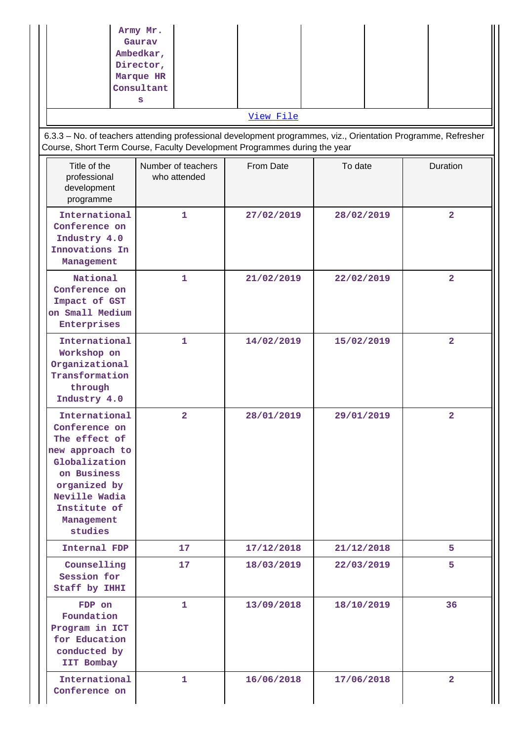| 6.3.3 - No. of teachers attending professional development programmes, viz., Orientation Programme, Refresher<br>Course, Short Term Course, Faculty Development Programmes during the year | Army Mr.<br>Gaurav<br>Ambedkar,<br>Director,<br>Marque HR<br>Consultant<br>s | View File  |            |                         |
|--------------------------------------------------------------------------------------------------------------------------------------------------------------------------------------------|------------------------------------------------------------------------------|------------|------------|-------------------------|
| Title of the<br>professional<br>development<br>programme                                                                                                                                   | Number of teachers<br>who attended                                           | From Date  | To date    | Duration                |
| International<br>Conference on<br>Industry 4.0<br>Innovations In<br>Management                                                                                                             | $\mathbf{1}$                                                                 | 27/02/2019 | 28/02/2019 | $\overline{\mathbf{2}}$ |
| National<br>Conference on<br>Impact of GST<br>on Small Medium<br>Enterprises                                                                                                               | 1                                                                            | 21/02/2019 | 22/02/2019 | $\overline{2}$          |
| International<br>Workshop on<br>Organizational<br>Transformation<br>through<br>Industry 4.0                                                                                                | 1                                                                            | 14/02/2019 | 15/02/2019 | $\overline{\mathbf{2}}$ |
| International<br>Conference on<br>The effect of<br>new approach to<br>Globalization<br>on Business<br>organized by<br>Neville Wadia<br>Institute of<br>Management<br>studies               | 2                                                                            | 28/01/2019 | 29/01/2019 | $\overline{2}$          |
| Internal FDP                                                                                                                                                                               | 17                                                                           | 17/12/2018 | 21/12/2018 | 5                       |
| Counselling<br>Session for<br>Staff by IHHI                                                                                                                                                | 17                                                                           | 18/03/2019 | 22/03/2019 | 5                       |
| FDP on<br>Foundation<br>Program in ICT<br>for Education<br>conducted by<br>IIT Bombay                                                                                                      | 1.                                                                           | 13/09/2018 | 18/10/2019 | 36                      |
| International<br>Conference on                                                                                                                                                             | 1                                                                            | 16/06/2018 | 17/06/2018 | $\overline{2}$          |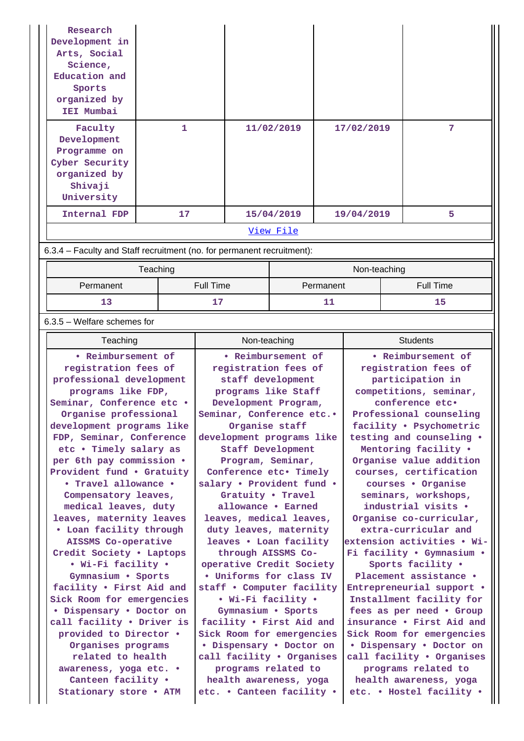| Research                                                               |                    |                                                  |                      |              |                                                       |
|------------------------------------------------------------------------|--------------------|--------------------------------------------------|----------------------|--------------|-------------------------------------------------------|
| Development in<br>Arts, Social                                         |                    |                                                  |                      |              |                                                       |
| Science,                                                               |                    |                                                  |                      |              |                                                       |
| Education and                                                          |                    |                                                  |                      |              |                                                       |
| Sports                                                                 |                    |                                                  |                      |              |                                                       |
| organized by<br>IEI Mumbai                                             |                    |                                                  |                      |              |                                                       |
|                                                                        |                    |                                                  |                      |              |                                                       |
| Faculty                                                                | 1.                 |                                                  | 11/02/2019           | 17/02/2019   | 7                                                     |
| Development<br>Programme on                                            |                    |                                                  |                      |              |                                                       |
| Cyber Security                                                         |                    |                                                  |                      |              |                                                       |
| organized by                                                           |                    |                                                  |                      |              |                                                       |
| Shivaji                                                                |                    |                                                  |                      |              |                                                       |
| University                                                             |                    |                                                  |                      |              |                                                       |
| Internal FDP                                                           | 17                 |                                                  | 15/04/2019           | 19/04/2019   | 5                                                     |
| View File                                                              |                    |                                                  |                      |              |                                                       |
| 6.3.4 – Faculty and Staff recruitment (no. for permanent recruitment): |                    |                                                  |                      |              |                                                       |
|                                                                        | Teaching           |                                                  |                      | Non-teaching |                                                       |
| Permanent                                                              |                    | <b>Full Time</b><br>Permanent                    |                      |              | <b>Full Time</b>                                      |
| 13                                                                     |                    | 17<br>11                                         |                      |              | 15                                                    |
| $6.3.5$ – Welfare schemes for                                          |                    |                                                  |                      |              |                                                       |
| Teaching                                                               |                    | Non-teaching                                     |                      |              | <b>Students</b>                                       |
|                                                                        | • Reimbursement of |                                                  |                      |              |                                                       |
| registration fees of                                                   |                    |                                                  | • Reimbursement of   |              | • Reimbursement of                                    |
|                                                                        |                    |                                                  | registration fees of |              | registration fees of                                  |
| professional development                                               |                    |                                                  | staff development    |              | participation in                                      |
| programs like FDP,                                                     |                    |                                                  | programs like Staff  |              | competitions, seminar,                                |
| Seminar, Conference etc .<br>Organise professional                     |                    | Development Program,<br>Seminar, Conference etc. |                      |              | conference etc.<br>Professional counseling            |
| development programs like                                              |                    |                                                  | Organise staff       |              | facility . Psychometric                               |
| FDP, Seminar, Conference                                               |                    | development programs like                        |                      |              | testing and counseling .                              |
| etc . Timely salary as                                                 |                    |                                                  | Staff Development    |              | Mentoring facility .                                  |
| per 6th pay commission .                                               |                    | Program, Seminar,                                |                      |              | Organise value addition                               |
| Provident fund . Gratuity<br>• Travel allowance •                      |                    | Conference etc. Timely                           |                      |              | courses, certification                                |
| Compensatory leaves,                                                   |                    | salary . Provident fund .                        | Gratuity . Travel    |              | courses • Organise<br>seminars, workshops,            |
| medical leaves, duty                                                   |                    |                                                  | allowance . Earned   |              | industrial visits .                                   |
| leaves, maternity leaves                                               |                    | leaves, medical leaves,                          |                      |              | Organise co-curricular,                               |
| . Loan facility through                                                |                    | duty leaves, maternity                           |                      |              | extra-curricular and                                  |
| AISSMS Co-operative                                                    |                    | leaves . Loan facility                           |                      |              | extension activities . Wi-                            |
| Credit Society . Laptops<br>• Wi-Fi facility •                         |                    | operative Credit Society                         | through AISSMS Co-   |              | Fi facility . Gymnasium .<br>Sports facility .        |
| Gymnasium . Sports                                                     |                    | . Uniforms for class IV                          |                      |              | Placement assistance .                                |
| facility . First Aid and<br>Sick Room for emergencies                  |                    | staff . Computer facility                        | • Wi-Fi facility •   |              | Entrepreneurial support .<br>Installment facility for |
|                                                                        |                    |                                                  |                      |              |                                                       |

**• Dispensary • Doctor on call facility • Driver is provided to Director • Organises programs related to health awareness, yoga etc. • Canteen facility •**

**Stationary store • ATM**

**programs related to health awareness, yoga etc. • Canteen facility •**

**facility • First Aid and**

**• Dispensary • Doctor on call facility • Organises**

**Sick Room for emergencies Sick Room for emergencies**

**insurance • First Aid and**

**• Dispensary • Doctor on call facility • Organises programs related to health awareness, yoga etc. • Hostel facility •**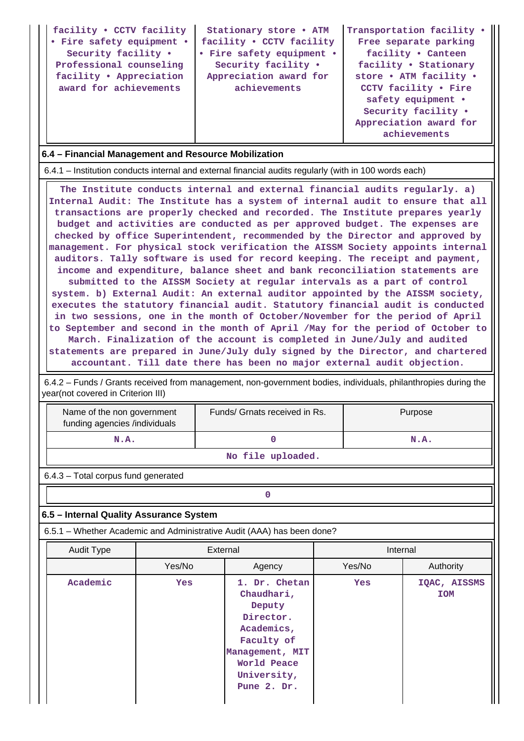| facility . CCTV facility<br>• Fire safety equipment •<br>Security facility .<br>Professional counseling<br>facility . Appreciation<br>award for achievements | Stationary store . ATM<br>facility . CCTV facility<br>• Fire safety equipment •<br>Security facility .<br>Appreciation award for<br>achievements | Transportation facility .<br>Free separate parking<br>facility . Canteen<br>facility . Stationary<br>store . ATM facility .<br>CCTV facility . Fire<br>safety equipment •<br>Security facility .<br>Appreciation award for<br>achievements |
|--------------------------------------------------------------------------------------------------------------------------------------------------------------|--------------------------------------------------------------------------------------------------------------------------------------------------|--------------------------------------------------------------------------------------------------------------------------------------------------------------------------------------------------------------------------------------------|
|--------------------------------------------------------------------------------------------------------------------------------------------------------------|--------------------------------------------------------------------------------------------------------------------------------------------------|--------------------------------------------------------------------------------------------------------------------------------------------------------------------------------------------------------------------------------------------|

## **6.4 – Financial Management and Resource Mobilization**

6.4.1 – Institution conducts internal and external financial audits regularly (with in 100 words each)

 **The Institute conducts internal and external financial audits regularly. a) Internal Audit: The Institute has a system of internal audit to ensure that all transactions are properly checked and recorded. The Institute prepares yearly budget and activities are conducted as per approved budget. The expenses are checked by office Superintendent, recommended by the Director and approved by management. For physical stock verification the AISSM Society appoints internal auditors. Tally software is used for record keeping. The receipt and payment, income and expenditure, balance sheet and bank reconciliation statements are submitted to the AISSM Society at regular intervals as a part of control system. b) External Audit: An external auditor appointed by the AISSM society, executes the statutory financial audit. Statutory financial audit is conducted in two sessions, one in the month of October/November for the period of April to September and second in the month of April /May for the period of October to March. Finalization of the account is completed in June/July and audited statements are prepared in June/July duly signed by the Director, and chartered accountant. Till date there has been no major external audit objection.**

 6.4.2 – Funds / Grants received from management, non-government bodies, individuals, philanthropies during the year(not covered in Criterion III)

| Name of the non government<br>funding agencies /individuals | Funds/ Grnats received in Rs. | Purpose |  |  |  |
|-------------------------------------------------------------|-------------------------------|---------|--|--|--|
| N.A.                                                        |                               | N.A.    |  |  |  |
| No file uploaded.                                           |                               |         |  |  |  |

6.4.3 – Total corpus fund generated

**0**

## **6.5 – Internal Quality Assurance System**

6.5.1 – Whether Academic and Administrative Audit (AAA) has been done?

| Audit Type | External   |                                                                                                                                                | Internal   |                            |  |  |
|------------|------------|------------------------------------------------------------------------------------------------------------------------------------------------|------------|----------------------------|--|--|
|            | Yes/No     | Agency                                                                                                                                         | Yes/No     | Authority                  |  |  |
| Academic   | <b>Yes</b> | 1. Dr. Chetan<br>Chaudhari,<br>Deputy<br>Director.<br>Academics,<br>Faculty of<br>Management, MIT<br>World Peace<br>University,<br>Pune 2. Dr. | <b>Yes</b> | IQAC, AISSMS<br><b>IOM</b> |  |  |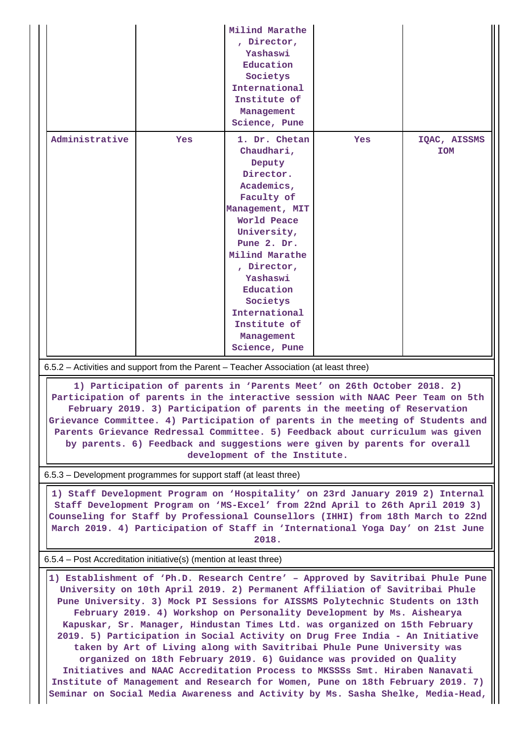|                                                                                                                                                                                                                                                                                                                                                                                                                                                                                                                                                                                                                                                                                                                                                                                                                                                                                             |     | Milind Marathe<br>, Director,<br>Yashaswi<br>Education<br>Societys<br>International<br>Institute of<br>Management<br>Science, Pune                                                                                                                                                   |     |                            |  |  |  |  |
|---------------------------------------------------------------------------------------------------------------------------------------------------------------------------------------------------------------------------------------------------------------------------------------------------------------------------------------------------------------------------------------------------------------------------------------------------------------------------------------------------------------------------------------------------------------------------------------------------------------------------------------------------------------------------------------------------------------------------------------------------------------------------------------------------------------------------------------------------------------------------------------------|-----|--------------------------------------------------------------------------------------------------------------------------------------------------------------------------------------------------------------------------------------------------------------------------------------|-----|----------------------------|--|--|--|--|
| Administrative                                                                                                                                                                                                                                                                                                                                                                                                                                                                                                                                                                                                                                                                                                                                                                                                                                                                              | Yes | 1. Dr. Chetan<br>Chaudhari,<br>Deputy<br>Director.<br>Academics,<br>Faculty of<br>Management, MIT<br>World Peace<br>University,<br>Pune 2. Dr.<br>Milind Marathe<br>, Director,<br>Yashaswi<br>Education<br>Societys<br>International<br>Institute of<br>Management<br>Science, Pune | Yes | IQAC, AISSMS<br><b>IOM</b> |  |  |  |  |
| 6.5.2 - Activities and support from the Parent - Teacher Association (at least three)                                                                                                                                                                                                                                                                                                                                                                                                                                                                                                                                                                                                                                                                                                                                                                                                       |     |                                                                                                                                                                                                                                                                                      |     |                            |  |  |  |  |
| 1) Participation of parents in 'Parents Meet' on 26th October 2018. 2)<br>Participation of parents in the interactive session with NAAC Peer Team on 5th<br>February 2019. 3) Participation of parents in the meeting of Reservation<br>Grievance Committee. 4) Participation of parents in the meeting of Students and<br>Parents Grievance Redressal Committee. 5) Feedback about curriculum was given<br>by parents. 6) Feedback and suggestions were given by parents for overall<br>development of the Institute.                                                                                                                                                                                                                                                                                                                                                                      |     |                                                                                                                                                                                                                                                                                      |     |                            |  |  |  |  |
| 6.5.3 – Development programmes for support staff (at least three)                                                                                                                                                                                                                                                                                                                                                                                                                                                                                                                                                                                                                                                                                                                                                                                                                           |     |                                                                                                                                                                                                                                                                                      |     |                            |  |  |  |  |
| 1) Staff Development Program on 'Hospitality' on 23rd January 2019 2) Internal<br>Staff Development Program on 'MS-Excel' from 22nd April to 26th April 2019 3)<br>Counseling for Staff by Professional Counsellors (IHHI) from 18th March to 22nd<br>March 2019. 4) Participation of Staff in 'International Yoga Day' on 21st June<br>2018.                                                                                                                                                                                                                                                                                                                                                                                                                                                                                                                                               |     |                                                                                                                                                                                                                                                                                      |     |                            |  |  |  |  |
| 6.5.4 – Post Accreditation initiative(s) (mention at least three)                                                                                                                                                                                                                                                                                                                                                                                                                                                                                                                                                                                                                                                                                                                                                                                                                           |     |                                                                                                                                                                                                                                                                                      |     |                            |  |  |  |  |
| 1) Establishment of 'Ph.D. Research Centre' - Approved by Savitribai Phule Pune<br>University on 10th April 2019. 2) Permanent Affiliation of Savitribai Phule<br>Pune University. 3) Mock PI Sessions for AISSMS Polytechnic Students on 13th<br>February 2019. 4) Workshop on Personality Development by Ms. Aishearya<br>Kapuskar, Sr. Manager, Hindustan Times Ltd. was organized on 15th February<br>2019. 5) Participation in Social Activity on Drug Free India - An Initiative<br>taken by Art of Living along with Savitribai Phule Pune University was<br>organized on 18th February 2019. 6) Guidance was provided on Quality<br>Initiatives and NAAC Accreditation Process to MKSSSs Smt. Hiraben Nanavati<br>Institute of Management and Research for Women, Pune on 18th February 2019. 7)<br>Seminar on Social Media Awareness and Activity by Ms. Sasha Shelke, Media-Head, |     |                                                                                                                                                                                                                                                                                      |     |                            |  |  |  |  |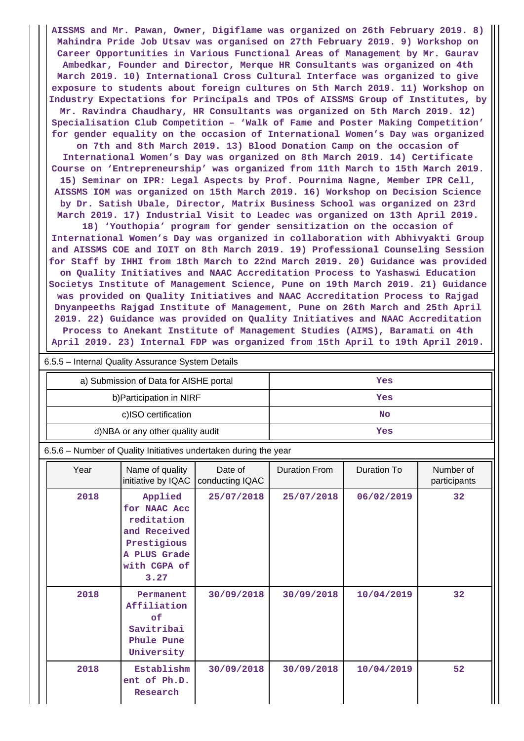**AISSMS and Mr. Pawan, Owner, Digiflame was organized on 26th February 2019. 8) Mahindra Pride Job Utsav was organised on 27th February 2019. 9) Workshop on Career Opportunities in Various Functional Areas of Management by Mr. Gaurav Ambedkar, Founder and Director, Merque HR Consultants was organized on 4th March 2019. 10) International Cross Cultural Interface was organized to give exposure to students about foreign cultures on 5th March 2019. 11) Workshop on Industry Expectations for Principals and TPOs of AISSMS Group of Institutes, by Mr. Ravindra Chaudhary, HR Consultants was organized on 5th March 2019. 12) Specialisation Club Competition – 'Walk of Fame and Poster Making Competition' for gender equality on the occasion of International Women's Day was organized**

**on 7th and 8th March 2019. 13) Blood Donation Camp on the occasion of International Women's Day was organized on 8th March 2019. 14) Certificate Course on 'Entrepreneurship' was organized from 11th March to 15th March 2019. 15) Seminar on IPR: Legal Aspects by Prof. Pournima Nagne, Member IPR Cell, AISSMS IOM was organized on 15th March 2019. 16) Workshop on Decision Science by Dr. Satish Ubale, Director, Matrix Business School was organized on 23rd March 2019. 17) Industrial Visit to Leadec was organized on 13th April 2019.**

**18) 'Youthopia' program for gender sensitization on the occasion of International Women's Day was organized in collaboration with Abhivyakti Group and AISSMS COE and IOIT on 8th March 2019. 19) Professional Counseling Session for Staff by IHHI from 18th March to 22nd March 2019. 20) Guidance was provided on Quality Initiatives and NAAC Accreditation Process to Yashaswi Education Societys Institute of Management Science, Pune on 19th March 2019. 21) Guidance was provided on Quality Initiatives and NAAC Accreditation Process to Rajgad Dnyanpeeths Rajgad Institute of Management, Pune on 26th March and 25th April 2019. 22) Guidance was provided on Quality Initiatives and NAAC Accreditation Process to Anekant Institute of Management Studies (AIMS), Baramati on 4th April 2019. 23) Internal FDP was organized from 15th April to 19th April 2019.**

| 6.5.5 – Internal Quality Assurance System Details |  |  |  |  |  |
|---------------------------------------------------|--|--|--|--|--|
| Yes                                               |  |  |  |  |  |
| Yes                                               |  |  |  |  |  |
| <b>No</b>                                         |  |  |  |  |  |
| Yes                                               |  |  |  |  |  |
|                                                   |  |  |  |  |  |

#### 6.5.6 – Number of Quality Initiatives undertaken during the year

| Year | Name of quality<br>initiative by IQAC                                                                        | Date of<br>conducting IQAC | <b>Duration From</b> | Duration To | Number of<br>participants |
|------|--------------------------------------------------------------------------------------------------------------|----------------------------|----------------------|-------------|---------------------------|
| 2018 | Applied<br>for NAAC Acc<br>reditation<br>and Received<br>Prestigious<br>A PLUS Grade<br>with CGPA of<br>3.27 | 25/07/2018                 | 25/07/2018           | 06/02/2019  | 32                        |
| 2018 | Permanent<br>Affiliation<br>of<br>Savitribai<br>Phule Pune<br>University                                     | 30/09/2018                 | 30/09/2018           | 10/04/2019  | 32                        |
| 2018 | Establishm<br>ent of Ph.D.<br>Research                                                                       | 30/09/2018                 | 30/09/2018           | 10/04/2019  | 52                        |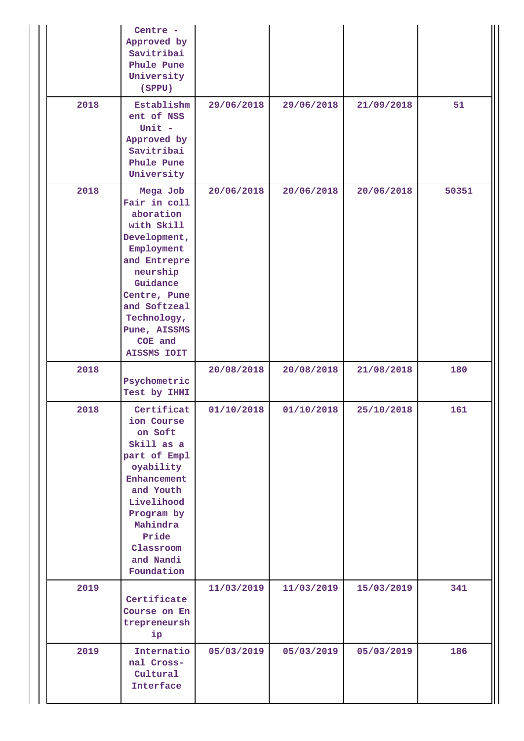|      | Centre -<br>Approved by<br>Savitribai<br>Phule Pune<br>University<br>(SPPU)                                                                                                                                        |            |            |            |       |
|------|--------------------------------------------------------------------------------------------------------------------------------------------------------------------------------------------------------------------|------------|------------|------------|-------|
| 2018 | Establishm<br>ent of NSS<br>Unit $-$<br>Approved by<br>Savitribai<br>Phule Pune<br>University                                                                                                                      | 29/06/2018 | 29/06/2018 | 21/09/2018 | 51    |
| 2018 | Mega Job<br>Fair in coll<br>aboration<br>with Skill<br>Development,<br>Employment<br>and Entrepre<br>neurship<br>Guidance<br>Centre, Pune<br>and Softzeal<br>Technology,<br>Pune, AISSMS<br>COE and<br>AISSMS IOIT | 20/06/2018 | 20/06/2018 | 20/06/2018 | 50351 |
| 2018 | Psychometric<br>Test by IHHI                                                                                                                                                                                       | 20/08/2018 | 20/08/2018 | 21/08/2018 | 180   |
| 2018 | Certificat<br>ion Course<br>on Soft<br>Skill as a<br>part of Empl<br>oyability<br>Enhancement<br>and Youth<br>Livelihood<br>Program by<br>Mahindra<br>Pride<br>Classroom<br>and Nandi<br>Foundation                | 01/10/2018 | 01/10/2018 | 25/10/2018 | 161   |
| 2019 | Certificate<br>Course on En<br>trepreneursh<br>ip                                                                                                                                                                  | 11/03/2019 | 11/03/2019 | 15/03/2019 | 341   |
| 2019 | Internatio<br>nal Cross-<br>Cultural                                                                                                                                                                               | 05/03/2019 | 05/03/2019 | 05/03/2019 | 186   |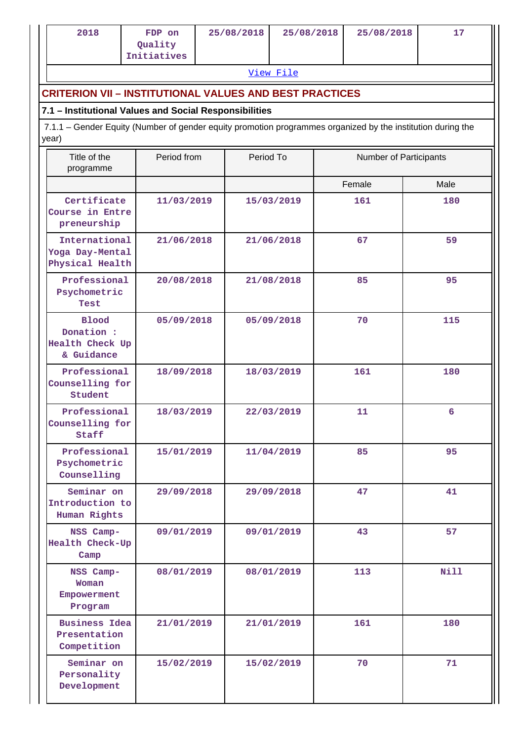|                                                                                 | 2018                                                                                                                 | FDP on<br>Quality<br>Initiatives |  | 25/08/2018 | 25/08/2018 |  | 25/08/2018 | 17          |  |
|---------------------------------------------------------------------------------|----------------------------------------------------------------------------------------------------------------------|----------------------------------|--|------------|------------|--|------------|-------------|--|
|                                                                                 |                                                                                                                      |                                  |  |            | View File  |  |            |             |  |
|                                                                                 | <b>CRITERION VII - INSTITUTIONAL VALUES AND BEST PRACTICES</b>                                                       |                                  |  |            |            |  |            |             |  |
|                                                                                 | 7.1 - Institutional Values and Social Responsibilities                                                               |                                  |  |            |            |  |            |             |  |
|                                                                                 | 7.1.1 – Gender Equity (Number of gender equity promotion programmes organized by the institution during the<br>year) |                                  |  |            |            |  |            |             |  |
| Title of the<br>Period from<br>Period To<br>Number of Participants<br>programme |                                                                                                                      |                                  |  |            |            |  |            |             |  |
|                                                                                 |                                                                                                                      |                                  |  |            |            |  | Female     | Male        |  |
|                                                                                 | Certificate<br>Course in Entre<br>preneurship                                                                        | 11/03/2019                       |  |            | 15/03/2019 |  | 161        | 180         |  |
|                                                                                 | International<br>Yoga Day-Mental<br>Physical Health                                                                  | 21/06/2018                       |  |            | 21/06/2018 |  | 67         | 59          |  |
|                                                                                 | Professional<br>Psychometric<br>Test                                                                                 | 20/08/2018                       |  |            | 21/08/2018 |  | 85         | 95          |  |
|                                                                                 | <b>Blood</b><br>Donation :<br>Health Check Up<br>& Guidance                                                          | 05/09/2018                       |  |            | 05/09/2018 |  | 70         | 115         |  |
|                                                                                 | Professional<br>Counselling for<br>Student                                                                           | 18/09/2018                       |  |            | 18/03/2019 |  | 161        | 180         |  |
|                                                                                 | Professional<br>Counselling for<br>Staff                                                                             | 18/03/2019                       |  |            | 22/03/2019 |  | 11         | 6           |  |
|                                                                                 | Professional<br>Psychometric<br>Counselling                                                                          | 15/01/2019                       |  |            | 11/04/2019 |  | 85         | 95          |  |
|                                                                                 | Seminar on<br>Introduction to<br>Human Rights                                                                        | 29/09/2018                       |  |            | 29/09/2018 |  | 47         | 41          |  |
|                                                                                 | NSS Camp-<br>Health Check-Up<br>Camp                                                                                 | 09/01/2019                       |  |            | 09/01/2019 |  | 43         | 57          |  |
|                                                                                 | NSS Camp-<br>Woman<br>Empowerment<br>Program                                                                         | 08/01/2019                       |  |            | 08/01/2019 |  | 113        | <b>Nill</b> |  |
|                                                                                 | <b>Business Idea</b><br>Presentation<br>Competition                                                                  | 21/01/2019                       |  |            | 21/01/2019 |  | 161        | 180         |  |
|                                                                                 | Seminar on<br>Personality<br>Development                                                                             | 15/02/2019                       |  |            | 15/02/2019 |  | 70         | 71          |  |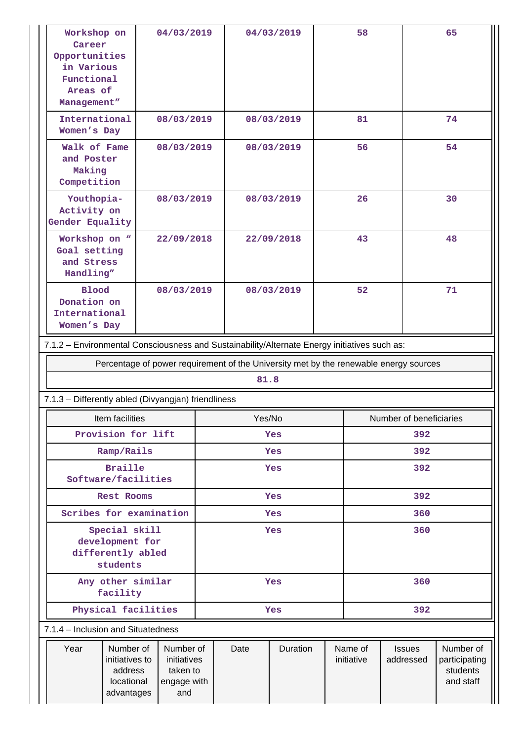| Workshop on<br>Career<br>Opportunities<br>in Various<br>Functional<br>Areas of<br>Management"                                            |                                                                                       | 04/03/2019 |            |          | 04/03/2019 |                       | 58                         |                                                     | 65 |
|------------------------------------------------------------------------------------------------------------------------------------------|---------------------------------------------------------------------------------------|------------|------------|----------|------------|-----------------------|----------------------------|-----------------------------------------------------|----|
| International<br>Women's Day                                                                                                             |                                                                                       | 08/03/2019 |            |          | 08/03/2019 |                       | 81                         |                                                     | 74 |
| Walk of Fame<br>and Poster<br>Making<br>Competition                                                                                      |                                                                                       | 08/03/2019 |            |          | 08/03/2019 | 56                    |                            |                                                     | 54 |
| Youthopia-<br>Activity on<br>Gender Equality                                                                                             |                                                                                       | 08/03/2019 |            |          | 08/03/2019 | 26                    |                            |                                                     | 30 |
| Workshop on "<br>Goal setting<br>and Stress<br>Handling"                                                                                 |                                                                                       | 22/09/2018 |            |          | 22/09/2018 | 43                    |                            |                                                     | 48 |
| <b>Blood</b><br>Donation on<br>International<br>Women's Day                                                                              |                                                                                       | 08/03/2019 |            |          | 08/03/2019 | 52                    |                            |                                                     | 71 |
| 7.1.2 - Environmental Consciousness and Sustainability/Alternate Energy initiatives such as:                                             |                                                                                       |            |            |          |            |                       |                            |                                                     |    |
|                                                                                                                                          | Percentage of power requirement of the University met by the renewable energy sources |            |            |          |            |                       |                            |                                                     |    |
|                                                                                                                                          |                                                                                       |            |            | 81.8     |            |                       |                            |                                                     |    |
| 7.1.3 - Differently abled (Divyangjan) friendliness                                                                                      |                                                                                       |            |            |          |            |                       |                            |                                                     |    |
|                                                                                                                                          | Item facilities                                                                       |            |            | Yes/No   |            |                       | Number of beneficiaries    |                                                     |    |
| Provision for lift                                                                                                                       |                                                                                       | Yes        |            |          | 392        |                       |                            |                                                     |    |
| Ramp/Rails                                                                                                                               |                                                                                       | Yes        |            |          | 392        |                       |                            |                                                     |    |
| <b>Braille</b><br>Software/facilities                                                                                                    |                                                                                       | Yes        |            |          | 392        |                       |                            |                                                     |    |
| Rest Rooms                                                                                                                               |                                                                                       |            | Yes        |          |            | 392                   |                            |                                                     |    |
|                                                                                                                                          | Scribes for examination                                                               |            |            | Yes      |            |                       | 360                        |                                                     |    |
| Special skill<br>development for<br>differently abled<br>students                                                                        |                                                                                       |            | Yes        |          |            | 360                   |                            |                                                     |    |
| Any other similar<br>facility                                                                                                            |                                                                                       |            | Yes        |          |            | 360                   |                            |                                                     |    |
| Physical facilities                                                                                                                      |                                                                                       |            | 392<br>Yes |          |            |                       |                            |                                                     |    |
| 7.1.4 - Inclusion and Situatedness                                                                                                       |                                                                                       |            |            |          |            |                       |                            |                                                     |    |
| Year<br>Number of<br>Number of<br>initiatives to<br>initiatives<br>address<br>taken to<br>locational<br>engage with<br>advantages<br>and |                                                                                       |            | Date       | Duration |            | Name of<br>initiative | <b>Issues</b><br>addressed | Number of<br>participating<br>students<br>and staff |    |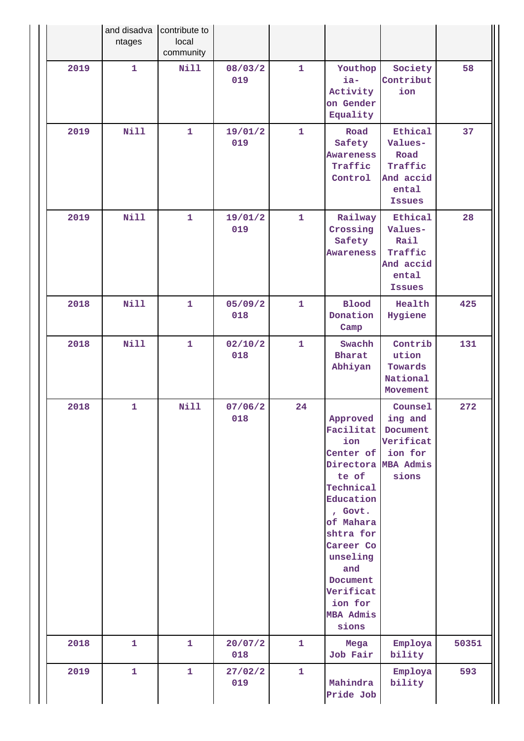|      | and disadva<br>ntages | contribute to<br>local<br>community |                |              |                                                                                                                                                                                                                                    |                                                                              |       |
|------|-----------------------|-------------------------------------|----------------|--------------|------------------------------------------------------------------------------------------------------------------------------------------------------------------------------------------------------------------------------------|------------------------------------------------------------------------------|-------|
| 2019 | $\mathbf{1}$          | <b>Nill</b>                         | 08/03/2<br>019 | $\mathbf{1}$ | Youthop<br>ia-<br>Activity<br>on Gender<br>Equality                                                                                                                                                                                | Society<br>Contribut<br>ion                                                  | 58    |
| 2019 | Nill                  | $\mathbf{1}$                        | 19/01/2<br>019 | $\mathbf{1}$ | Road<br>Safety<br><b>Awareness</b><br>Traffic<br>Control                                                                                                                                                                           | Ethical<br>Values-<br>Road<br>Traffic<br>And accid<br>ental<br><b>Issues</b> | 37    |
| 2019 | Nill                  | $\mathbf{1}$                        | 19/01/2<br>019 | $\mathbf{1}$ | Railway<br>Crossing<br>Safety<br><b>Awareness</b>                                                                                                                                                                                  | Ethical<br>Values-<br>Rail<br>Traffic<br>And accid<br>ental<br><b>Issues</b> | 28    |
| 2018 | <b>Nill</b>           | $\mathbf{1}$                        | 05/09/2<br>018 | $\mathbf{1}$ | <b>Blood</b><br>Donation<br>Camp                                                                                                                                                                                                   | Health<br>Hygiene                                                            | 425   |
| 2018 | Nill                  | $\mathbf{1}$                        | 02/10/2<br>018 | $\mathbf{1}$ | Swachh<br><b>Bharat</b><br>Abhiyan                                                                                                                                                                                                 | Contrib<br>ution<br>Towards<br>National<br>Movement                          | 131   |
| 2018 | $\mathbf{1}$          | <b>Nill</b>                         | 07/06/2<br>018 | 24           | Approved<br>Facilitat<br>ion<br>Center of<br>Directora MBA Admis<br>te of<br>Technical<br>Education<br>, Govt.<br>of Mahara<br>shtra for<br>Career Co<br>unseling<br>and<br>Document<br>Verificat<br>ion for<br>MBA Admis<br>sions | Counsel<br>ing and<br>Document<br>Verificat<br>ion for<br>sions              | 272   |
| 2018 | $\mathbf{1}$          | $\mathbf{1}$                        | 20/07/2<br>018 | $\mathbf{1}$ | Mega<br>Job Fair                                                                                                                                                                                                                   | Employa<br>bility                                                            | 50351 |
| 2019 | $\mathbf{1}$          | $\mathbf{1}$                        | 27/02/2<br>019 | $\mathbf{1}$ | Mahindra<br>Pride Job                                                                                                                                                                                                              | Employa<br>bility                                                            | 593   |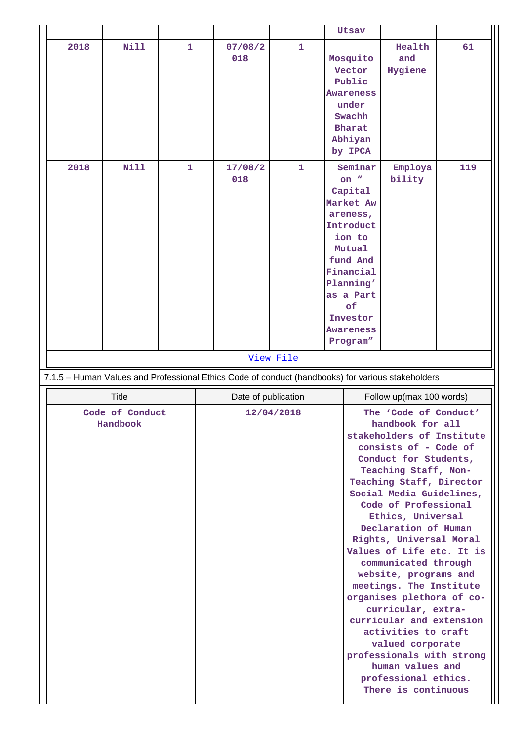|                             |              |              |                                                                                                   |                     | <b>Utsav</b>                                                                                                                                                                                                                                                                                                                                                                                                                                                                                                                                                             |                          |     |  |  |  |
|-----------------------------|--------------|--------------|---------------------------------------------------------------------------------------------------|---------------------|--------------------------------------------------------------------------------------------------------------------------------------------------------------------------------------------------------------------------------------------------------------------------------------------------------------------------------------------------------------------------------------------------------------------------------------------------------------------------------------------------------------------------------------------------------------------------|--------------------------|-----|--|--|--|
| 2018                        | Nill         | 1            | 07/08/2<br>018                                                                                    | 1                   | Mosquito<br>Vector<br>Public<br>Awareness<br>under<br>Swachh<br><b>Bharat</b><br>Abhiyan<br>by IPCA                                                                                                                                                                                                                                                                                                                                                                                                                                                                      | Health<br>and<br>Hygiene | 61  |  |  |  |
| 2018                        | Nill         | $\mathbf{1}$ | 17/08/2<br>018                                                                                    | $\mathbf{1}$        | Seminar<br>on $"$<br>Capital<br>Market Aw<br>areness,<br>Introduct<br>ion to<br>Mutual<br>fund And<br>Financial<br>Planning'<br>as a Part<br>of<br>Investor<br><b>Awareness</b><br>Program"                                                                                                                                                                                                                                                                                                                                                                              | Employa<br>bility        | 119 |  |  |  |
|                             |              |              | View File                                                                                         |                     |                                                                                                                                                                                                                                                                                                                                                                                                                                                                                                                                                                          |                          |     |  |  |  |
|                             |              |              | 7.1.5 - Human Values and Professional Ethics Code of conduct (handbooks) for various stakeholders |                     |                                                                                                                                                                                                                                                                                                                                                                                                                                                                                                                                                                          |                          |     |  |  |  |
|                             | <b>Title</b> |              |                                                                                                   | Date of publication |                                                                                                                                                                                                                                                                                                                                                                                                                                                                                                                                                                          | Follow up(max 100 words) |     |  |  |  |
| Code of Conduct<br>Handbook |              |              | 12/04/2018                                                                                        |                     | The 'Code of Conduct'<br>handbook for all<br>stakeholders of Institute<br>consists of - Code of<br>Conduct for Students,<br>Teaching Staff, Non-<br>Teaching Staff, Director<br>Social Media Guidelines,<br>Code of Professional<br>Ethics, Universal<br>Declaration of Human<br>Rights, Universal Moral<br>Values of Life etc. It is<br>communicated through<br>website, programs and<br>meetings. The Institute<br>organises plethora of co-<br>curricular, extra-<br>curricular and extension<br>activities to craft<br>valued corporate<br>professionals with strong |                          |     |  |  |  |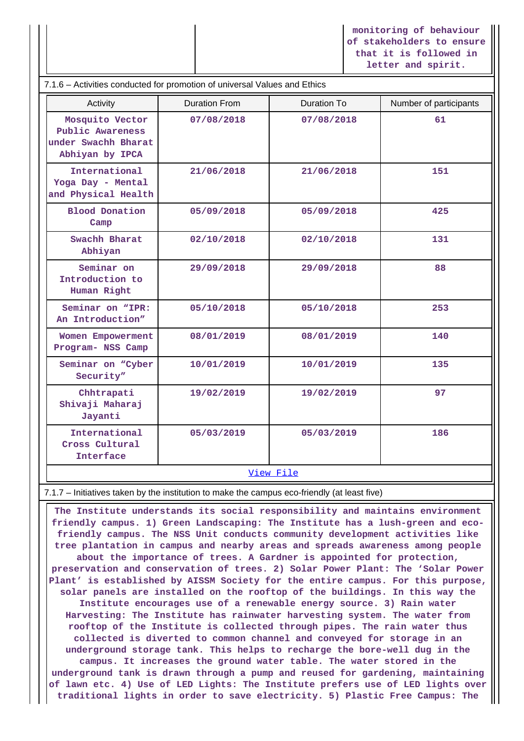**monitoring of behaviour of stakeholders to ensure that it is followed in letter and spirit.**

| 7.1.6 - Activities conducted for promotion of universal Values and Ethics     |                      |             |                        |  |  |  |  |
|-------------------------------------------------------------------------------|----------------------|-------------|------------------------|--|--|--|--|
| Activity                                                                      | <b>Duration From</b> | Duration To | Number of participants |  |  |  |  |
| Mosquito Vector<br>Public Awareness<br>under Swachh Bharat<br>Abhiyan by IPCA | 07/08/2018           | 07/08/2018  | 61                     |  |  |  |  |
| International<br>Yoga Day - Mental<br>and Physical Health                     | 21/06/2018           | 21/06/2018  | 151                    |  |  |  |  |
| <b>Blood Donation</b><br>Camp                                                 | 05/09/2018           | 05/09/2018  | 425                    |  |  |  |  |
| Swachh Bharat<br>Abhiyan                                                      | 02/10/2018           | 02/10/2018  | 131                    |  |  |  |  |
| Seminar on<br>Introduction to<br>Human Right                                  | 29/09/2018           | 29/09/2018  | 88                     |  |  |  |  |
| Seminar on "IPR:<br>An Introduction"                                          | 05/10/2018           | 05/10/2018  | 253                    |  |  |  |  |
| Women Empowerment<br>Program- NSS Camp                                        | 08/01/2019           | 08/01/2019  | 140                    |  |  |  |  |
| Seminar on "Cyber<br>Security"                                                | 10/01/2019           | 10/01/2019  | 135                    |  |  |  |  |
| Chhtrapati<br>Shivaji Maharaj<br>Jayanti                                      | 19/02/2019           | 19/02/2019  | 97                     |  |  |  |  |
| International<br>Cross Cultural<br><b>Interface</b>                           | 05/03/2019           | 05/03/2019  | 186                    |  |  |  |  |
| View File                                                                     |                      |             |                        |  |  |  |  |

7.1.7 – Initiatives taken by the institution to make the campus eco-friendly (at least five)

 **The Institute understands its social responsibility and maintains environment friendly campus. 1) Green Landscaping: The Institute has a lush-green and ecofriendly campus. The NSS Unit conducts community development activities like tree plantation in campus and nearby areas and spreads awareness among people about the importance of trees. A Gardner is appointed for protection, preservation and conservation of trees. 2) Solar Power Plant: The 'Solar Power Plant' is established by AISSM Society for the entire campus. For this purpose, solar panels are installed on the rooftop of the buildings. In this way the Institute encourages use of a renewable energy source. 3) Rain water Harvesting: The Institute has rainwater harvesting system. The water from rooftop of the Institute is collected through pipes. The rain water thus collected is diverted to common channel and conveyed for storage in an underground storage tank. This helps to recharge the bore-well dug in the campus. It increases the ground water table. The water stored in the underground tank is drawn through a pump and reused for gardening, maintaining of lawn etc. 4) Use of LED Lights: The Institute prefers use of LED lights over traditional lights in order to save electricity. 5) Plastic Free Campus: The**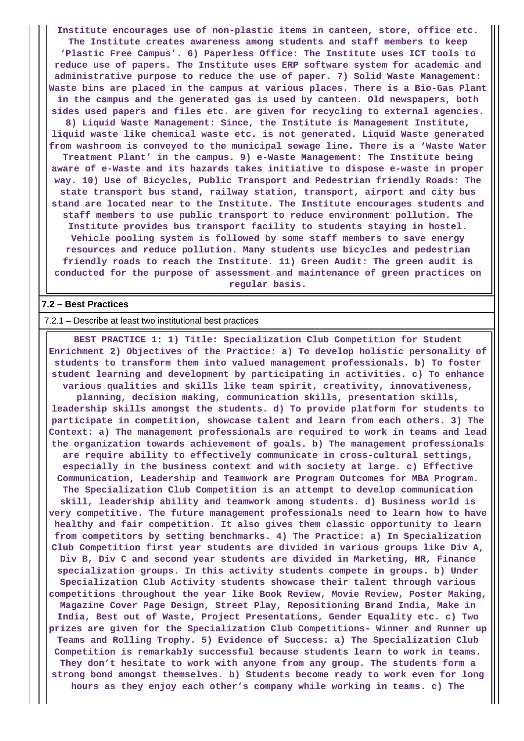**Institute encourages use of non-plastic items in canteen, store, office etc. The Institute creates awareness among students and staff members to keep 'Plastic Free Campus'. 6) Paperless Office: The Institute uses ICT tools to reduce use of papers. The Institute uses ERP software system for academic and administrative purpose to reduce the use of paper. 7) Solid Waste Management: Waste bins are placed in the campus at various places. There is a Bio-Gas Plant in the campus and the generated gas is used by canteen. Old newspapers, both sides used papers and files etc. are given for recycling to external agencies. 8) Liquid Waste Management: Since, the Institute is Management Institute, liquid waste like chemical waste etc. is not generated. Liquid Waste generated from washroom is conveyed to the municipal sewage line. There is a 'Waste Water Treatment Plant' in the campus. 9) e-Waste Management: The Institute being aware of e-Waste and its hazards takes initiative to dispose e-waste in proper way. 10) Use of Bicycles, Public Transport and Pedestrian friendly Roads: The state transport bus stand, railway station, transport, airport and city bus stand are located near to the Institute. The Institute encourages students and staff members to use public transport to reduce environment pollution. The Institute provides bus transport facility to students staying in hostel. Vehicle pooling system is followed by some staff members to save energy resources and reduce pollution. Many students use bicycles and pedestrian friendly roads to reach the Institute. 11) Green Audit: The green audit is conducted for the purpose of assessment and maintenance of green practices on regular basis.**

#### **7.2 – Best Practices**

7.2.1 – Describe at least two institutional best practices

 **BEST PRACTICE 1: 1) Title: Specialization Club Competition for Student Enrichment 2) Objectives of the Practice: a) To develop holistic personality of students to transform them into valued management professionals. b) To foster student learning and development by participating in activities. c) To enhance various qualities and skills like team spirit, creativity, innovativeness, planning, decision making, communication skills, presentation skills, leadership skills amongst the students. d) To provide platform for students to participate in competition, showcase talent and learn from each others. 3) The Context: a) The management professionals are required to work in teams and lead the organization towards achievement of goals. b) The management professionals are require ability to effectively communicate in cross-cultural settings, especially in the business context and with society at large. c) Effective Communication, Leadership and Teamwork are Program Outcomes for MBA Program. The Specialization Club Competition is an attempt to develop communication skill, leadership ability and teamwork among students. d) Business world is very competitive. The future management professionals need to learn how to have healthy and fair competition. It also gives them classic opportunity to learn from competitors by setting benchmarks. 4) The Practice: a) In Specialization Club Competition first year students are divided in various groups like Div A, Div B, Div C and second year students are divided in Marketing, HR, Finance specialization groups. In this activity students compete in groups. b) Under Specialization Club Activity students showcase their talent through various competitions throughout the year like Book Review, Movie Review, Poster Making, Magazine Cover Page Design, Street Play, Repositioning Brand India, Make in India, Best out of Waste, Project Presentations, Gender Equality etc. c) Two prizes are given for the Specialization Club Competitions- Winner and Runner up Teams and Rolling Trophy. 5) Evidence of Success: a) The Specialization Club Competition is remarkably successful because students learn to work in teams. They don't hesitate to work with anyone from any group. The students form a strong bond amongst themselves. b) Students become ready to work even for long hours as they enjoy each other's company while working in teams. c) The**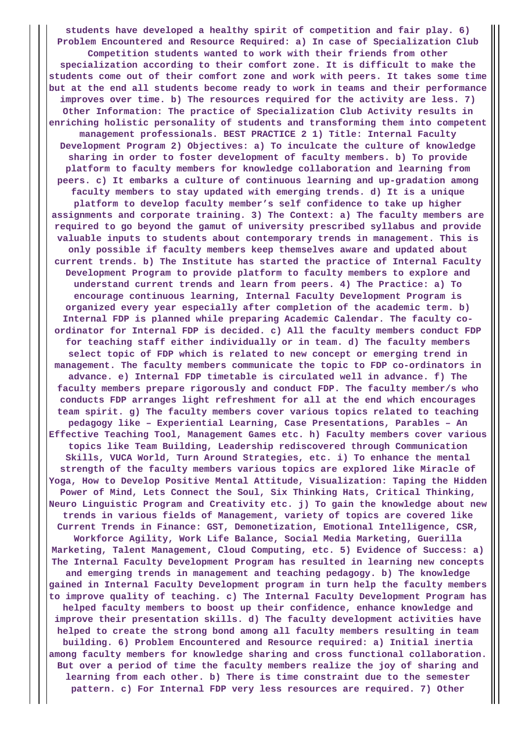**students have developed a healthy spirit of competition and fair play. 6) Problem Encountered and Resource Required: a) In case of Specialization Club Competition students wanted to work with their friends from other specialization according to their comfort zone. It is difficult to make the students come out of their comfort zone and work with peers. It takes some time but at the end all students become ready to work in teams and their performance improves over time. b) The resources required for the activity are less. 7) Other Information: The practice of Specialization Club Activity results in enriching holistic personality of students and transforming them into competent management professionals. BEST PRACTICE 2 1) Title: Internal Faculty Development Program 2) Objectives: a) To inculcate the culture of knowledge sharing in order to foster development of faculty members. b) To provide platform to faculty members for knowledge collaboration and learning from peers. c) It embarks a culture of continuous learning and up-gradation among faculty members to stay updated with emerging trends. d) It is a unique platform to develop faculty member's self confidence to take up higher assignments and corporate training. 3) The Context: a) The faculty members are required to go beyond the gamut of university prescribed syllabus and provide valuable inputs to students about contemporary trends in management. This is only possible if faculty members keep themselves aware and updated about current trends. b) The Institute has started the practice of Internal Faculty Development Program to provide platform to faculty members to explore and understand current trends and learn from peers. 4) The Practice: a) To encourage continuous learning, Internal Faculty Development Program is organized every year especially after completion of the academic term. b) Internal FDP is planned while preparing Academic Calendar. The faculty coordinator for Internal FDP is decided. c) All the faculty members conduct FDP for teaching staff either individually or in team. d) The faculty members select topic of FDP which is related to new concept or emerging trend in management. The faculty members communicate the topic to FDP co-ordinators in advance. e) Internal FDP timetable is circulated well in advance. f) The faculty members prepare rigorously and conduct FDP. The faculty member/s who conducts FDP arranges light refreshment for all at the end which encourages team spirit. g) The faculty members cover various topics related to teaching pedagogy like – Experiential Learning, Case Presentations, Parables – An Effective Teaching Tool, Management Games etc. h) Faculty members cover various topics like Team Building, Leadership rediscovered through Communication Skills, VUCA World, Turn Around Strategies, etc. i) To enhance the mental strength of the faculty members various topics are explored like Miracle of Yoga, How to Develop Positive Mental Attitude, Visualization: Taping the Hidden Power of Mind, Lets Connect the Soul, Six Thinking Hats, Critical Thinking, Neuro Linguistic Program and Creativity etc. j) To gain the knowledge about new trends in various fields of Management, variety of topics are covered like Current Trends in Finance: GST, Demonetization, Emotional Intelligence, CSR, Workforce Agility, Work Life Balance, Social Media Marketing, Guerilla Marketing, Talent Management, Cloud Computing, etc. 5) Evidence of Success: a) The Internal Faculty Development Program has resulted in learning new concepts and emerging trends in management and teaching pedagogy. b) The knowledge gained in Internal Faculty Development program in turn help the faculty members to improve quality of teaching. c) The Internal Faculty Development Program has helped faculty members to boost up their confidence, enhance knowledge and improve their presentation skills. d) The faculty development activities have helped to create the strong bond among all faculty members resulting in team building. 6) Problem Encountered and Resource required: a) Initial inertia among faculty members for knowledge sharing and cross functional collaboration. But over a period of time the faculty members realize the joy of sharing and learning from each other. b) There is time constraint due to the semester pattern. c) For Internal FDP very less resources are required. 7) Other**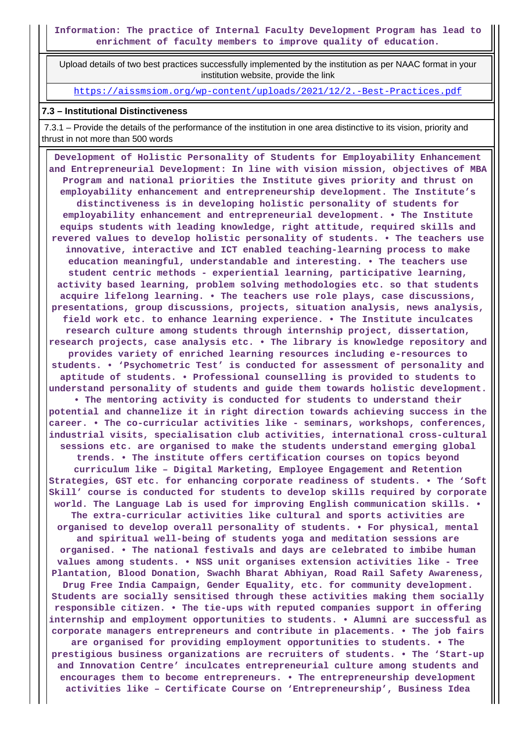**Information: The practice of Internal Faculty Development Program has lead to enrichment of faculty members to improve quality of education.**

 Upload details of two best practices successfully implemented by the institution as per NAAC format in your institution website, provide the link

<https://aissmsiom.org/wp-content/uploads/2021/12/2.-Best-Practices.pdf>

#### **7.3 – Institutional Distinctiveness**

 7.3.1 – Provide the details of the performance of the institution in one area distinctive to its vision, priority and thrust in not more than 500 words

 **Development of Holistic Personality of Students for Employability Enhancement and Entrepreneurial Development: In line with vision mission, objectives of MBA Program and national priorities the Institute gives priority and thrust on employability enhancement and entrepreneurship development. The Institute's distinctiveness is in developing holistic personality of students for employability enhancement and entrepreneurial development. • The Institute equips students with leading knowledge, right attitude, required skills and revered values to develop holistic personality of students. • The teachers use innovative, interactive and ICT enabled teaching-learning process to make education meaningful, understandable and interesting. • The teachers use student centric methods - experiential learning, participative learning, activity based learning, problem solving methodologies etc. so that students acquire lifelong learning. • The teachers use role plays, case discussions, presentations, group discussions, projects, situation analysis, news analysis, field work etc. to enhance learning experience. • The Institute inculcates research culture among students through internship project, dissertation, research projects, case analysis etc. • The library is knowledge repository and provides variety of enriched learning resources including e-resources to students. • 'Psychometric Test' is conducted for assessment of personality and aptitude of students. • Professional counselling is provided to students to understand personality of students and guide them towards holistic development. • The mentoring activity is conducted for students to understand their potential and channelize it in right direction towards achieving success in the career. • The co-curricular activities like - seminars, workshops, conferences, industrial visits, specialisation club activities, international cross-cultural sessions etc. are organised to make the students understand emerging global trends. • The institute offers certification courses on topics beyond curriculum like – Digital Marketing, Employee Engagement and Retention Strategies, GST etc. for enhancing corporate readiness of students. • The 'Soft Skill' course is conducted for students to develop skills required by corporate world. The Language Lab is used for improving English communication skills. • The extra-curricular activities like cultural and sports activities are organised to develop overall personality of students. • For physical, mental and spiritual well-being of students yoga and meditation sessions are organised. • The national festivals and days are celebrated to imbibe human values among students. • NSS unit organises extension activities like - Tree Plantation, Blood Donation, Swachh Bharat Abhiyan, Road Rail Safety Awareness, Drug Free India Campaign, Gender Equality, etc. for community development. Students are socially sensitised through these activities making them socially responsible citizen. • The tie-ups with reputed companies support in offering internship and employment opportunities to students. • Alumni are successful as corporate managers entrepreneurs and contribute in placements. • The job fairs are organised for providing employment opportunities to students. • The prestigious business organizations are recruiters of students. • The 'Start-up and Innovation Centre' inculcates entrepreneurial culture among students and encourages them to become entrepreneurs. • The entrepreneurship development activities like – Certificate Course on 'Entrepreneurship', Business Idea**